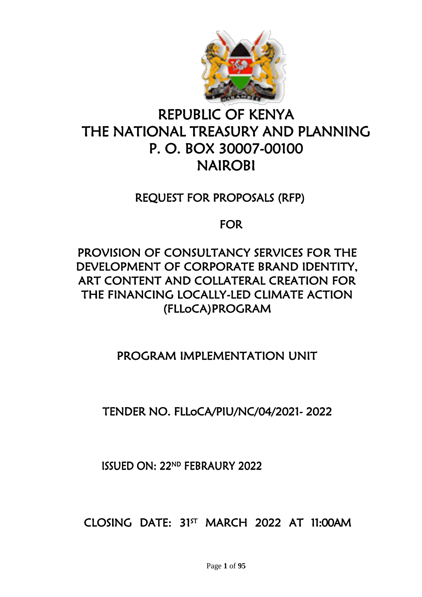

# REPUBLIC OF KENYA THE NATIONAL TREASURY AND PLANNING P. O. BOX 30007-00100 NAIROBI

## REQUEST FOR PROPOSALS (RFP)

## FOR

## PROVISION OF CONSULTANCY SERVICES FOR THE DEVELOPMENT OF CORPORATE BRAND IDENTITY, ART CONTENT AND COLLATERAL CREATION FOR THE FINANCING LOCALLY-LED CLIMATE ACTION (FLLoCA)PROGRAM

## PROGRAM IMPLEMENTATION UNIT

## TENDER NO. FLLoCA/PIU/NC/04/2021- 2022

ISSUED ON: 22ND FEBRAURY 2022

CLOSING DATE: 31st MARCH 2022 AT 11:00AM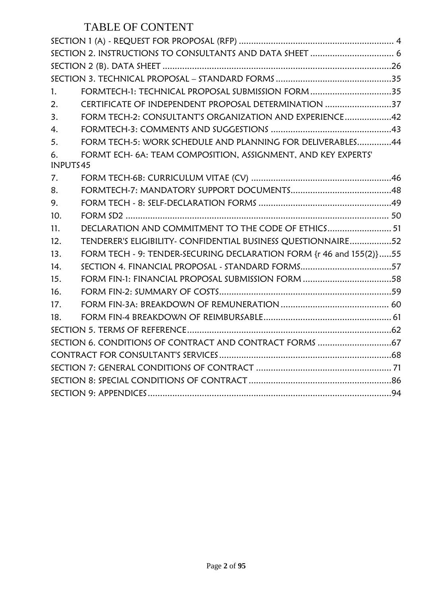## TABLE OF CONTENT

| $1_{-}$              | FORMTECH-1: TECHNICAL PROPOSAL SUBMISSION FORM35                    |  |
|----------------------|---------------------------------------------------------------------|--|
| 2.                   | CERTIFICATE OF INDEPENDENT PROPOSAL DETERMINATION 37                |  |
| 3.                   | FORM TECH-2: CONSULTANT'S ORGANIZATION AND EXPERIENCE42             |  |
| 4 <sub>1</sub>       |                                                                     |  |
| 5.                   | FORM TECH-5: WORK SCHEDULE AND PLANNING FOR DELIVERABLES44          |  |
| 6.                   | FORMT ECH- 6A: TEAM COMPOSITION, ASSIGNMENT, AND KEY EXPERTS'       |  |
| INPUTS <sub>45</sub> |                                                                     |  |
| 7.                   |                                                                     |  |
| 8.                   |                                                                     |  |
| 9.                   |                                                                     |  |
| 10.                  |                                                                     |  |
| 11.                  | DECLARATION AND COMMITMENT TO THE CODE OF ETHICS 51                 |  |
| 12.                  | TENDERER'S ELIGIBILITY- CONFIDENTIAL BUSINESS QUESTIONNAIRE52       |  |
| 13.                  | FORM TECH - 9: TENDER-SECURING DECLARATION FORM {r 46 and 155(2)}55 |  |
| 14.                  |                                                                     |  |
| 15.                  | FORM FIN-1: FINANCIAL PROPOSAL SUBMISSION FORM 58                   |  |
| 16.                  |                                                                     |  |
| 17.                  |                                                                     |  |
| 18.                  |                                                                     |  |
|                      |                                                                     |  |
|                      |                                                                     |  |
|                      |                                                                     |  |
|                      |                                                                     |  |
|                      |                                                                     |  |
|                      |                                                                     |  |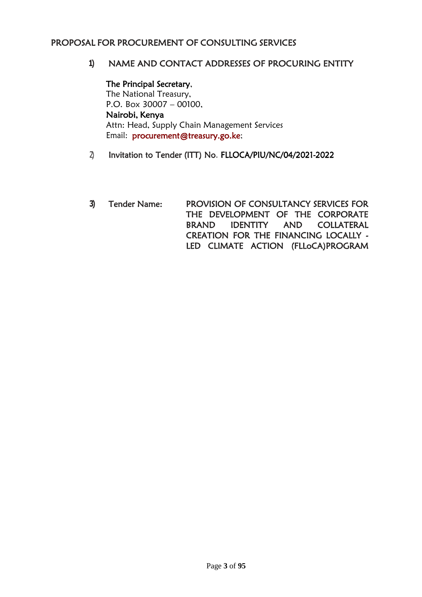## PROPOSAL FOR PROCUREMENT OF CONSULTING SERVICES

## **1)** NAME AND CONTACT ADDRESSES OF PROCURING ENTITY

The Principal Secretary, The National Treasury, P.O. Box 30007 – 00100, Nairobi, Kenya Attn: Head, Supply Chain Management Services Email: [procurement@treasury.go.ke;](mailto:procurement@treasury.go.ke)

- 2) Invitation to Tender (ITT) No. FLLOCA/PIU/NC/04/2021-2022
- **3)** Tender Name: PROVISION OF CONSULTANCY SERVICES FOR THE DEVELOPMENT OF THE CORPORATE BRAND IDENTITY AND COLLATERAL CREATION FOR THE FINANCING LOCALLY - LED CLIMATE ACTION (FLLoCA)PROGRAM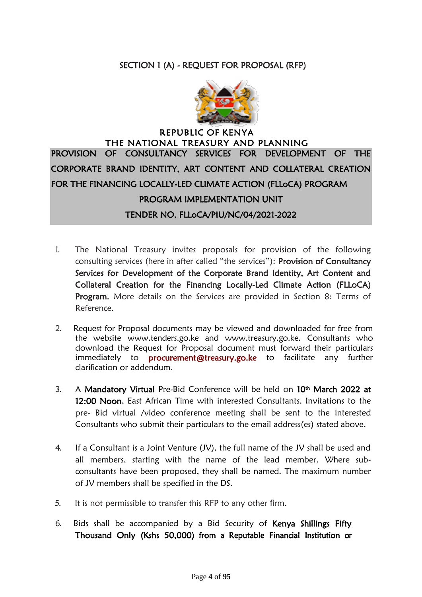## <span id="page-3-0"></span>SECTION 1 (A) - REQUEST FOR PROPOSAL (RFP)



## REPUBLIC OF KENYA THE NATIONAL TREASURY AND PLANNING PROVISION OF CONSULTANCY SERVICES FOR DEVELOPMENT OF THE CORPORATE BRAND IDENTITY, ART CONTENT AND COLLATERAL CREATION FOR THE FINANCING LOCALLY-LED CLIMATE ACTION (FLLoCA) PROGRAM PROGRAM IMPLEMENTATION UNIT TENDER NO. FLLoCA/PIU/NC/04/2021-2022

- 1. The National Treasury invites proposals for provision of the following consulting services (here in after called "the services"): Provision of Consultancy Services for Development of the Corporate Brand Identity, Art Content and Collateral Creation for the Financing Locally-Led Climate Action (FLLoCA) Program. More details on the Services are provided in Section 8: Terms of Reference.
- 2. Request for Proposal documents may be viewed and downloaded for free from the website [www.tenders.go.ke](http://www.tenders.go.ke/) and www.treasury.go.ke. Consultants who download the Request for Proposal document must forward their particulars immediately to **[procurement@treasury.go.ke](mailto:procurement@treasury.go.ke)** to facilitate any further clarification or addendum.
- 3. A Mandatory Virtual Pre-Bid Conference will be held on 10<sup>th</sup> March 2022 at 12:00 Noon, East African Time with interested Consultants. Invitations to the pre- Bid virtual /video conference meeting shall be sent to the interested Consultants who submit their particulars to the email address(es) stated above.
- 4. If a Consultant is a Joint Venture (JV), the full name of the JV shall be used and all members, starting with the name of the lead member. Where subconsultants have been proposed, they shall be named. The maximum number of JV members shall be specified in the DS.
- 5. It is not permissible to transfer this RFP to any other firm.
- 6. Bids shall be accompanied by a Bid Security of Kenya Shillings Fifty Thousand Only (Kshs 50,000) from a Reputable Financial Institution or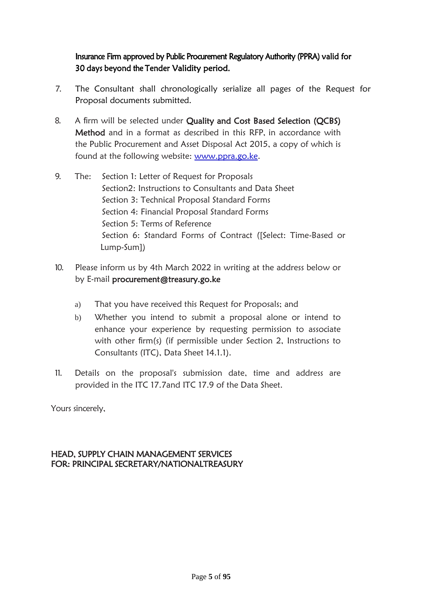## Insurance Firm approved by Public Procurement Regulatory Authority (PPRA) valid for 30 days beyond the Tender Validity period.

- 7. The Consultant shall chronologically serialize all pages of the Request for Proposal documents submitted.
- 8. A firm will be selected under Quality and Cost Based Selection (QCBS) Method and in a format as described in this RFP, in accordance with the Public Procurement and Asset Disposal Act 2015, a copy of which is found at the following website: [www.ppra.go.ke.](http://www.ppra.go.ke/)
- 9. The: Section 1: Letter of Request for Proposals Section2: Instructions to Consultants and Data Sheet Section 3: Technical Proposal Standard Forms Section 4: Financial Proposal Standard Forms Section 5: Terms of Reference Section 6: Standard Forms of Contract ([Select: Time-Based or Lump-Sum])
- 10. Please inform us by 4th March 2022 in writing at the address below or by E-mail [procurement@treasury.go.ke](mailto:procurement@treasury.go.ke)
	- a) That you have received this Request for Proposals; and
	- b) Whether you intend to submit a proposal alone or intend to enhance your experience by requesting permission to associate with other firm(s) (if permissible under Section 2, Instructions to Consultants (ITC), Data Sheet 14.1.1).
- 11. Details on the proposal's submission date, time and address are provided in the ITC 17.7and ITC 17.9 of the Data Sheet.

Yours sincerely,

## HEAD, SUPPLY CHAIN MANAGEMENT SERVICES FOR: PRINCIPAL SECRETARY/NATIONALTREASURY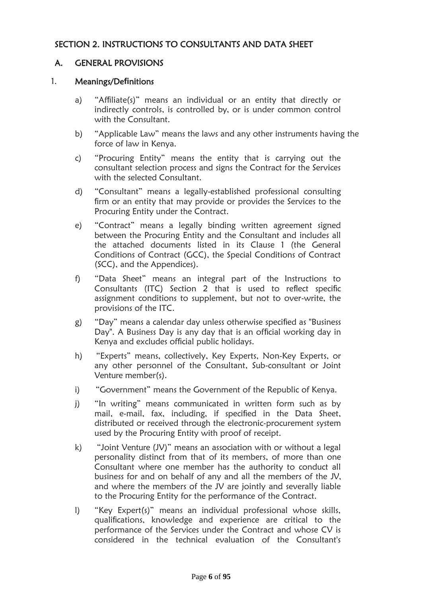## <span id="page-5-0"></span>SECTION 2. INSTRUCTIONS TO CONSULTANTS AND DATA SHEET

#### A. GENERAL PROVISIONS

#### 1. Meanings/De**fi**nitions

- a) "Affiliate(s)" means an individual or an entity that directly or indirectly controls, is controlled by, or is under common control with the Consultant.
- b) "Applicable Law" means the laws and any other instruments having the force of law in Kenya.
- c) "Procuring Entity" means the entity that is carrying out the consultant selection process and signs the Contract for the Services with the selected Consultant.
- d) "Consultant" means a legally-established professional consulting firm or an entity that may provide or provides the Services to the Procuring Entity under the Contract.
- e) "Contract" means a legally binding written agreement signed between the Procuring Entity and the Consultant and includes all the attached documents listed in its Clause 1 (the General Conditions of Contract (GCC), the Special Conditions of Contract (SCC), and the Appendices).
- f) "Data Sheet" means an integral part of the Instructions to Consultants (ITC) Section 2 that is used to reflect specific assignment conditions to supplement, but not to over-write, the provisions of the ITC.
- g) "Day" means a calendar day unless otherwise specified as "Business Day". A Business Day is any day that is an official working day in Kenya and excludes official public holidays.
- h) "Experts" means, collectively, Key Experts, Non-Key Experts, or any other personnel of the Consultant, Sub-consultant or Joint Venture member(s).
- i) "Government" means the Government of the Republic of Kenya.
- j) "In writing" means communicated in written form such as by mail, e-mail, fax, including, if specified in the Data Sheet, distributed or received through the electronic-procurement system used by the Procuring Entity with proof of receipt.
- k) "Joint Venture (JV)" means an association with or without a legal personality distinct from that of its members, of more than one Consultant where one member has the authority to conduct all business for and on behalf of any and all the members of the JV, and where the members of the JV are jointly and severally liable to the Procuring Entity for the performance of the Contract.
- l) "Key Expert(s)" means an individual professional whose skills, qualifications, knowledge and experience are critical to the performance of the Services under the Contract and whose CV is considered in the technical evaluation of the Consultant's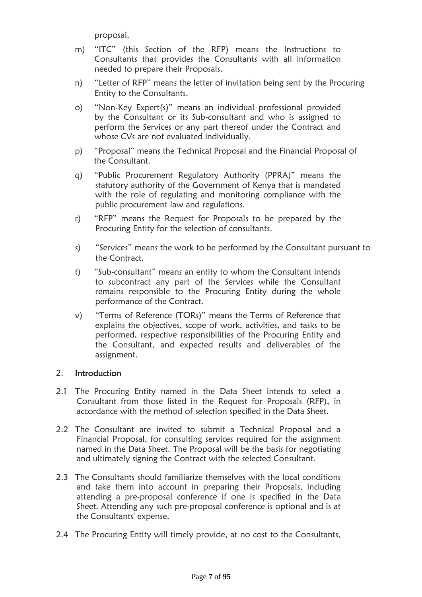proposal.

- m) "ITC" (this Section of the RFP) means the Instructions to Consultants that provides the Consultants with all information needed to prepare their Proposals.
- n) "Letter of RFP" means the letter of invitation being sent by the Procuring Entity to the Consultants.
- o) "Non-Key Expert(s)" means an individual professional provided by the Consultant or its Sub-consultant and who is assigned to perform the Services or any part thereof under the Contract and whose CVs are not evaluated individually.
- p) "Proposal" means the Technical Proposal and the Financial Proposal of the Consultant.
- q) "Public Procurement Regulatory Authority (PPRA)" means the statutory authority of the Government of Kenya that is mandated with the role of regulating and monitoring compliance with the public procurement law and regulations.
- r) "RFP" means the Request for Proposals to be prepared by the Procuring Entity for the selection of consultants.
- s) "Services" means the work to be performed by the Consultant pursuant to the Contract.
- t) "Sub-consultant" means an entity to whom the Consultant intends to subcontract any part of the Services while the Consultant remains responsible to the Procuring Entity during the whole performance of the Contract.
- v) "Terms of Reference (TORs)" means the Terms of Reference that explains the objectives, scope of work, activities, and tasks to be performed, respective responsibilities of the Procuring Entity and the Consultant, and expected results and deliverables of the assignment.

#### 2. Introduction

- 2.1 The Procuring Entity named in the Data Sheet intends to select a Consultant from those listed in the Request for Proposals (RFP), in accordance with the method of selection specified in the Data Sheet.
- 2.2 The Consultant are invited to submit a Technical Proposal and a Financial Proposal, for consulting services required for the assignment named in the Data Sheet. The Proposal will be the basis for negotiating and ultimately signing the Contract with the selected Consultant.
- 2.3 The Consultants should familiarize themselves with the local conditions and take them into account in preparing their Proposals, including attending a pre-proposal conference if one is specified in the Data Sheet. Attending any such pre-proposal conference is optional and is at the Consultants' expense.
- 2.4 The Procuring Entity will timely provide, at no cost to the Consultants,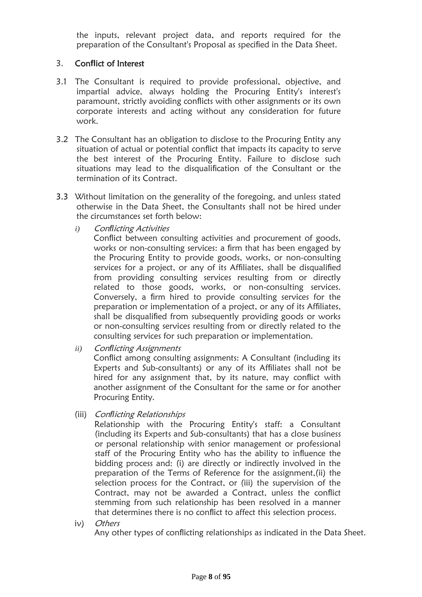the inputs, relevant project data, and reports required for the preparation of the Consultant's Proposal as specified in the Data Sheet.

## 3. Con**fl**ict of Interest

- 3.1 The Consultant is required to provide professional, objective, and impartial advice, always holding the Procuring Entity's interest's paramount, strictly avoiding conflicts with other assignments or its own corporate interests and acting without any consideration for future work.
- 3.2 The Consultant has an obligation to disclose to the Procuring Entity any situation of actual or potential conflict that impacts its capacity to serve the best interest of the Procuring Entity. Failure to disclose such situations may lead to the disqualification of the Consultant or the termination of its Contract.
- 3.3 Without limitation on the generality of the foregoing, and unless stated otherwise in the Data Sheet, the Consultants shall not be hired under the circumstances set forth below:
	- *i)* Con*fl*icting Activities

Conflict between consulting activities and procurement of goods, works or non-consulting services: a firm that has been engaged by the Procuring Entity to provide goods, works, or non-consulting services for a project, or any of its Affiliates, shall be disqualified from providing consulting services resulting from or directly related to those goods, works, or non-consulting services. Conversely, a firm hired to provide consulting services for the preparation or implementation of a project, or any of its Affiliates, shall be disqualified from subsequently providing goods or works or non-consulting services resulting from or directly related to the consulting services for such preparation or implementation.

*ii)* Con*fl*icting Assignments

Conflict among consulting assignments: A Consultant (including its Experts and Sub-consultants) or any of its Affiliates shall not be hired for any assignment that, by its nature, may conflict with another assignment of the Consultant for the same or for another Procuring Entity.

(iii) Con*fl*icting Relationships

Relationship with the Procuring Entity's staff: a Consultant (including its Experts and Sub-consultants) that has a close business or personal relationship with senior management or professional staff of the Procuring Entity who has the ability to influence the bidding process and: (i) are directly or indirectly involved in the preparation of the Terms of Reference for the assignment,(ii) the selection process for the Contract, or (iii) the supervision of the Contract, may not be awarded a Contract, unless the conflict stemming from such relationship has been resolved in a manner that determines there is no conflict to affect this selection process.

iv) Others

Any other types of conflicting relationships as indicated in the Data Sheet.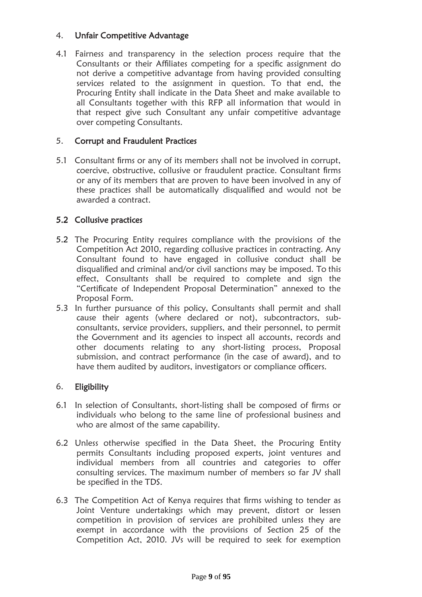## 4. Unfair Competitive Advantage

4.1 Fairness and transparency in the selection process require that the Consultants or their Affiliates competing for a specific assignment do not derive a competitive advantage from having provided consulting services related to the assignment in question. To that end, the Procuring Entity shall indicate in the Data Sheet and make available to all Consultants together with this RFP all information that would in that respect give such Consultant any unfair competitive advantage over competing Consultants.

## 5. Corrupt and Fraudulent Practices

5.1 Consultant firms or any of its members shall not be involved in corrupt, coercive, obstructive, collusive or fraudulent practice. Consultant firms or any of its members that are proven to have been involved in any of these practices shall be automatically disqualified and would not be awarded a contract.

## 5.2 Collusive practices

- 5.2 The Procuring Entity requires compliance with the provisions of the Competition Act 2010, regarding collusive practices in contracting. Any Consultant found to have engaged in collusive conduct shall be disqualified and criminal and/or civil sanctions may be imposed. To this effect, Consultants shall be required to complete and sign the "Certificate of Independent Proposal Determination" annexed to the Proposal Form.
- 5.3 In further pursuance of this policy, Consultants shall permit and shall cause their agents (where declared or not), subcontractors, subconsultants, service providers, suppliers, and their personnel, to permit the Government and its agencies to inspect all accounts, records and other documents relating to any short-listing process, Proposal submission, and contract performance (in the case of award), and to have them audited by auditors, investigators or compliance officers.

#### 6. Eligibility

- 6.1 In selection of Consultants, short-listing shall be composed of firms or individuals who belong to the same line of professional business and who are almost of the same capability.
- 6.2 Unless otherwise specified in the Data Sheet, the Procuring Entity permits Consultants including proposed experts, joint ventures and individual members from all countries and categories to offer consulting services. The maximum number of members so far JV shall be specified in the TDS.
- 6.3 The Competition Act of Kenya requires that firms wishing to tender as Joint Venture undertakings which may prevent, distort or lessen competition in provision of services are prohibited unless they are exempt in accordance with the provisions of Section 25 of the Competition Act, 2010. JVs will be required to seek for exemption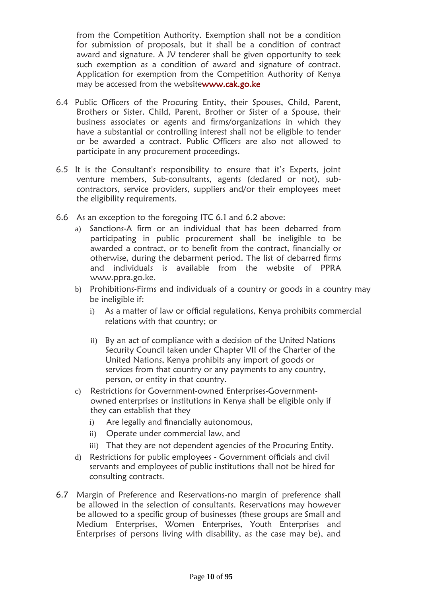from the Competition Authority. Exemption shall not be a condition for submission of proposals, but it shall be a condition of contract award and signature. A JV tenderer shall be given opportunity to seek such exemption as a condition of award and signature of contract. Application for exemption from the Competition Authority of Kenya may be accessed from the websit[ewww.cak.go.ke](http://www.cak.go.ke/)

- 6.4 Public Officers of the Procuring Entity, their Spouses, Child, Parent, Brothers or Sister. Child, Parent, Brother or Sister of a Spouse, their business associates or agents and firms/organizations in which they have a substantial or controlling interest shall not be eligible to tender or be awarded a contract. Public Officers are also not allowed to participate in any procurement proceedings.
- 6.5 It is the Consultant's responsibility to ensure that it's Experts, joint venture members, Sub-consultants, agents (declared or not), subcontractors, service providers, suppliers and/or their employees meet the eligibility requirements.
- 6.6 As an exception to the foregoing ITC 6.1 and 6.2 above:
	- a) Sanctions-A firm or an individual that has been debarred from participating in public procurement shall be ineligible to be awarded a contract, or to benefit from the contract, financially or otherwise, during the debarment period. The list of debarred firms and individuals is available from the website of PPRA [www.ppra.go.ke.](http://www.ppra.go.ke/)
	- b) Prohibitions-Firms and individuals of a country or goods in a country may be ineligible if:
		- i) As a matter of law or official regulations, Kenya prohibits commercial relations with that country; or
		- ii) By an act of compliance with a decision of the United Nations Security Council taken under Chapter VII of the Charter of the United Nations, Kenya prohibits any import of goods or services from that country or any payments to any country, person, or entity in that country.
	- c) Restrictions for Government-owned Enterprises-Governmentowned enterprises or institutions in Kenya shall be eligible only if they can establish that they
		- i) Are legally and financially autonomous,
		- ii) Operate under commercial law, and
		- iii) That they are not dependent agencies of the Procuring Entity.
	- d) Restrictions for public employees Government officials and civil servants and employees of public institutions shall not be hired for consulting contracts.
- 6.7 Margin of Preference and Reservations-no margin of preference shall be allowed in the selection of consultants. Reservations may however be allowed to a specific group of businesses (these groups are Small and Medium Enterprises, Women Enterprises, Youth Enterprises and Enterprises of persons living with disability, as the case may be), and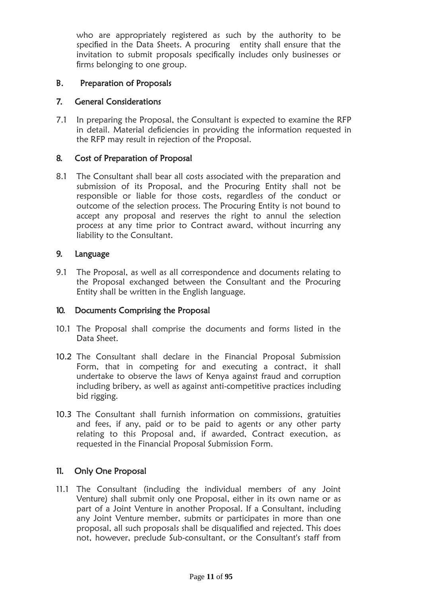who are appropriately registered as such by the authority to be specified in the Data Sheets. A procuring entity shall ensure that the invitation to submit proposals specifically includes only businesses or firms belonging to one group.

## B. Preparation of Proposals

### 7. General Considerations

7.1 In preparing the Proposal, the Consultant is expected to examine the RFP in detail. Material deficiencies in providing the information requested in the RFP may result in rejection of the Proposal.

## 8. Cost of Preparation of Proposal

8.1 The Consultant shall bear all costs associated with the preparation and submission of its Proposal, and the Procuring Entity shall not be responsible or liable for those costs, regardless of the conduct or outcome of the selection process. The Procuring Entity is not bound to accept any proposal and reserves the right to annul the selection process at any time prior to Contract award, without incurring any liability to the Consultant.

## 9. Language

9.1 The Proposal, as well as all correspondence and documents relating to the Proposal exchanged between the Consultant and the Procuring Entity shall be written in the English language.

#### 10. Documents Comprising the Proposal

- 10.1 The Proposal shall comprise the documents and forms listed in the Data Sheet.
- 10.2 The Consultant shall declare in the Financial Proposal Submission Form, that in competing for and executing a contract, it shall undertake to observe the laws of Kenya against fraud and corruption including bribery, as well as against anti-competitive practices including bid rigging.
- 10.3 The Consultant shall furnish information on commissions, gratuities and fees, if any, paid or to be paid to agents or any other party relating to this Proposal and, if awarded, Contract execution, as requested in the Financial Proposal Submission Form.

## 11. Only One Proposal

11.1 The Consultant (including the individual members of any Joint Venture) shall submit only one Proposal, either in its own name or as part of a Joint Venture in another Proposal. If a Consultant, including any Joint Venture member, submits or participates in more than one proposal, all such proposals shall be disqualified and rejected. This does not, however, preclude Sub-consultant, or the Consultant's staff from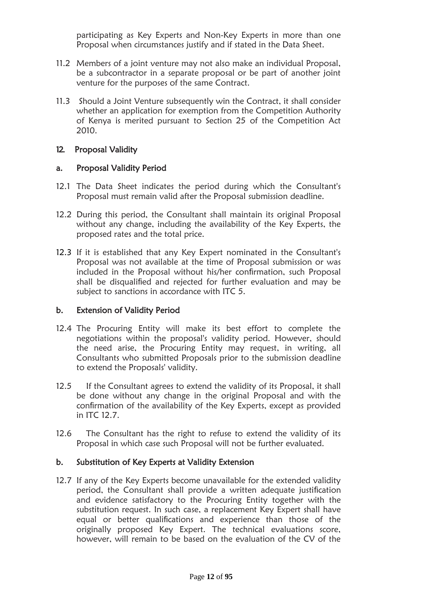participating as Key Experts and Non-Key Experts in more than one Proposal when circumstances justify and if stated in the Data Sheet.

- 11.2 Members of a joint venture may not also make an individual Proposal, be a subcontractor in a separate proposal or be part of another joint venture for the purposes of the same Contract.
- 11.3 Should a Joint Venture subsequently win the Contract, it shall consider whether an application for exemption from the Competition Authority of Kenya is merited pursuant to Section 25 of the Competition Act 2010.

#### 12. Proposal Validity

#### a. Proposal Validity Period

- 12.1 The Data Sheet indicates the period during which the Consultant's Proposal must remain valid after the Proposal submission deadline.
- 12.2 During this period, the Consultant shall maintain its original Proposal without any change, including the availability of the Key Experts, the proposed rates and the total price.
- 12.3 If it is established that any Key Expert nominated in the Consultant's Proposal was not available at the time of Proposal submission or was included in the Proposal without his/her confirmation, such Proposal shall be disqualified and rejected for further evaluation and may be subject to sanctions in accordance with ITC 5.

#### b. Extension of Validity Period

- 12.4 The Procuring Entity will make its best effort to complete the negotiations within the proposal's validity period. However, should the need arise, the Procuring Entity may request, in writing, all Consultants who submitted Proposals prior to the submission deadline to extend the Proposals' validity.
- 12.5 If the Consultant agrees to extend the validity of its Proposal, it shall be done without any change in the original Proposal and with the confirmation of the availability of the Key Experts, except as provided in ITC 12.7.
- 12.6 The Consultant has the right to refuse to extend the validity of its Proposal in which case such Proposal will not be further evaluated.

#### b. Substitution of Key Experts at Validity Extension

12.7 If any of the Key Experts become unavailable for the extended validity period, the Consultant shall provide a written adequate justification and evidence satisfactory to the Procuring Entity together with the substitution request. In such case, a replacement Key Expert shall have equal or better qualifications and experience than those of the originally proposed Key Expert. The technical evaluations score, however, will remain to be based on the evaluation of the CV of the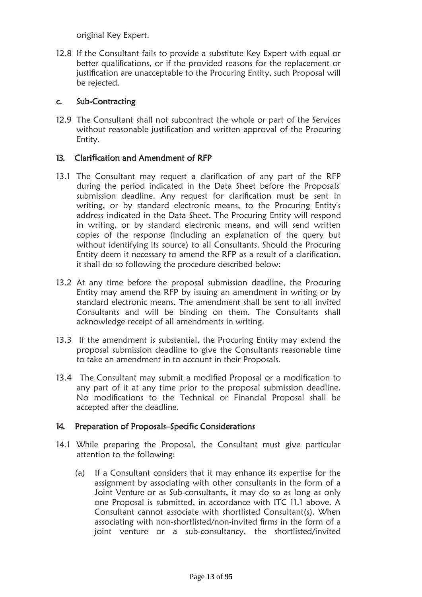original Key Expert.

12.8 If the Consultant fails to provide a substitute Key Expert with equal or better qualifications, or if the provided reasons for the replacement or justification are unacceptable to the Procuring Entity, such Proposal will be rejected.

### c. Sub-Contracting

12.9 The Consultant shall not subcontract the whole or part of the Services without reasonable justification and written approval of the Procuring Entity.

## 13. Clari**fi**cation and Amendment of RFP

- 13.1 The Consultant may request a clarification of any part of the RFP during the period indicated in the Data Sheet before the Proposals' submission deadline. Any request for clarification must be sent in writing, or by standard electronic means, to the Procuring Entity's address indicated in the Data Sheet. The Procuring Entity will respond in writing, or by standard electronic means, and will send written copies of the response (including an explanation of the query but without identifying its source) to all Consultants. Should the Procuring Entity deem it necessary to amend the RFP as a result of a clarification, it shall do so following the procedure described below:
- 13.2 At any time before the proposal submission deadline, the Procuring Entity may amend the RFP by issuing an amendment in writing or by standard electronic means. The amendment shall be sent to all invited Consultants and will be binding on them. The Consultants shall acknowledge receipt of all amendments in writing.
- 13.3 If the amendment is substantial, the Procuring Entity may extend the proposal submission deadline to give the Consultants reasonable time to take an amendment in to account in their Proposals.
- 13.4 The Consultant may submit a modified Proposal or a modification to any part of it at any time prior to the proposal submission deadline. No modifications to the Technical or Financial Proposal shall be accepted after the deadline.

#### 14. Preparation of Proposals–Speci**fi**c Considerations

- 14.1 While preparing the Proposal, the Consultant must give particular attention to the following:
	- (a) If a Consultant considers that it may enhance its expertise for the assignment by associating with other consultants in the form of a Joint Venture or as Sub-consultants, it may do so as long as only one Proposal is submitted, in accordance with ITC 11.1 above. A Consultant cannot associate with shortlisted Consultant(s). When associating with non-shortlisted/non-invited firms in the form of a joint venture or a sub-consultancy, the shortlisted/invited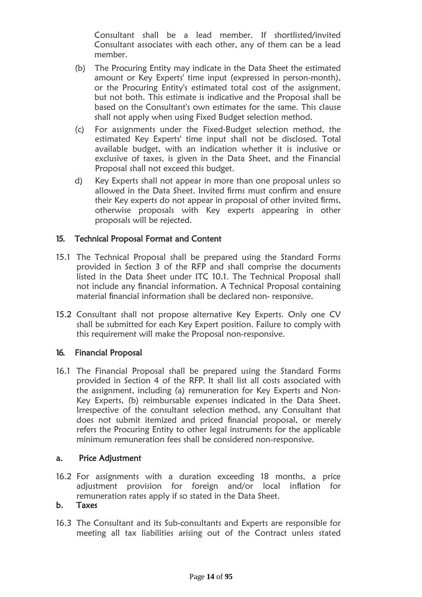Consultant shall be a lead member. If shortlisted/invited Consultant associates with each other, any of them can be a lead member.

- (b) The Procuring Entity may indicate in the Data Sheet the estimated amount or Key Experts' time input (expressed in person-month), or the Procuring Entity's estimated total cost of the assignment, but not both. This estimate is indicative and the Proposal shall be based on the Consultant's own estimates for the same. This clause shall not apply when using Fixed Budget selection method.
- (c) For assignments under the Fixed-Budget selection method, the estimated Key Experts' time input shall not be disclosed. Total available budget, with an indication whether it is inclusive or exclusive of taxes, is given in the Data Sheet, and the Financial Proposal shall not exceed this budget.
- d) Key Experts shall not appear in more than one proposal unless so allowed in the Data Sheet. Invited firms must confirm and ensure their Key experts do not appear in proposal of other invited firms, otherwise proposals with Key experts appearing in other proposals will be rejected.

#### 15. Technical Proposal Format and Content

- 15.1 The Technical Proposal shall be prepared using the Standard Forms provided in Section 3 of the RFP and shall comprise the documents listed in the Data Sheet under ITC 10.1. The Technical Proposal shall not include any financial information. A Technical Proposal containing material financial information shall be declared non- responsive.
- 15.2 Consultant shall not propose alternative Key Experts. Only one CV shall be submitted for each Key Expert position. Failure to comply with this requirement will make the Proposal non-responsive.

#### 16. Financial Proposal

16.1 The Financial Proposal shall be prepared using the Standard Forms provided in Section 4 of the RFP. It shall list all costs associated with the assignment, including (a) remuneration for Key Experts and Non-Key Experts, (b) reimbursable expenses indicated in the Data Sheet. Irrespective of the consultant selection method, any Consultant that does not submit itemized and priced financial proposal, or merely refers the Procuring Entity to other legal instruments for the applicable minimum remuneration fees shall be considered non-responsive.

#### a. Price Adjustment

16.2 For assignments with a duration exceeding 18 months, a price adjustment provision for foreign and/or local inflation for remuneration rates apply if so stated in the Data Sheet.

#### b. Taxes

16.3 The Consultant and its Sub-consultants and Experts are responsible for meeting all tax liabilities arising out of the Contract unless stated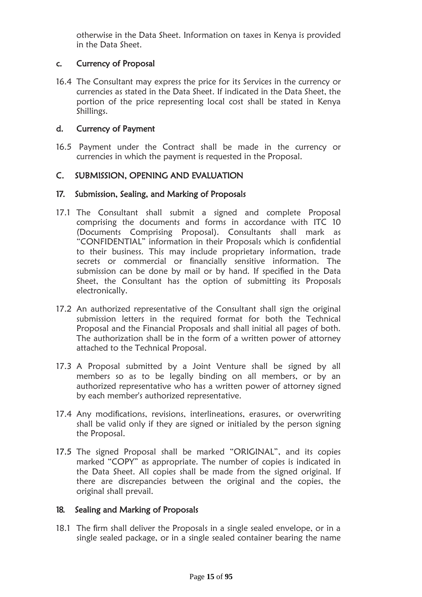otherwise in the Data Sheet. Information on taxes in Kenya is provided in the Data Sheet.

## c. Currency of Proposal

16.4 The Consultant may express the price for its Services in the currency or currencies as stated in the Data Sheet. If indicated in the Data Sheet, the portion of the price representing local cost shall be stated in Kenya Shillings.

#### d. Currency of Payment

16.5 Payment under the Contract shall be made in the currency or currencies in which the payment is requested in the Proposal.

## C. SUBMISSION, OPENING AND EVALUATION

#### 17. Submission, Sealing, and Marking of Proposals

- 17.1 The Consultant shall submit a signed and complete Proposal comprising the documents and forms in accordance with ITC 10 (Documents Comprising Proposal). Consultants shall mark as "CONFIDENTIAL" information in their Proposals which is confidential to their business. This may include proprietary information, trade secrets or commercial or financially sensitive information. The submission can be done by mail or by hand. If specified in the Data Sheet, the Consultant has the option of submitting its Proposals electronically.
- 17.2 An authorized representative of the Consultant shall sign the original submission letters in the required format for both the Technical Proposal and the Financial Proposals and shall initial all pages of both. The authorization shall be in the form of a written power of attorney attached to the Technical Proposal.
- 17.3 A Proposal submitted by a Joint Venture shall be signed by all members so as to be legally binding on all members, or by an authorized representative who has a written power of attorney signed by each member's authorized representative.
- 17.4 Any modifications, revisions, interlineations, erasures, or overwriting shall be valid only if they are signed or initialed by the person signing the Proposal.
- 17.5 The signed Proposal shall be marked "ORIGINAL", and its copies marked "COPY" as appropriate. The number of copies is indicated in the Data Sheet. All copies shall be made from the signed original. If there are discrepancies between the original and the copies, the original shall prevail.

#### 18. Sealing and Marking of Proposals

18.1 The firm shall deliver the Proposals in a single sealed envelope, or in a single sealed package, or in a single sealed container bearing the name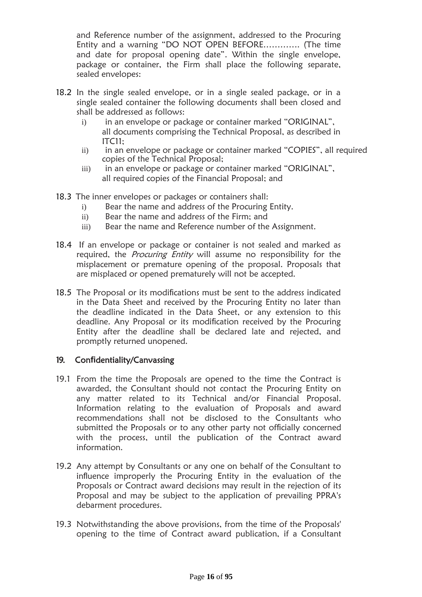and Reference number of the assignment, addressed to the Procuring Entity and a warning "DO NOT OPEN BEFORE…………. (The time and date for proposal opening date". Within the single envelope, package or container, the Firm shall place the following separate, sealed envelopes:

- 18.2 In the single sealed envelope, or in a single sealed package, or in a single sealed container the following documents shall been closed and shall be addressed as follows:
	- i) in an envelope or package or container marked "ORIGINAL", all documents comprising the Technical Proposal, as described in ITC11;
	- ii) in an envelope or package or container marked "COPIES", all required copies of the Technical Proposal;
	- iii) in an envelope or package or container marked "ORIGINAL", all required copies of the Financial Proposal; and
- 18.3 The inner envelopes or packages or containers shall:
	- i) Bear the name and address of the Procuring Entity.
	- ii) Bear the name and address of the Firm; and
	- iii) Bear the name and Reference number of the Assignment.
- 18.4 If an envelope or package or container is not sealed and marked as required, the Procuring Entity will assume no responsibility for the misplacement or premature opening of the proposal. Proposals that are misplaced or opened prematurely will not be accepted.
- 18.5 The Proposal or its modifications must be sent to the address indicated in the Data Sheet and received by the Procuring Entity no later than the deadline indicated in the Data Sheet, or any extension to this deadline. Any Proposal or its modification received by the Procuring Entity after the deadline shall be declared late and rejected, and promptly returned unopened.

#### 19. Con**fi**dentiality/Canvassing

- 19.1 From the time the Proposals are opened to the time the Contract is awarded, the Consultant should not contact the Procuring Entity on any matter related to its Technical and/or Financial Proposal. Information relating to the evaluation of Proposals and award recommendations shall not be disclosed to the Consultants who submitted the Proposals or to any other party not officially concerned with the process, until the publication of the Contract award information.
- 19.2 Any attempt by Consultants or any one on behalf of the Consultant to influence improperly the Procuring Entity in the evaluation of the Proposals or Contract award decisions may result in the rejection of its Proposal and may be subject to the application of prevailing PPRA's debarment procedures.
- 19.3 Notwithstanding the above provisions, from the time of the Proposals' opening to the time of Contract award publication, if a Consultant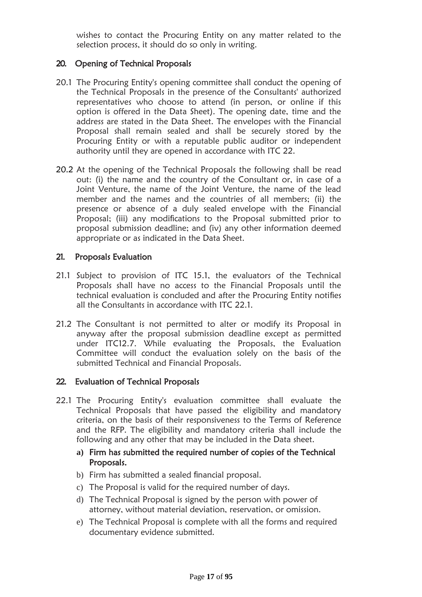wishes to contact the Procuring Entity on any matter related to the selection process, it should do so only in writing.

## 20. Opening of Technical Proposals

- 20.1 The Procuring Entity's opening committee shall conduct the opening of the Technical Proposals in the presence of the Consultants' authorized representatives who choose to attend (in person, or online if this option is offered in the Data Sheet). The opening date, time and the address are stated in the Data Sheet. The envelopes with the Financial Proposal shall remain sealed and shall be securely stored by the Procuring Entity or with a reputable public auditor or independent authority until they are opened in accordance with ITC 22.
- 20.2 At the opening of the Technical Proposals the following shall be read out: (i) the name and the country of the Consultant or, in case of a Joint Venture, the name of the Joint Venture, the name of the lead member and the names and the countries of all members; (ii) the presence or absence of a duly sealed envelope with the Financial Proposal; (iii) any modifications to the Proposal submitted prior to proposal submission deadline; and (iv) any other information deemed appropriate or as indicated in the Data Sheet.

## 21. Proposals Evaluation

- 21.1 Subject to provision of ITC 15.1, the evaluators of the Technical Proposals shall have no access to the Financial Proposals until the technical evaluation is concluded and after the Procuring Entity notifies all the Consultants in accordance with ITC 22.1.
- 21.2 The Consultant is not permitted to alter or modify its Proposal in anyway after the proposal submission deadline except as permitted under ITC12.7. While evaluating the Proposals, the Evaluation Committee will conduct the evaluation solely on the basis of the submitted Technical and Financial Proposals.

## 22. Evaluation of Technical Proposals

- 22.1 The Procuring Entity's evaluation committee shall evaluate the Technical Proposals that have passed the eligibility and mandatory criteria, on the basis of their responsiveness to the Terms of Reference and the RFP. The eligibility and mandatory criteria shall include the following and any other that may be included in the Data sheet.
	- **a)** Firm has submitted the required number of copies of the Technical Proposals.
	- b) Firm has submitted a sealed financial proposal.
	- c) The Proposal is valid for the required number of days.
	- d) The Technical Proposal is signed by the person with power of attorney, without material deviation, reservation, or omission.
	- e) The Technical Proposal is complete with all the forms and required documentary evidence submitted.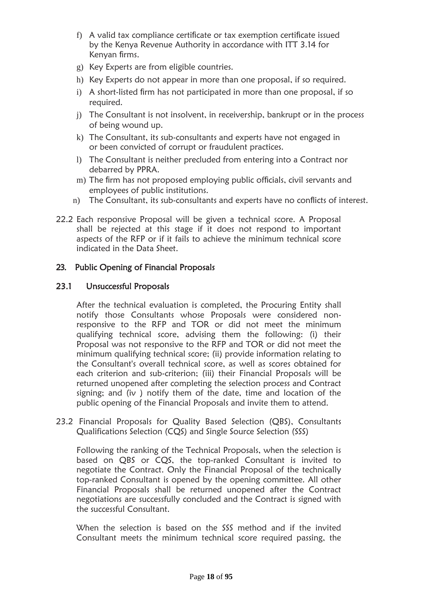- f) A valid tax compliance certificate or tax exemption certificate issued by the Kenya Revenue Authority in accordance with ITT 3.14 for Kenyan firms.
- g) Key Experts are from eligible countries.
- h) Key Experts do not appear in more than one proposal, if so required.
- i) A short-listed firm has not participated in more than one proposal, if so required.
- j) The Consultant is not insolvent, in receivership, bankrupt or in the process of being wound up.
- k) The Consultant, its sub-consultants and experts have not engaged in or been convicted of corrupt or fraudulent practices.
- l) The Consultant is neither precluded from entering into a Contract nor debarred by PPRA.
- m) The firm has not proposed employing public officials, civil servants and employees of public institutions.
- n) The Consultant, its sub-consultants and experts have no conflicts of interest.
- 22.2 Each responsive Proposal will be given a technical score. A Proposal shall be rejected at this stage if it does not respond to important aspects of the RFP or if it fails to achieve the minimum technical score indicated in the Data Sheet.

## 23. Public Opening of Financial Proposals

## 23.1 Unsuccessful Proposals

After the technical evaluation is completed, the Procuring Entity shall notify those Consultants whose Proposals were considered nonresponsive to the RFP and TOR or did not meet the minimum qualifying technical score, advising them the following: (i) their Proposal was not responsive to the RFP and TOR or did not meet the minimum qualifying technical score; (ii) provide information relating to the Consultant's overall technical score, as well as scores obtained for each criterion and sub-criterion; (iii) their Financial Proposals will be returned unopened after completing the selection process and Contract signing; and (iv ) notify them of the date, time and location of the public opening of the Financial Proposals and invite them to attend.

23.2 Financial Proposals for Quality Based Selection (QBS), Consultants Qualifications Selection (CQS) and Single Source Selection (SSS)

Following the ranking of the Technical Proposals, when the selection is based on QBS or CQS, the top-ranked Consultant is invited to negotiate the Contract. Only the Financial Proposal of the technically top-ranked Consultant is opened by the opening committee. All other Financial Proposals shall be returned unopened after the Contract negotiations are successfully concluded and the Contract is signed with the successful Consultant.

When the selection is based on the SSS method and if the invited Consultant meets the minimum technical score required passing, the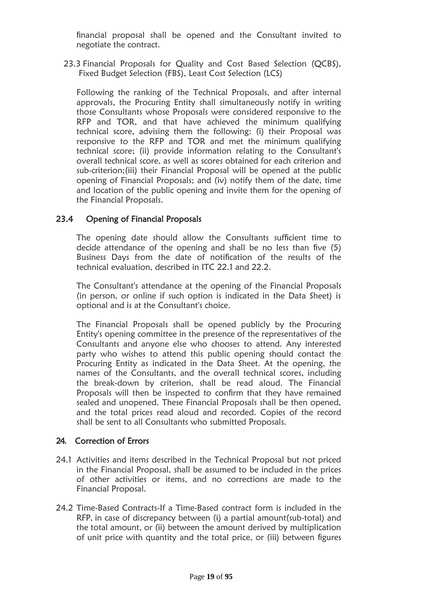financial proposal shall be opened and the Consultant invited to negotiate the contract.

23.3 Financial Proposals for Quality and Cost Based Selection (QCBS), Fixed Budget Selection (FBS), Least Cost Selection (LCS)

Following the ranking of the Technical Proposals, and after internal approvals, the Procuring Entity shall simultaneously notify in writing those Consultants whose Proposals were considered responsive to the RFP and TOR, and that have achieved the minimum qualifying technical score, advising them the following: (i) their Proposal was responsive to the RFP and TOR and met the minimum qualifying technical score; (ii) provide information relating to the Consultant's overall technical score, as well as scores obtained for each criterion and sub-criterion;(iii) their Financial Proposal will be opened at the public opening of Financial Proposals; and (iv) notify them of the date, time and location of the public opening and invite them for the opening of the Financial Proposals.

## 23.4 Opening of Financial Proposals

The opening date should allow the Consultants sufficient time to decide attendance of the opening and shall be no less than five (5) Business Days from the date of notification of the results of the technical evaluation, described in ITC 22.1 and 22.2.

The Consultant's attendance at the opening of the Financial Proposals (in person, or online if such option is indicated in the Data Sheet) is optional and is at the Consultant's choice.

The Financial Proposals shall be opened publicly by the Procuring Entity's opening committee in the presence of the representatives of the Consultants and anyone else who chooses to attend. Any interested party who wishes to attend this public opening should contact the Procuring Entity as indicated in the Data Sheet. At the opening, the names of the Consultants, and the overall technical scores, including the break-down by criterion, shall be read aloud. The Financial Proposals will then be inspected to confirm that they have remained sealed and unopened. These Financial Proposals shall be then opened, and the total prices read aloud and recorded. Copies of the record shall be sent to all Consultants who submitted Proposals.

#### 24. Correction of Errors

- 24.1 Activities and items described in the Technical Proposal but not priced in the Financial Proposal, shall be assumed to be included in the prices of other activities or items, and no corrections are made to the Financial Proposal.
- 24.2 Time-Based Contracts-If a Time-Based contract form is included in the RFP, in case of discrepancy between (i) a partial amount(sub-total) and the total amount, or (ii) between the amount derived by multiplication of unit price with quantity and the total price, or (iii) between figures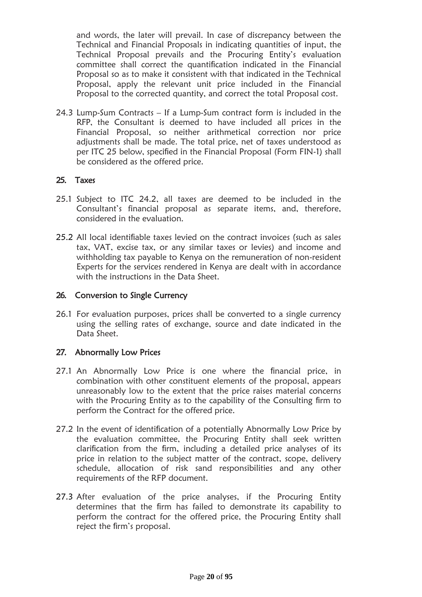and words, the later will prevail. In case of discrepancy between the Technical and Financial Proposals in indicating quantities of input, the Technical Proposal prevails and the Procuring Entity's evaluation committee shall correct the quantification indicated in the Financial Proposal so as to make it consistent with that indicated in the Technical Proposal, apply the relevant unit price included in the Financial Proposal to the corrected quantity, and correct the total Proposal cost.

24.3 Lump-Sum Contracts – If a Lump-Sum contract form is included in the RFP, the Consultant is deemed to have included all prices in the Financial Proposal, so neither arithmetical correction nor price adjustments shall be made. The total price, net of taxes understood as per ITC 25 below, specified in the Financial Proposal (Form FIN-1) shall be considered as the offered price.

#### 25. Taxes

- 25.1 Subject to ITC 24.2, all taxes are deemed to be included in the Consultant's financial proposal as separate items, and, therefore, considered in the evaluation.
- 25.2 All local identifiable taxes levied on the contract invoices (such as sales tax, VAT, excise tax, or any similar taxes or levies) and income and withholding tax payable to Kenya on the remuneration of non-resident Experts for the services rendered in Kenya are dealt with in accordance with the instructions in the Data Sheet.

## 26. Conversion to Single Currency

26.1 For evaluation purposes, prices shall be converted to a single currency using the selling rates of exchange, source and date indicated in the Data Sheet.

#### 27. Abnormally Low Prices

- 27.1 An Abnormally Low Price is one where the financial price, in combination with other constituent elements of the proposal, appears unreasonably low to the extent that the price raises material concerns with the Procuring Entity as to the capability of the Consulting firm to perform the Contract for the offered price.
- 27.2 In the event of identification of a potentially Abnormally Low Price by the evaluation committee, the Procuring Entity shall seek written clarification from the firm, including a detailed price analyses of its price in relation to the subject matter of the contract, scope, delivery schedule, allocation of risk sand responsibilities and any other requirements of the RFP document.
- 27.3 After evaluation of the price analyses, if the Procuring Entity determines that the firm has failed to demonstrate its capability to perform the contract for the offered price, the Procuring Entity shall reject the firm's proposal.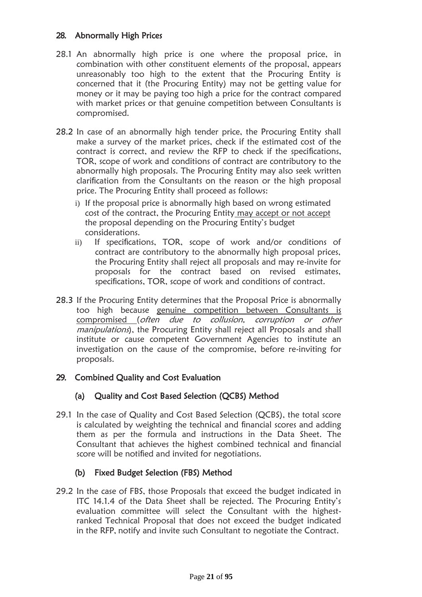## 28. Abnormally High Prices

- 28.1 An abnormally high price is one where the proposal price, in combination with other constituent elements of the proposal, appears unreasonably too high to the extent that the Procuring Entity is concerned that it (the Procuring Entity) may not be getting value for money or it may be paying too high a price for the contract compared with market prices or that genuine competition between Consultants is compromised.
- 28.2 In case of an abnormally high tender price, the Procuring Entity shall make a survey of the market prices, check if the estimated cost of the contract is correct, and review the RFP to check if the specifications, TOR, scope of work and conditions of contract are contributory to the abnormally high proposals. The Procuring Entity may also seek written clarification from the Consultants on the reason or the high proposal price. The Procuring Entity shall proceed as follows:
	- i) If the proposal price is abnormally high based on wrong estimated cost of the contract, the Procuring Entity may accept or not accept the proposal depending on the Procuring Entity's budget considerations.
	- ii) If specifications, TOR, scope of work and/or conditions of contract are contributory to the abnormally high proposal prices, the Procuring Entity shall reject all proposals and may re-invite for proposals for the contract based on revised estimates, specifications, TOR, scope of work and conditions of contract.
- 28.3 If the Procuring Entity determines that the Proposal Price is abnormally too high because genuine competition between Consultants is compromised (often due to collusion, corruption or other manipulations), the Procuring Entity shall reject all Proposals and shall institute or cause competent Government Agencies to institute an investigation on the cause of the compromise, before re-inviting for proposals.

## 29. Combined Quality and Cost Evaluation

## (a) Quality and Cost Based Selection (QCBS) Method

29.1 In the case of Quality and Cost Based Selection (QCBS), the total score is calculated by weighting the technical and financial scores and adding them as per the formula and instructions in the Data Sheet. The Consultant that achieves the highest combined technical and financial score will be notified and invited for negotiations.

## (b) Fixed Budget Selection (FBS) Method

29.2 In the case of FBS, those Proposals that exceed the budget indicated in ITC 14.1.4 of the Data Sheet shall be rejected. The Procuring Entity's evaluation committee will select the Consultant with the highestranked Technical Proposal that does not exceed the budget indicated in the RFP, notify and invite such Consultant to negotiate the Contract.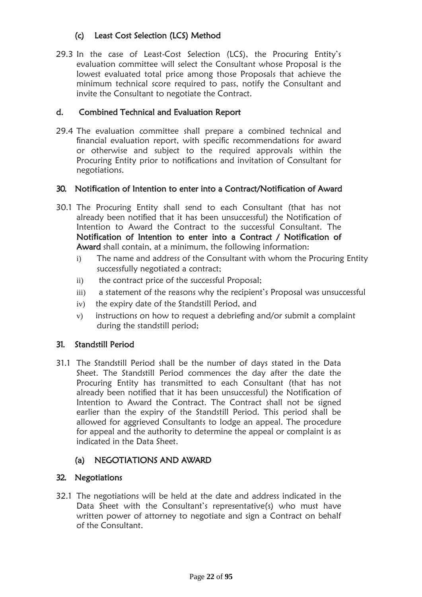## (c) Least Cost Selection (LCS) Method

29.3 In the case of Least-Cost Selection (LCS), the Procuring Entity's evaluation committee will select the Consultant whose Proposal is the lowest evaluated total price among those Proposals that achieve the minimum technical score required to pass, notify the Consultant and invite the Consultant to negotiate the Contract.

### d. Combined Technical and Evaluation Report

29.4 The evaluation committee shall prepare a combined technical and financial evaluation report, with specific recommendations for award or otherwise and subject to the required approvals within the Procuring Entity prior to notifications and invitation of Consultant for negotiations.

#### 30. Noti**fi**cation of Intention to enter into a Contract/Noti**fi**cation of Award

- 30.1 The Procuring Entity shall send to each Consultant (that has not already been notified that it has been unsuccessful) the Notification of Intention to Award the Contract to the successful Consultant. The Noti**fi**cation of Intention to enter into a Contract / Noti**fi**cation of Award shall contain, at a minimum, the following information:
	- i) The name and address of the Consultant with whom the Procuring Entity successfully negotiated a contract;
	- ii) the contract price of the successful Proposal;
	- iii) a statement of the reasons why the recipient's Proposal was unsuccessful
	- iv) the expiry date of the Standstill Period, and
	- v) instructions on how to request a debriefing and/or submit a complaint during the standstill period;

#### 31. Standstill Period

31.1 The Standstill Period shall be the number of days stated in the Data Sheet. The Standstill Period commences the day after the date the Procuring Entity has transmitted to each Consultant (that has not already been notified that it has been unsuccessful) the Notification of Intention to Award the Contract. The Contract shall not be signed earlier than the expiry of the Standstill Period. This period shall be allowed for aggrieved Consultants to lodge an appeal. The procedure for appeal and the authority to determine the appeal or complaint is as indicated in the Data Sheet.

## (a) NEGOTIATIONS AND AWARD

#### 32. Negotiations

32.1 The negotiations will be held at the date and address indicated in the Data Sheet with the Consultant's representative(s) who must have written power of attorney to negotiate and sign a Contract on behalf of the Consultant.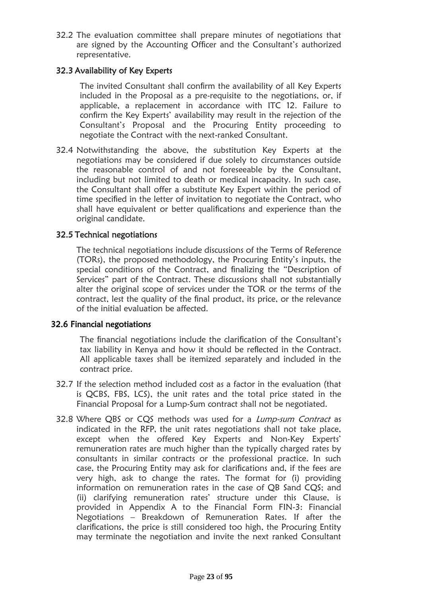32.2 The evaluation committee shall prepare minutes of negotiations that are signed by the Accounting Officer and the Consultant's authorized representative.

### 32.3 Availability of Key Experts

The invited Consultant shall confirm the availability of all Key Experts included in the Proposal as a pre-requisite to the negotiations, or, if applicable, a replacement in accordance with ITC 12. Failure to confirm the Key Experts' availability may result in the rejection of the Consultant's Proposal and the Procuring Entity proceeding to negotiate the Contract with the next-ranked Consultant.

32.4 Notwithstanding the above, the substitution Key Experts at the negotiations may be considered if due solely to circumstances outside the reasonable control of and not foreseeable by the Consultant, including but not limited to death or medical incapacity. In such case, the Consultant shall offer a substitute Key Expert within the period of time specified in the letter of invitation to negotiate the Contract, who shall have equivalent or better qualifications and experience than the original candidate.

## 32.5 Technical negotiations

The technical negotiations include discussions of the Terms of Reference (TORs), the proposed methodology, the Procuring Entity's inputs, the special conditions of the Contract, and finalizing the "Description of Services" part of the Contract. These discussions shall not substantially alter the original scope of services under the TOR or the terms of the contract, lest the quality of the final product, its price, or the relevance of the initial evaluation be affected.

#### 32.6 Financial negotiations

The financial negotiations include the clarification of the Consultant's tax liability in Kenya and how it should be reflected in the Contract. All applicable taxes shall be itemized separately and included in the contract price.

- 32.7 If the selection method included cost as a factor in the evaluation (that is QCBS, FBS, LCS), the unit rates and the total price stated in the Financial Proposal for a Lump-Sum contract shall not be negotiated.
- 32.8 Where QBS or CQS methods was used for a Lump-sum Contract as indicated in the RFP, the unit rates negotiations shall not take place, except when the offered Key Experts and Non-Key Experts' remuneration rates are much higher than the typically charged rates by consultants in similar contracts or the professional practice. In such case, the Procuring Entity may ask for clarifications and, if the fees are very high, ask to change the rates. The format for (i) providing information on remuneration rates in the case of QB Sand CQS; and (ii) clarifying remuneration rates' structure under this Clause, is provided in Appendix A to the Financial Form FIN-3: Financial Negotiations – Breakdown of Remuneration Rates. If after the clarifications, the price is still considered too high, the Procuring Entity may terminate the negotiation and invite the next ranked Consultant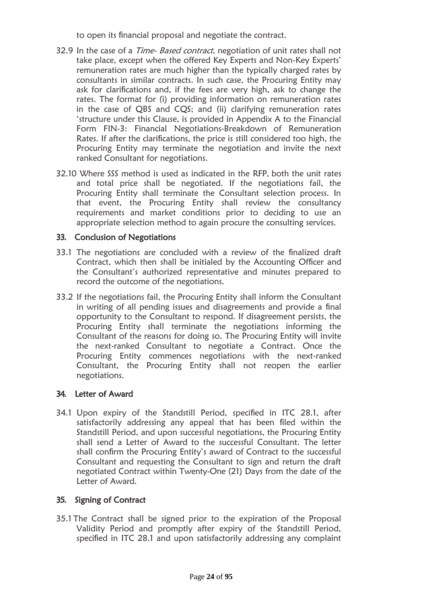to open its financial proposal and negotiate the contract.

- 32.9 In the case of a *Time- Based contract*, negotiation of unit rates shall not take place, except when the offered Key Experts and Non-Key Experts' remuneration rates are much higher than the typically charged rates by consultants in similar contracts. In such case, the Procuring Entity may ask for clarifications and, if the fees are very high, ask to change the rates. The format for (i) providing information on remuneration rates in the case of QBS and CQS; and (ii) clarifying remuneration rates 'structure under this Clause, is provided in Appendix A to the Financial Form FIN-3: Financial Negotiations-Breakdown of Remuneration Rates. If after the clarifications, the price is still considered too high, the Procuring Entity may terminate the negotiation and invite the next ranked Consultant for negotiations.
- 32.10 Where SSS method is used as indicated in the RFP, both the unit rates and total price shall be negotiated. If the negotiations fail, the Procuring Entity shall terminate the Consultant selection process. In that event, the Procuring Entity shall review the consultancy requirements and market conditions prior to deciding to use an appropriate selection method to again procure the consulting services.

#### 33. Conclusion of Negotiations

- 33.1 The negotiations are concluded with a review of the finalized draft Contract, which then shall be initialed by the Accounting Officer and the Consultant's authorized representative and minutes prepared to record the outcome of the negotiations.
- 33.2 If the negotiations fail, the Procuring Entity shall inform the Consultant in writing of all pending issues and disagreements and provide a final opportunity to the Consultant to respond. If disagreement persists, the Procuring Entity shall terminate the negotiations informing the Consultant of the reasons for doing so. The Procuring Entity will invite the next-ranked Consultant to negotiate a Contract. Once the Procuring Entity commences negotiations with the next-ranked Consultant, the Procuring Entity shall not reopen the earlier negotiations.

#### 34. Letter of Award

34.1 Upon expiry of the Standstill Period, specified in ITC 28.1, after satisfactorily addressing any appeal that has been filed within the Standstill Period, and upon successful negotiations, the Procuring Entity shall send a Letter of Award to the successful Consultant. The letter shall confirm the Procuring Entity's award of Contract to the successful Consultant and requesting the Consultant to sign and return the draft negotiated Contract within Twenty-One (21) Days from the date of the Letter of Award.

#### 35. Signing of Contract

35.1 The Contract shall be signed prior to the expiration of the Proposal Validity Period and promptly after expiry of the Standstill Period, specified in ITC 28.1 and upon satisfactorily addressing any complaint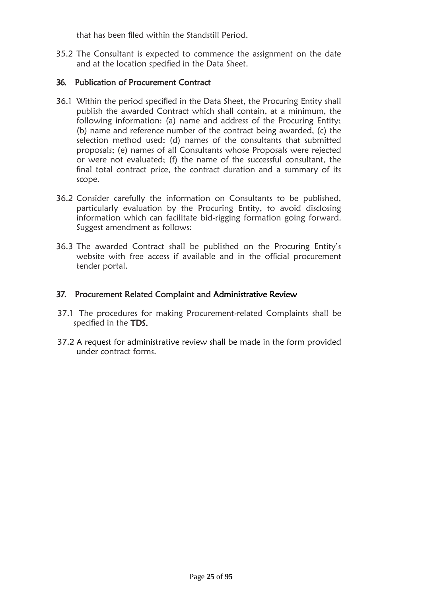that has been filed within the Standstill Period.

35.2 The Consultant is expected to commence the assignment on the date and at the location specified in the Data Sheet.

## 36. Publication of Procurement Contract

- 36.1 Within the period specified in the Data Sheet, the Procuring Entity shall publish the awarded Contract which shall contain, at a minimum, the following information: (a) name and address of the Procuring Entity; (b) name and reference number of the contract being awarded, (c) the selection method used; (d) names of the consultants that submitted proposals; (e) names of all Consultants whose Proposals were rejected or were not evaluated; (f) the name of the successful consultant, the final total contract price, the contract duration and a summary of its scope.
- 36.2 Consider carefully the information on Consultants to be published, particularly evaluation by the Procuring Entity, to avoid disclosing information which can facilitate bid-rigging formation going forward. Suggest amendment as follows:
- 36.3 The awarded Contract shall be published on the Procuring Entity's website with free access if available and in the official procurement tender portal.

#### 37. Procurement Related Complaint and Administrative Review

- 37.1 The procedures for making Procurement-related Complaints shall be specified in the TDS.
- 37.2 A request for administrative review shall be made in the form provided under contract forms.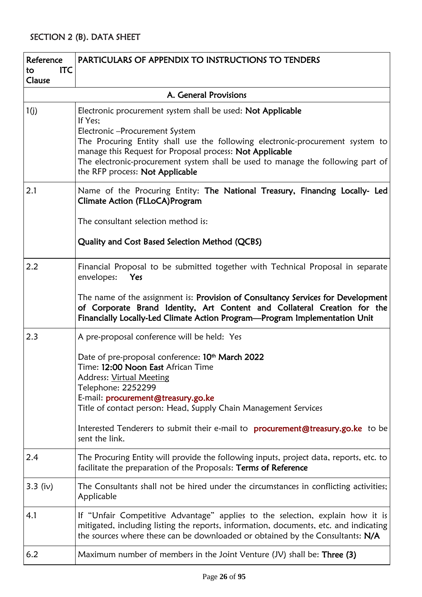<span id="page-25-0"></span>

| Reference                  | <b>PARTICULARS OF APPENDIX TO INSTRUCTIONS TO TENDERS</b>                                                                                                                                                                                                                                                                                                                    |
|----------------------------|------------------------------------------------------------------------------------------------------------------------------------------------------------------------------------------------------------------------------------------------------------------------------------------------------------------------------------------------------------------------------|
| <b>ITC</b><br>to<br>Clause |                                                                                                                                                                                                                                                                                                                                                                              |
|                            |                                                                                                                                                                                                                                                                                                                                                                              |
|                            | A. General Provisions                                                                                                                                                                                                                                                                                                                                                        |
| 1(j)                       | Electronic procurement system shall be used: Not Applicable<br>If Yes;<br>Electronic - Procurement System<br>The Procuring Entity shall use the following electronic-procurement system to<br>manage this Request for Proposal process: Not Applicable<br>The electronic-procurement system shall be used to manage the following part of<br>the RFP process: Not Applicable |
| 2.1                        | Name of the Procuring Entity: The National Treasury, Financing Locally- Led<br><b>Climate Action (FLLoCA)Program</b>                                                                                                                                                                                                                                                         |
|                            | The consultant selection method is:                                                                                                                                                                                                                                                                                                                                          |
|                            | Quality and Cost Based Selection Method (QCBS)                                                                                                                                                                                                                                                                                                                               |
| 2.2                        | Financial Proposal to be submitted together with Technical Proposal in separate<br>envelopes:<br>Yes                                                                                                                                                                                                                                                                         |
|                            | The name of the assignment is: Provision of Consultancy Services for Development<br>of Corporate Brand Identity, Art Content and Collateral Creation for the<br>Financially Locally-Led Climate Action Program-Program Implementation Unit                                                                                                                                   |
| 2.3                        | A pre-proposal conference will be held: Yes                                                                                                                                                                                                                                                                                                                                  |
|                            | Date of pre-proposal conference: 10 <sup>th</sup> March 2022<br>Time: 12:00 Noon East African Time<br>Address: Virtual Meeting<br>Telephone: 2252299<br>E-mail: procurement@treasury.go.ke<br>Title of contact person: Head, Supply Chain Management Services                                                                                                                |
|                            | Interested Tenderers to submit their e-mail to procurement@treasury.go.ke to be<br>sent the link.                                                                                                                                                                                                                                                                            |
| 2.4                        | The Procuring Entity will provide the following inputs, project data, reports, etc. to<br>facilitate the preparation of the Proposals: Terms of Reference                                                                                                                                                                                                                    |
| $3.3$ (iv)                 | The Consultants shall not be hired under the circumstances in conflicting activities;<br>Applicable                                                                                                                                                                                                                                                                          |
| 4.1                        | If "Unfair Competitive Advantage" applies to the selection, explain how it is<br>mitigated, including listing the reports, information, documents, etc. and indicating<br>the sources where these can be downloaded or obtained by the Consultants: $N/A$                                                                                                                    |
| 6.2                        | Maximum number of members in the Joint Venture $(U)$ shall be: Three (3)                                                                                                                                                                                                                                                                                                     |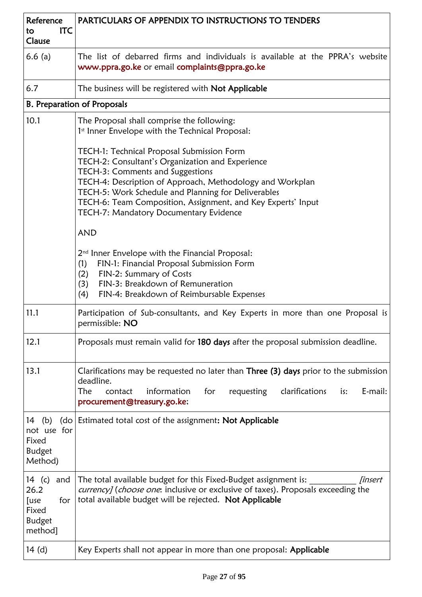| Reference<br><b>ITC</b><br>to<br>Clause                                           | PARTICULARS OF APPENDIX TO INSTRUCTIONS TO TENDERS                                                                                                                                                                                               |  |  |
|-----------------------------------------------------------------------------------|--------------------------------------------------------------------------------------------------------------------------------------------------------------------------------------------------------------------------------------------------|--|--|
| 6.6(a)                                                                            | The list of debarred firms and individuals is available at the PPRA's website<br>www.ppra.go.ke or email complaints@ppra.go.ke                                                                                                                   |  |  |
| 6.7                                                                               | The business will be registered with Not Applicable                                                                                                                                                                                              |  |  |
|                                                                                   | <b>B. Preparation of Proposals</b>                                                                                                                                                                                                               |  |  |
| 10.1                                                                              | The Proposal shall comprise the following:<br>1st Inner Envelope with the Technical Proposal:<br>TECH-1: Technical Proposal Submission Form                                                                                                      |  |  |
|                                                                                   | TECH-2: Consultant's Organization and Experience<br>TECH-3: Comments and Suggestions                                                                                                                                                             |  |  |
|                                                                                   | TECH-4: Description of Approach, Methodology and Workplan                                                                                                                                                                                        |  |  |
|                                                                                   | TECH-5: Work Schedule and Planning for Deliverables<br>TECH-6: Team Composition, Assignment, and Key Experts' Input<br>TECH-7: Mandatory Documentary Evidence                                                                                    |  |  |
|                                                                                   | <b>AND</b>                                                                                                                                                                                                                                       |  |  |
|                                                                                   | 2 <sup>nd</sup> Inner Envelope with the Financial Proposal:<br>FIN-1: Financial Proposal Submission Form<br>(1)<br>FIN-2: Summary of Costs<br>(2)<br>FIN-3: Breakdown of Remuneration<br>(3)<br>(4)<br>FIN-4: Breakdown of Reimbursable Expenses |  |  |
| 11.1                                                                              | Participation of Sub-consultants, and Key Experts in more than one Proposal is<br>permissible: NO                                                                                                                                                |  |  |
| 12.1                                                                              | Proposals must remain valid for 180 days after the proposal submission deadline.                                                                                                                                                                 |  |  |
| 13.1                                                                              | Clarifications may be requested no later than Three (3) days prior to the submission<br>deadline.<br><b>The</b><br>clarifications<br>E-mail:<br>contact<br>information<br>for<br>requesting<br>is:<br>procurement@treasury.go.ke;                |  |  |
| 14 (b)<br>(do<br>not use for<br>Fixed<br><b>Budget</b><br>Method)                 | Estimated total cost of the assignment: Not Applicable                                                                                                                                                                                           |  |  |
| 14 (c)<br>and<br>26.2<br>for<br><b>S</b> use<br>Fixed<br><b>Budget</b><br>method] | The total available budget for this Fixed-Budget assignment is:<br><i>finsert</i><br>currency] (choose one: inclusive or exclusive of taxes). Proposals exceeding the<br>total available budget will be rejected. Not Applicable                 |  |  |
| 14 $(d)$                                                                          | Key Experts shall not appear in more than one proposal: Applicable                                                                                                                                                                               |  |  |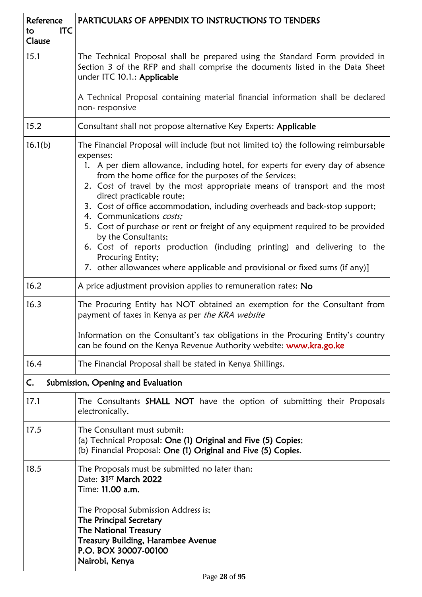| Reference<br><b>ITC</b><br>to<br>Clause | <b>PARTICULARS OF APPENDIX TO INSTRUCTIONS TO TENDERS</b>                                                                                                                                                                                                                                                                                                                                                                                                                                                                                                                                                                                                                                                                                                    |  |  |
|-----------------------------------------|--------------------------------------------------------------------------------------------------------------------------------------------------------------------------------------------------------------------------------------------------------------------------------------------------------------------------------------------------------------------------------------------------------------------------------------------------------------------------------------------------------------------------------------------------------------------------------------------------------------------------------------------------------------------------------------------------------------------------------------------------------------|--|--|
| 15.1                                    | The Technical Proposal shall be prepared using the Standard Form provided in<br>Section 3 of the RFP and shall comprise the documents listed in the Data Sheet<br>under ITC 10.1.: Applicable                                                                                                                                                                                                                                                                                                                                                                                                                                                                                                                                                                |  |  |
|                                         | A Technical Proposal containing material financial information shall be declared<br>non-responsive                                                                                                                                                                                                                                                                                                                                                                                                                                                                                                                                                                                                                                                           |  |  |
| 15.2                                    | Consultant shall not propose alternative Key Experts: Applicable                                                                                                                                                                                                                                                                                                                                                                                                                                                                                                                                                                                                                                                                                             |  |  |
| 16.1(b)                                 | The Financial Proposal will include (but not limited to) the following reimbursable<br>expenses:<br>1. A per diem allowance, including hotel, for experts for every day of absence<br>from the home office for the purposes of the Services;<br>2. Cost of travel by the most appropriate means of transport and the most<br>direct practicable route;<br>3. Cost of office accommodation, including overheads and back-stop support;<br>4. Communications costs;<br>5. Cost of purchase or rent or freight of any equipment required to be provided<br>by the Consultants;<br>6. Cost of reports production (including printing) and delivering to the<br>Procuring Entity;<br>7. other allowances where applicable and provisional or fixed sums (if any)] |  |  |
| 16.2                                    | A price adjustment provision applies to remuneration rates: No                                                                                                                                                                                                                                                                                                                                                                                                                                                                                                                                                                                                                                                                                               |  |  |
| 16.3                                    | The Procuring Entity has NOT obtained an exemption for the Consultant from<br>payment of taxes in Kenya as per the KRA website<br>Information on the Consultant's tax obligations in the Procuring Entity's country<br>can be found on the Kenya Revenue Authority website: www.kra.go.ke                                                                                                                                                                                                                                                                                                                                                                                                                                                                    |  |  |
| 16.4                                    | The Financial Proposal shall be stated in Kenya Shillings.                                                                                                                                                                                                                                                                                                                                                                                                                                                                                                                                                                                                                                                                                                   |  |  |
| C.                                      | Submission, Opening and Evaluation                                                                                                                                                                                                                                                                                                                                                                                                                                                                                                                                                                                                                                                                                                                           |  |  |
| 17.1                                    | The Consultants <b>SHALL NOT</b> have the option of submitting their Proposals<br>electronically.                                                                                                                                                                                                                                                                                                                                                                                                                                                                                                                                                                                                                                                            |  |  |
| 17.5                                    | The Consultant must submit:<br>(a) Technical Proposal: One (1) Original and Five (5) Copies;<br>(b) Financial Proposal: One (1) Original and Five (5) Copies.                                                                                                                                                                                                                                                                                                                                                                                                                                                                                                                                                                                                |  |  |
| 18.5                                    | The Proposals must be submitted no later than:<br>Date: 31 <sup>st</sup> March 2022<br>Time: 11.00 a.m.<br>The Proposal Submission Address is;<br>The Principal Secretary<br>The National Treasury<br><b>Treasury Building, Harambee Avenue</b><br>P.O. BOX 30007-00100<br>Nairobi, Kenya                                                                                                                                                                                                                                                                                                                                                                                                                                                                    |  |  |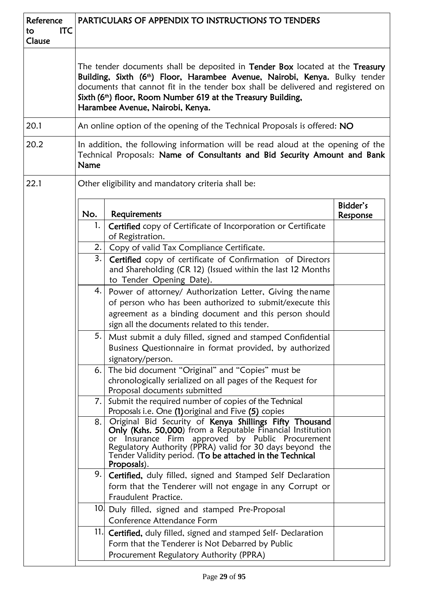| Reference<br><b>ITC</b><br>to<br>Clause | PARTICULARS OF APPENDIX TO INSTRUCTIONS TO TENDERS                                                                                                                   |                                                                                                                                                                                                                                                                                                                                                                               |                      |
|-----------------------------------------|----------------------------------------------------------------------------------------------------------------------------------------------------------------------|-------------------------------------------------------------------------------------------------------------------------------------------------------------------------------------------------------------------------------------------------------------------------------------------------------------------------------------------------------------------------------|----------------------|
|                                         |                                                                                                                                                                      | The tender documents shall be deposited in Tender Box located at the Treasury<br>Building, Sixth (6 <sup>th</sup> ) Floor, Harambee Avenue, Nairobi, Kenya. Bulky tender<br>documents that cannot fit in the tender box shall be delivered and registered on<br>Sixth (6 <sup>th</sup> ) floor, Room Number 619 at the Treasury Building,<br>Harambee Avenue, Nairobi, Kenya. |                      |
| 20.1                                    |                                                                                                                                                                      | An online option of the opening of the Technical Proposals is offered: NO                                                                                                                                                                                                                                                                                                     |                      |
| 20.2                                    | In addition, the following information will be read aloud at the opening of the<br>Technical Proposals: Name of Consultants and Bid Security Amount and Bank<br>Name |                                                                                                                                                                                                                                                                                                                                                                               |                      |
| 22.1                                    |                                                                                                                                                                      | Other eligibility and mandatory criteria shall be:                                                                                                                                                                                                                                                                                                                            |                      |
|                                         | No.                                                                                                                                                                  | Requirements                                                                                                                                                                                                                                                                                                                                                                  | Bidder's<br>Response |
|                                         | 1.                                                                                                                                                                   | Certified copy of Certificate of Incorporation or Certificate<br>of Registration.                                                                                                                                                                                                                                                                                             |                      |
|                                         | 2.                                                                                                                                                                   | Copy of valid Tax Compliance Certificate.                                                                                                                                                                                                                                                                                                                                     |                      |
|                                         | 3.                                                                                                                                                                   | <b>Certified</b> copy of certificate of Confirmation of Directors<br>and Shareholding (CR 12) (Issued within the last 12 Months<br>to Tender Opening Date).                                                                                                                                                                                                                   |                      |
|                                         | 4.                                                                                                                                                                   | Power of attorney/ Authorization Letter, Giving the name<br>of person who has been authorized to submit/execute this<br>agreement as a binding document and this person should<br>sign all the documents related to this tender.                                                                                                                                              |                      |
|                                         | 5.                                                                                                                                                                   | Must submit a duly filled, signed and stamped Confidential<br>Business Questionnaire in format provided, by authorized<br>signatory/person.                                                                                                                                                                                                                                   |                      |
|                                         |                                                                                                                                                                      | 6. The bid document "Original" and "Copies" must be<br>chronologically serialized on all pages of the Request for<br>Proposal documents submitted                                                                                                                                                                                                                             |                      |
|                                         | 7.                                                                                                                                                                   | Submit the required number of copies of the Technical<br>Proposals i.e. One (1) original and Five (5) copies                                                                                                                                                                                                                                                                  |                      |
|                                         | 8.                                                                                                                                                                   | Original Bid Security of Kenya Shillings Fifty Thousand<br>Only (Kshs. 50,000) from a Reputable Financial Institution<br>or Insurance Firm approved by Public Procurement<br>Regulatory Authority (PPRA) valid for 30 days beyond the<br>Tender Validity period. (To be attached in the Technical<br>Proposals).                                                              |                      |
|                                         | 9.                                                                                                                                                                   | Certified, duly filled, signed and Stamped Self Declaration<br>form that the Tenderer will not engage in any Corrupt or<br>Fraudulent Practice.                                                                                                                                                                                                                               |                      |
|                                         |                                                                                                                                                                      | 10 Duly filled, signed and stamped Pre-Proposal<br>Conference Attendance Form                                                                                                                                                                                                                                                                                                 |                      |
|                                         |                                                                                                                                                                      | 11. Certified, duly filled, signed and stamped Self- Declaration<br>Form that the Tenderer is Not Debarred by Public<br>Procurement Regulatory Authority (PPRA)                                                                                                                                                                                                               |                      |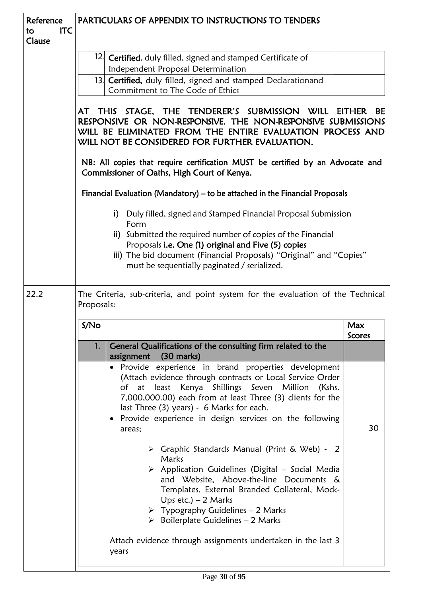| Reference<br><b>ITC</b><br>to<br>Clause | PARTICULARS OF APPENDIX TO INSTRUCTIONS TO TENDERS                                                                                                                                                                                                                                                                                                                                                                                                                                                                                                                                                                                                                                                                                                                                                                                                                                                                                                                                 |                            |
|-----------------------------------------|------------------------------------------------------------------------------------------------------------------------------------------------------------------------------------------------------------------------------------------------------------------------------------------------------------------------------------------------------------------------------------------------------------------------------------------------------------------------------------------------------------------------------------------------------------------------------------------------------------------------------------------------------------------------------------------------------------------------------------------------------------------------------------------------------------------------------------------------------------------------------------------------------------------------------------------------------------------------------------|----------------------------|
|                                         | 12 Certified, duly filled, signed and stamped Certificate of<br>Independent Proposal Determination<br>13. Certified, duly filled, signed and stamped Declarationand<br>Commitment to The Code of Ethics<br>AT THIS STAGE, THE TENDERER'S SUBMISSION WILL<br>RESPONSIVE OR NON-RESPONSIVE. THE NON-RESPONSIVE SUBMISSIONS<br>WILL BE ELIMINATED FROM THE ENTIRE EVALUATION PROCESS AND<br>WILL NOT BE CONSIDERED FOR FURTHER EVALUATION.<br>NB: All copies that require certification MUST be certified by an Advocate and<br>Commissioner of Oaths, High Court of Kenya.<br>Financial Evaluation (Mandatory) - to be attached in the Financial Proposals<br>i) Duly filled, signed and Stamped Financial Proposal Submission<br>Form<br>ii) Submitted the required number of copies of the Financial<br>Proposals i.e. One (1) original and Five (5) copies<br>iii) The bid document (Financial Proposals) "Original" and "Copies"<br>must be sequentially paginated / serialized. | <b>EITHER</b><br><b>BE</b> |
| 22.2                                    | The Criteria, sub-criteria, and point system for the evaluation of the Technical<br>Proposals:                                                                                                                                                                                                                                                                                                                                                                                                                                                                                                                                                                                                                                                                                                                                                                                                                                                                                     |                            |
|                                         | S/No<br>General Qualifications of the consulting firm related to the<br>1.<br>assignment (30 marks)<br>• Provide experience in brand properties development<br>(Attach evidence through contracts or Local Service Order<br>of at least Kenya Shillings Seven Million (Kshs.<br>7,000,000.00) each from at least Three (3) clients for the<br>last Three (3) years) - 6 Marks for each.<br>• Provide experience in design services on the following<br>areas;<br>$\triangleright$ Graphic Standards Manual (Print & Web) - 2<br>Marks<br>$\triangleright$ Application Guidelines (Digital – Social Media<br>and Website, Above-the-line Documents &<br>Templates, External Branded Collateral, Mock-<br>Ups etc.) $-2$ Marks                                                                                                                                                                                                                                                       | Max<br><b>Scores</b><br>30 |
|                                         | $\triangleright$ Typography Guidelines - 2 Marks<br>$\triangleright$ Boilerplate Guidelines - 2 Marks<br>Attach evidence through assignments undertaken in the last 3<br>years                                                                                                                                                                                                                                                                                                                                                                                                                                                                                                                                                                                                                                                                                                                                                                                                     |                            |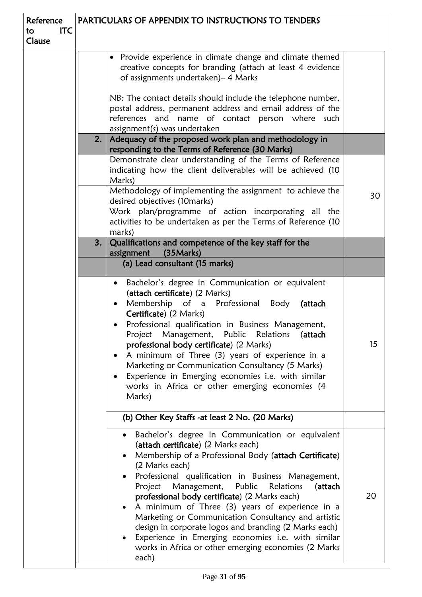| Reference<br><b>ITC</b><br>to<br>Clause | PARTICULARS OF APPENDIX TO INSTRUCTIONS TO TENDERS                                                                                                                                                                                                                                                                                                                                                                                                                                                                                                                                                                                                         |    |
|-----------------------------------------|------------------------------------------------------------------------------------------------------------------------------------------------------------------------------------------------------------------------------------------------------------------------------------------------------------------------------------------------------------------------------------------------------------------------------------------------------------------------------------------------------------------------------------------------------------------------------------------------------------------------------------------------------------|----|
|                                         | • Provide experience in climate change and climate themed<br>creative concepts for branding (attach at least 4 evidence<br>of assignments undertaken) - 4 Marks                                                                                                                                                                                                                                                                                                                                                                                                                                                                                            |    |
|                                         | NB: The contact details should include the telephone number,<br>postal address, permanent address and email address of the<br>references and name of contact person where such<br>assignment(s) was undertaken                                                                                                                                                                                                                                                                                                                                                                                                                                             |    |
|                                         | 2.1<br>Adequacy of the proposed work plan and methodology in<br>responding to the Terms of Reference (30 Marks)                                                                                                                                                                                                                                                                                                                                                                                                                                                                                                                                            |    |
|                                         | Demonstrate clear understanding of the Terms of Reference<br>indicating how the client deliverables will be achieved (10<br>Marks)                                                                                                                                                                                                                                                                                                                                                                                                                                                                                                                         |    |
|                                         | Methodology of implementing the assignment to achieve the<br>desired objectives (10marks)<br>Work plan/programme of action incorporating all the                                                                                                                                                                                                                                                                                                                                                                                                                                                                                                           | 30 |
|                                         | activities to be undertaken as per the Terms of Reference (10<br>marks)                                                                                                                                                                                                                                                                                                                                                                                                                                                                                                                                                                                    |    |
|                                         | 3.<br>Qualifications and competence of the key staff for the<br>(35Marks)<br>assignment                                                                                                                                                                                                                                                                                                                                                                                                                                                                                                                                                                    |    |
|                                         | (a) Lead consultant (15 marks)                                                                                                                                                                                                                                                                                                                                                                                                                                                                                                                                                                                                                             |    |
|                                         | Bachelor's degree in Communication or equivalent<br>$\bullet$<br>(attach certificate) (2 Marks)<br>Membership of a Professional Body<br>(attach<br>Certificate) (2 Marks)<br>Professional qualification in Business Management,<br>Project Management, Public Relations<br>(attach<br>professional body certificate) (2 Marks)<br>A minimum of Three (3) years of experience in a<br>Marketing or Communication Consultancy (5 Marks)<br>Experience in Emerging economies i.e. with similar<br>works in Africa or other emerging economies (4<br>Marks)                                                                                                    | 15 |
|                                         | (b) Other Key Staffs -at least 2 No. (20 Marks)                                                                                                                                                                                                                                                                                                                                                                                                                                                                                                                                                                                                            |    |
|                                         | Bachelor's degree in Communication or equivalent<br>$\bullet$<br>(attach certificate) (2 Marks each)<br>Membership of a Professional Body (attach Certificate)<br>(2 Marks each)<br>Professional qualification in Business Management,<br>Project<br>Management,<br>Public<br>Relations<br>(attach<br>professional body certificate) (2 Marks each)<br>A minimum of Three (3) years of experience in a<br>Marketing or Communication Consultancy and artistic<br>design in corporate logos and branding (2 Marks each)<br>Experience in Emerging economies i.e. with similar<br>$\bullet$<br>works in Africa or other emerging economies (2 Marks<br>each) | 20 |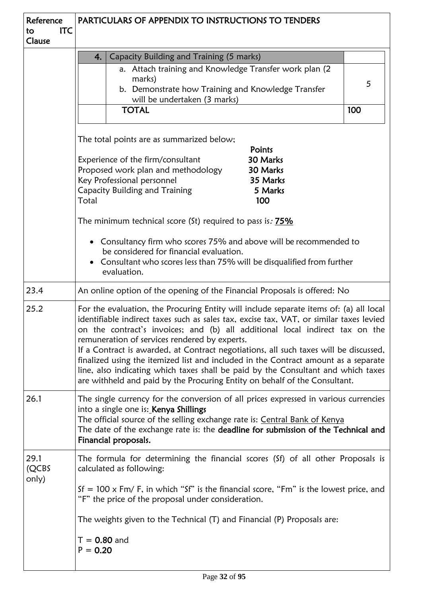| Reference<br><b>ITC</b><br>to<br>Clause |                                                                                                                                                                                                                                                                                                                                                                                                                                                                                                                                                                                                                                                                       | <b>PARTICULARS OF APPENDIX TO INSTRUCTIONS TO TENDERS</b>                                                                                                                                                                                                           |          |  |
|-----------------------------------------|-----------------------------------------------------------------------------------------------------------------------------------------------------------------------------------------------------------------------------------------------------------------------------------------------------------------------------------------------------------------------------------------------------------------------------------------------------------------------------------------------------------------------------------------------------------------------------------------------------------------------------------------------------------------------|---------------------------------------------------------------------------------------------------------------------------------------------------------------------------------------------------------------------------------------------------------------------|----------|--|
|                                         | 4.                                                                                                                                                                                                                                                                                                                                                                                                                                                                                                                                                                                                                                                                    | Capacity Building and Training (5 marks)                                                                                                                                                                                                                            |          |  |
|                                         |                                                                                                                                                                                                                                                                                                                                                                                                                                                                                                                                                                                                                                                                       | a. Attach training and Knowledge Transfer work plan (2<br>marks)<br>b. Demonstrate how Training and Knowledge Transfer<br>will be undertaken (3 marks)<br><b>TOTAL</b>                                                                                              | 5<br>100 |  |
|                                         |                                                                                                                                                                                                                                                                                                                                                                                                                                                                                                                                                                                                                                                                       |                                                                                                                                                                                                                                                                     |          |  |
|                                         | Total                                                                                                                                                                                                                                                                                                                                                                                                                                                                                                                                                                                                                                                                 | The total points are as summarized below;<br>Points<br>30 Marks<br>Experience of the firm/consultant<br>Proposed work plan and methodology<br>30 Marks<br>Key Professional personnel<br>35 Marks<br>Capacity Building and Training<br>5 Marks<br>100                |          |  |
|                                         |                                                                                                                                                                                                                                                                                                                                                                                                                                                                                                                                                                                                                                                                       |                                                                                                                                                                                                                                                                     |          |  |
|                                         |                                                                                                                                                                                                                                                                                                                                                                                                                                                                                                                                                                                                                                                                       | The minimum technical score (St) required to pass is: 75%                                                                                                                                                                                                           |          |  |
|                                         | • Consultancy firm who scores 75% and above will be recommended to<br>be considered for financial evaluation.<br>• Consultant who scores less than 75% will be disqualified from further<br>evaluation.                                                                                                                                                                                                                                                                                                                                                                                                                                                               |                                                                                                                                                                                                                                                                     |          |  |
| 23.4                                    | An online option of the opening of the Financial Proposals is offered: No                                                                                                                                                                                                                                                                                                                                                                                                                                                                                                                                                                                             |                                                                                                                                                                                                                                                                     |          |  |
| 25.2                                    | For the evaluation, the Procuring Entity will include separate items of: (a) all local<br>identifiable indirect taxes such as sales tax, excise tax, VAT, or similar taxes levied<br>on the contract's invoices; and (b) all additional local indirect tax on the<br>remuneration of services rendered by experts.<br>If a Contract is awarded, at Contract negotiations, all such taxes will be discussed,<br>finalized using the itemized list and included in the Contract amount as a separate<br>line, also indicating which taxes shall be paid by the Consultant and which taxes<br>are withheld and paid by the Procuring Entity on behalf of the Consultant. |                                                                                                                                                                                                                                                                     |          |  |
| 26.1                                    | The single currency for the conversion of all prices expressed in various currencies<br>into a single one is: Kenya Shillings<br>The official source of the selling exchange rate is: Central Bank of Kenya<br>The date of the exchange rate is: the deadline for submission of the Technical and<br>Financial proposals.                                                                                                                                                                                                                                                                                                                                             |                                                                                                                                                                                                                                                                     |          |  |
| 29.1<br>(QCBS<br>only)                  |                                                                                                                                                                                                                                                                                                                                                                                                                                                                                                                                                                                                                                                                       | The formula for determining the financial scores (Sf) of all other Proposals is<br>calculated as following:<br>$Sf = 100 \times Fm / F$ , in which "Sf" is the financial score, "Fm" is the lowest price, and<br>"F" the price of the proposal under consideration. |          |  |
|                                         | $T = 0.80$ and<br>$P = 0.20$                                                                                                                                                                                                                                                                                                                                                                                                                                                                                                                                                                                                                                          | The weights given to the Technical (T) and Financial (P) Proposals are:                                                                                                                                                                                             |          |  |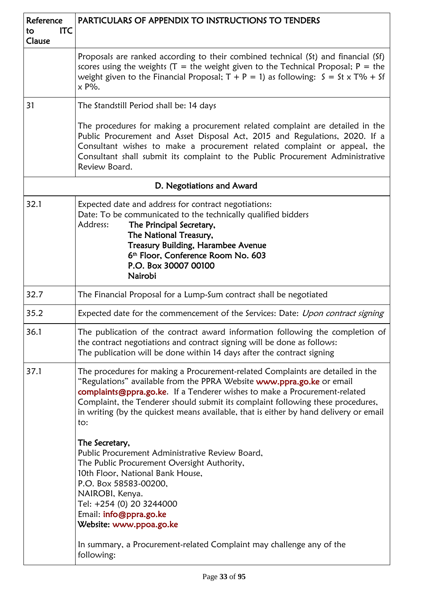| Reference<br><b>ITC</b><br>to<br>Clause | PARTICULARS OF APPENDIX TO INSTRUCTIONS TO TENDERS                                                                                                                                                                                                                                                                                                                                                                                                                                                                                                                              |  |  |
|-----------------------------------------|---------------------------------------------------------------------------------------------------------------------------------------------------------------------------------------------------------------------------------------------------------------------------------------------------------------------------------------------------------------------------------------------------------------------------------------------------------------------------------------------------------------------------------------------------------------------------------|--|--|
|                                         | Proposals are ranked according to their combined technical (St) and financial (Sf)<br>scores using the weights $(T =$ the weight given to the Technical Proposal; $P =$ the<br>weight given to the Financial Proposal; $T + P = 1$ ) as following: $S = St \times T\% + Sf$<br>$\times$ P%.                                                                                                                                                                                                                                                                                     |  |  |
| 31                                      | The Standstill Period shall be: 14 days                                                                                                                                                                                                                                                                                                                                                                                                                                                                                                                                         |  |  |
|                                         | The procedures for making a procurement related complaint are detailed in the<br>Public Procurement and Asset Disposal Act, 2015 and Regulations, 2020. If a<br>Consultant wishes to make a procurement related complaint or appeal, the<br>Consultant shall submit its complaint to the Public Procurement Administrative<br>Review Board.                                                                                                                                                                                                                                     |  |  |
|                                         | D. Negotiations and Award                                                                                                                                                                                                                                                                                                                                                                                                                                                                                                                                                       |  |  |
| 32.1                                    | Expected date and address for contract negotiations:<br>Date: To be communicated to the technically qualified bidders<br>Address:<br>The Principal Secretary,<br>The National Treasury,<br><b>Treasury Building, Harambee Avenue</b><br>6 <sup>th</sup> Floor, Conference Room No. 603<br>P.O. Box 30007 00100<br>Nairobi                                                                                                                                                                                                                                                       |  |  |
| 32.7                                    | The Financial Proposal for a Lump-Sum contract shall be negotiated                                                                                                                                                                                                                                                                                                                                                                                                                                                                                                              |  |  |
| 35.2                                    | Expected date for the commencement of the Services: Date: Upon contract signing                                                                                                                                                                                                                                                                                                                                                                                                                                                                                                 |  |  |
| 36.1                                    | The publication of the contract award information following the completion of<br>the contract negotiations and contract signing will be done as follows:<br>The publication will be done within 14 days after the contract signing                                                                                                                                                                                                                                                                                                                                              |  |  |
| 37.1                                    | The procedures for making a Procurement-related Complaints are detailed in the<br>"Regulations" available from the PPRA Website www.ppra.go.ke or email<br>complaints@ppra.go.ke. If a Tenderer wishes to make a Procurement-related<br>Complaint, the Tenderer should submit its complaint following these procedures,<br>in writing (by the quickest means available, that is either by hand delivery or email<br>to:<br>The Secretary,<br>Public Procurement Administrative Review Board,<br>The Public Procurement Oversight Authority,<br>10th Floor, National Bank House, |  |  |
|                                         | P.O. Box 58583-00200,<br>NAIROBI, Kenya.<br>Tel: +254 (0) 20 3244000<br>Email: info@ppra.go.ke<br>Website: www.ppoa.go.ke                                                                                                                                                                                                                                                                                                                                                                                                                                                       |  |  |
|                                         | In summary, a Procurement-related Complaint may challenge any of the<br>following:                                                                                                                                                                                                                                                                                                                                                                                                                                                                                              |  |  |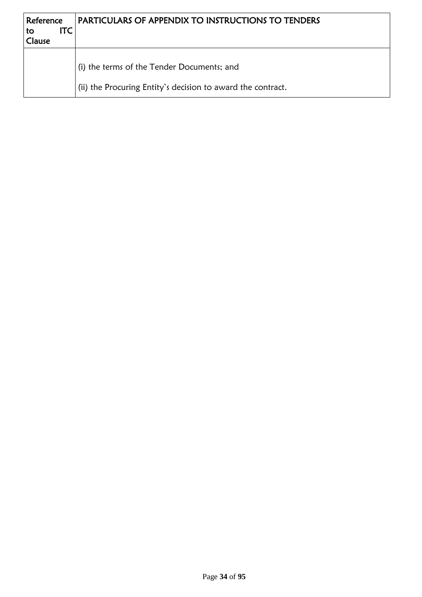| Reference <br>ITC<br>l to<br><b>Clause</b> | <b>PARTICULARS OF APPENDIX TO INSTRUCTIONS TO TENDERS</b>                                                 |  |  |
|--------------------------------------------|-----------------------------------------------------------------------------------------------------------|--|--|
|                                            | (i) the terms of the Tender Documents; and<br>(ii) the Procuring Entity's decision to award the contract. |  |  |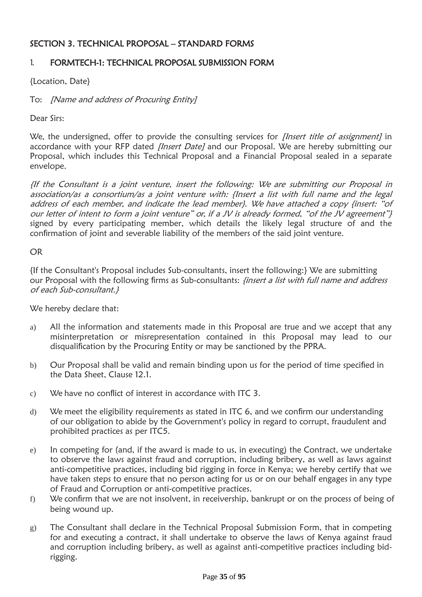## <span id="page-34-0"></span>SECTION 3. TECHNICAL PROPOSAL – STANDARD FORMS

## <span id="page-34-1"></span>1. FORMTECH-1: TECHNICAL PROPOSAL SUBMISSION FORM

{Location, Date}

## To: [Name and address of Procuring Entity]

Dear Sirs:

We, the undersigned, offer to provide the consulting services for *[Insert title of assignment]* in accordance with your RFP dated *[Insert Date]* and our Proposal. We are hereby submitting our Proposal, which includes this Technical Proposal and a Financial Proposal sealed in a separate envelope.

{If the Consultant is a joint venture, insert the following: We are submitting our Proposal in association/as a consortium/as a joint venture with: {Insert a list with full name and the legal address of each member, and indicate the lead member}. We have attached a copy {insert: "of our letter of intent to form a joint venture" or, if a JV is already formed, "of the JV agreement"} signed by every participating member, which details the likely legal structure of and the confirmation of joint and severable liability of the members of the said joint venture.

OR

{If the Consultant's Proposal includes Sub-consultants, insert the following:} We are submitting our Proposal with the following firms as Sub-consultants: *{insert a list with full name and address* of each Sub-consultant.}

We hereby declare that:

- a) All the information and statements made in this Proposal are true and we accept that any misinterpretation or misrepresentation contained in this Proposal may lead to our disqualification by the Procuring Entity or may be sanctioned by the PPRA.
- b) Our Proposal shall be valid and remain binding upon us for the period of time specified in the Data Sheet, Clause 12.1.
- c) We have no conflict of interest in accordance with ITC 3.
- d) We meet the eligibility requirements as stated in ITC 6, and we confirm our understanding of our obligation to abide by the Government's policy in regard to corrupt, fraudulent and prohibited practices as per ITC5.
- e) In competing for (and, if the award is made to us, in executing) the Contract, we undertake to observe the laws against fraud and corruption, including bribery, as well as laws against anti-competitive practices, including bid rigging in force in Kenya; we hereby certify that we have taken steps to ensure that no person acting for us or on our behalf engages in any type of Fraud and Corruption or anti-competitive practices.
- f) We confirm that we are not insolvent, in receivership, bankrupt or on the process of being of being wound up.
- g) The Consultant shall declare in the Technical Proposal Submission Form, that in competing for and executing a contract, it shall undertake to observe the laws of Kenya against fraud and corruption including bribery, as well as against anti-competitive practices including bidrigging.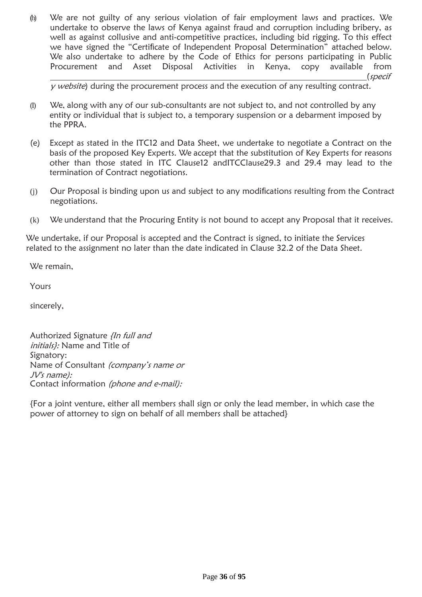(h) We are not guilty of any serious violation of fair employment laws and practices. We undertake to observe the laws of Kenya against fraud and corruption including bribery, as well as against collusive and anti-competitive practices, including bid rigging. To this effect we have signed the "Certificate of Independent Proposal Determination" attached below. We also undertake to adhere by the Code of Ethics for persons participating in Public Procurement and Asset Disposal Activities in Kenya, copy available from (specif

 $y$  website) during the procurement process and the execution of any resulting contract.

- $(I)$  We, along with any of our sub-consultants are not subject to, and not controlled by any entity or individual that is subject to, a temporary suspension or a debarment imposed by the PPRA.
- (e) Except as stated in the ITC12 and Data Sheet, we undertake to negotiate a Contract on the basis of the proposed Key Experts. We accept that the substitution of Key Experts for reasons other than those stated in ITC Clause12 andITCClause29.3 and 29.4 may lead to the termination of Contract negotiations.
- (j) Our Proposal is binding upon us and subject to any modifications resulting from the Contract negotiations.
- (k) We understand that the Procuring Entity is not bound to accept any Proposal that it receives.

We undertake, if our Proposal is accepted and the Contract is signed, to initiate the Services related to the assignment no later than the date indicated in Clause 32.2 of the Data Sheet.

We remain,

Yours

sincerely,

Authorized Signature {In full and initials): Name and Title of Signatory: Name of Consultant (company's name or JV's name): Contact information (phone and e-mail):

{For a joint venture, either all members shall sign or only the lead member, in which case the power of attorney to sign on behalf of all members shall be attached}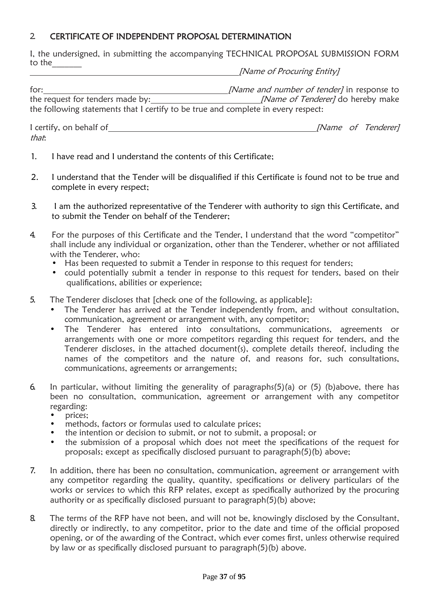## 2. CERTIFICATE OF INDEPENDENT PROPOSAL DETERMINATION

I, the undersigned, in submitting the accompanying TECHNICAL PROPOSAL SUBMISSION FORM to the

[Name of Procuring Entity]

for: [Name and number of tender] in response to the request for tenders made by: [Name of Tenderer] do hereby make the following statements that I certify to be true and complete in every respect:

I certify, on behalf of [Name of Tenderer] that:

- 1. I have read and I understand the contents of this Certificate;
- 2. I understand that the Tender will be disqualified if this Certificate is found not to be true and complete in every respect;
- 3. I am the authorized representative of the Tenderer with authority to sign this Certificate, and to submit the Tender on behalf of the Tenderer;
- 4. For the purposes of this Certificate and the Tender, I understand that the word "competitor" shall include any individual or organization, other than the Tenderer, whether or not affiliated with the Tenderer, who:
	- Has been requested to submit a Tender in response to this request for tenders;
	- could potentially submit a tender in response to this request for tenders, based on their qualifications, abilities or experience;
- 5. The Tenderer discloses that [check one of the following, as applicable]:
	- The Tenderer has arrived at the Tender independently from, and without consultation, communication, agreement or arrangement with, any competitor;
	- The Tenderer has entered into consultations, communications, agreements or arrangements with one or more competitors regarding this request for tenders, and the Tenderer discloses, in the attached document(s), complete details thereof, including the names of the competitors and the nature of, and reasons for, such consultations, communications, agreements or arrangements;
- 6. In particular, without limiting the generality of paragraphs(5)(a) or (5) (b)above, there has been no consultation, communication, agreement or arrangement with any competitor regarding:
	- prices;
	- methods, factors or formulas used to calculate prices;
	- the intention or decision to submit, or not to submit, a proposal; or
	- the submission of a proposal which does not meet the specifications of the request for proposals; except as specifically disclosed pursuant to paragraph(5)(b) above;
- 7. In addition, there has been no consultation, communication, agreement or arrangement with any competitor regarding the quality, quantity, specifications or delivery particulars of the works or services to which this RFP relates, except as specifically authorized by the procuring authority or as specifically disclosed pursuant to paragraph(5)(b) above;
- 8. The terms of the RFP have not been, and will not be, knowingly disclosed by the Consultant, directly or indirectly, to any competitor, prior to the date and time of the official proposed opening, or of the awarding of the Contract, which ever comes first, unless otherwise required by law or as specifically disclosed pursuant to paragraph(5)(b) above.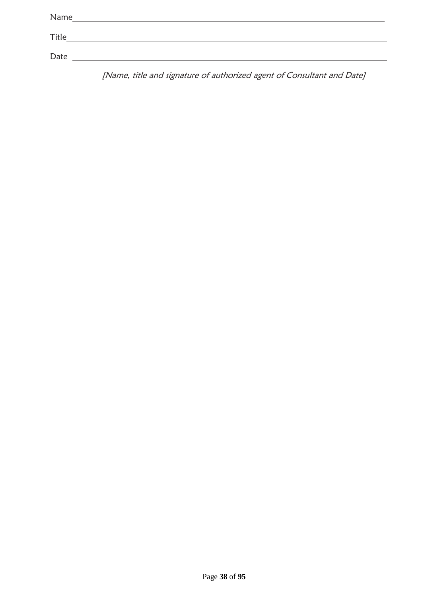| Name  |  |  |  |
|-------|--|--|--|
|       |  |  |  |
| Title |  |  |  |
|       |  |  |  |
| Date  |  |  |  |

[Name, title and signature of authorized agent of Consultant and Date]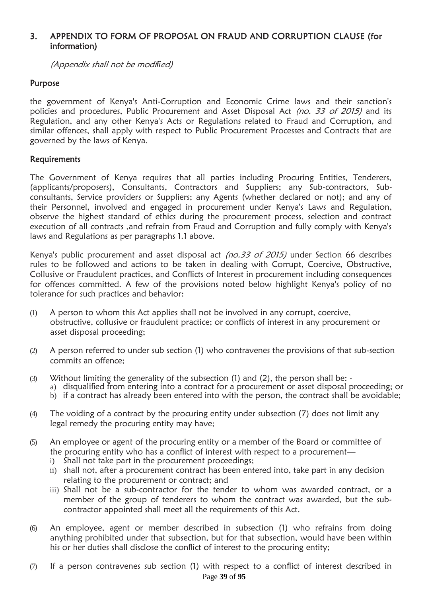#### 3. APPENDIX TO FORM OF PROPOSAL ON FRAUD AND CORRUPTION CLAUSE (for information)

(Appendix shall not be modi*fi*ed)

#### Purpose

the government of Kenya's Anti-Corruption and Economic Crime laws and their sanction's policies and procedures, Public Procurement and Asset Disposal Act (no. 33 of 2015) and its Regulation, and any other Kenya's Acts or Regulations related to Fraud and Corruption, and similar offences, shall apply with respect to Public Procurement Processes and Contracts that are governed by the laws of Kenya.

#### **Requirements**

The Government of Kenya requires that all parties including Procuring Entities, Tenderers, (applicants/proposers), Consultants, Contractors and Suppliers; any Sub-contractors, Subconsultants, Service providers or Suppliers; any Agents (whether declared or not); and any of their Personnel, involved and engaged in procurement under Kenya's Laws and Regulation, observe the highest standard of ethics during the procurement process, selection and contract execution of all contracts ,and refrain from Fraud and Corruption and fully comply with Kenya's laws and Regulations as per paragraphs 1.1 above.

Kenya's public procurement and asset disposal act (no.33 of 2015) under Section 66 describes rules to be followed and actions to be taken in dealing with Corrupt, Coercive, Obstructive, Collusive or Fraudulent practices, and Conflicts of Interest in procurement including consequences for offences committed. A few of the provisions noted below highlight Kenya's policy of no tolerance for such practices and behavior:

- (1) A person to whom this Act applies shall not be involved in any corrupt, coercive, obstructive, collusive or fraudulent practice; or conflicts of interest in any procurement or asset disposal proceeding;
- (2) A person referred to under sub section (1) who contravenes the provisions of that sub-section commits an offence;
- (3) Without limiting the generality of the subsection (1) and (2), the person shall be:
	- a) disqualified from entering into a contract for a procurement or asset disposal proceeding; or
	- b) if a contract has already been entered into with the person, the contract shall be avoidable;
- (4) The voiding of a contract by the procuring entity under subsection (7) does not limit any legal remedy the procuring entity may have;
- (5) An employee or agent of the procuring entity or a member of the Board or committee of the procuring entity who has a conflict of interest with respect to a procurement
	- i) Shall not take part in the procurement proceedings;
	- ii) shall not, after a procurement contract has been entered into, take part in any decision relating to the procurement or contract; and
	- iii) Shall not be a sub-contractor for the tender to whom was awarded contract, or a member of the group of tenderers to whom the contract was awarded, but the subcontractor appointed shall meet all the requirements of this Act.
- (6) An employee, agent or member described in subsection (1) who refrains from doing anything prohibited under that subsection, but for that subsection, would have been within his or her duties shall disclose the conflict of interest to the procuring entity;
- (7) If a person contravenes sub section (1) with respect to a conflict of interest described in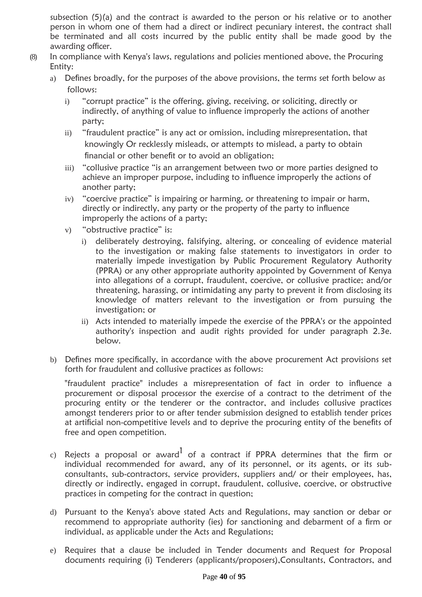subsection (5)(a) and the contract is awarded to the person or his relative or to another person in whom one of them had a direct or indirect pecuniary interest, the contract shall be terminated and all costs incurred by the public entity shall be made good by the awarding officer.

- (8) In compliance with Kenya's laws, regulations and policies mentioned above, the Procuring Entity:
	- a) Defines broadly, for the purposes of the above provisions, the terms set forth below as follows:
		- i) "corrupt practice" is the offering, giving, receiving, or soliciting, directly or indirectly, of anything of value to influence improperly the actions of another party;
		- ii) "fraudulent practice" is any act or omission, including misrepresentation, that knowingly Or recklessly misleads, or attempts to mislead, a party to obtain financial or other benefit or to avoid an obligation;
		- iii) "collusive practice "is an arrangement between two or more parties designed to achieve an improper purpose, including to influence improperly the actions of another party;
		- iv) "coercive practice" is impairing or harming, or threatening to impair or harm, directly or indirectly, any party or the property of the party to influence improperly the actions of a party;
		- v) "obstructive practice" is:
			- i) deliberately destroying, falsifying, altering, or concealing of evidence material to the investigation or making false statements to investigators in order to materially impede investigation by Public Procurement Regulatory Authority (PPRA) or any other appropriate authority appointed by Government of Kenya into allegations of a corrupt, fraudulent, coercive, or collusive practice; and/or threatening, harassing, or intimidating any party to prevent it from disclosing its knowledge of matters relevant to the investigation or from pursuing the investigation; or
			- ii) Acts intended to materially impede the exercise of the PPRA's or the appointed authority's inspection and audit rights provided for under paragraph 2.3e. below.
	- b) Defines more specifically, in accordance with the above procurement Act provisions set forth for fraudulent and collusive practices as follows:

"fraudulent practice" includes a misrepresentation of fact in order to influence a procurement or disposal processor the exercise of a contract to the detriment of the procuring entity or the tenderer or the contractor, and includes collusive practices amongst tenderers prior to or after tender submission designed to establish tender prices at artificial non-competitive levels and to deprive the procuring entity of the benefits of free and open competition.

- c) Rejects a proposal or award<sup>1</sup> of a contract if PPRA determines that the firm or individual recommended for award, any of its personnel, or its agents, or its subconsultants, sub-contractors, service providers, suppliers and/ or their employees, has, directly or indirectly, engaged in corrupt, fraudulent, collusive, coercive, or obstructive practices in competing for the contract in question;
- d) Pursuant to the Kenya's above stated Acts and Regulations, may sanction or debar or recommend to appropriate authority (ies) for sanctioning and debarment of a firm or individual, as applicable under the Acts and Regulations;
- e) Requires that a clause be included in Tender documents and Request for Proposal documents requiring (i) Tenderers (applicants/proposers),Consultants, Contractors, and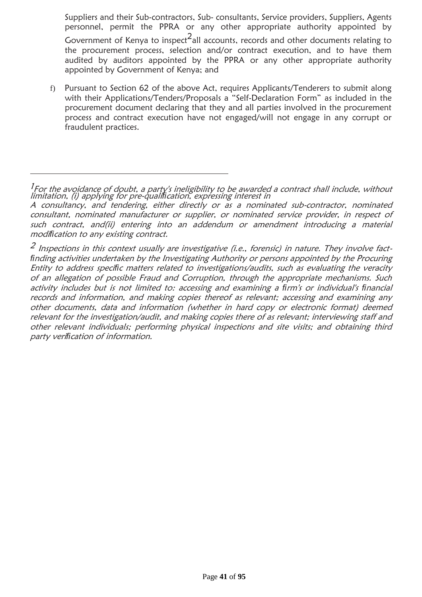Suppliers and their Sub-contractors, Sub- consultants, Service providers, Suppliers, Agents personnel, permit the PPRA or any other appropriate authority appointed by Government of Kenya to inspect $^2$ all accounts, records and other documents relating to the procurement process, selection and/or contract execution, and to have them audited by auditors appointed by the PPRA or any other appropriate authority appointed by Government of Kenya; and

f) Pursuant to Section 62 of the above Act, requires Applicants/Tenderers to submit along with their Applications/Tenders/Proposals a "Self-Declaration Form" as included in the procurement document declaring that they and all parties involved in the procurement process and contract execution have not engaged/will not engage in any corrupt or fraudulent practices.

 $^2$  Inspections in this context usually are investigative (i.e., forensic) in nature. They involve fact*fi*nding activities undertaken by the Investigating Authority or persons appointed by the Procuring Entity to address speci*fi*c matters related to investigations/audits, such as evaluating the veracity of an allegation of possible Fraud and Corruption, through the appropriate mechanisms. Such activity includes but is not limited to: accessing and examining a *fi*rm's or individual's *fi*nancial records and information, and making copies thereof as relevant; accessing and examining any other documents, data and information (whether in hard copy or electronic format) deemed relevant for the investigation/audit, and making copies there of as relevant; interviewing staff and other relevant individuals; performing physical inspections and site visits; and obtaining third party veri*fi*cation of information.

 $^{\prime}$ For the avoidance of doubt, a party's ineligibility to be awarded a contract shall include, without limitation, (i) applying for pre-quali*fi*cation, expressing interest in

A consultancy, and tendering, either directly or as a nominated sub-contractor, nominated consultant, nominated manufacturer or supplier, or nominated service provider, in respect of such contract, and(ii) entering into an addendum or amendment introducing a material modi*fi*cation to any existing contract.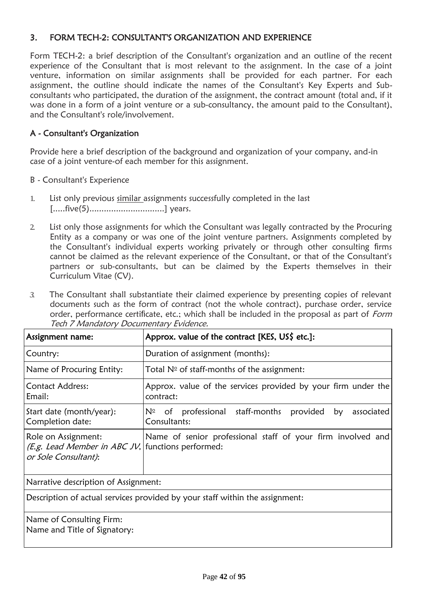### 3. FORM TECH-2: CONSULTANT'S ORGANIZATION AND EXPERIENCE

Form TECH-2: a brief description of the Consultant's organization and an outline of the recent experience of the Consultant that is most relevant to the assignment. In the case of a joint venture, information on similar assignments shall be provided for each partner. For each assignment, the outline should indicate the names of the Consultant's Key Experts and Subconsultants who participated, the duration of the assignment, the contract amount (total and, if it was done in a form of a joint venture or a sub-consultancy, the amount paid to the Consultant), and the Consultant's role/involvement.

### A - Consultant's Organization

Provide here a brief description of the background and organization of your company, and-in case of a joint venture-of each member for this assignment.

- B Consultant's Experience
- 1. List only previous similar assignments successfully completed in the last [.....five(5)...............................] years.
- 2. List only those assignments for which the Consultant was legally contracted by the Procuring Entity as a company or was one of the joint venture partners. Assignments completed by the Consultant's individual experts working privately or through other consulting firms cannot be claimed as the relevant experience of the Consultant, or that of the Consultant's partners or sub-consultants, but can be claimed by the Experts themselves in their Curriculum Vitae (CV).
- *3.* The Consultant shall substantiate their claimed experience by presenting copies of relevant documents such as the form of contract (not the whole contract), purchase order, service order, performance certificate, etc.; which shall be included in the proposal as part of Form Tech 7 Mandatory Documentary Evidence.

| Assignment name:                                                                                                                                                  | Approx. value of the contract [KES, US\$ etc.]:                                |  |  |  |
|-------------------------------------------------------------------------------------------------------------------------------------------------------------------|--------------------------------------------------------------------------------|--|--|--|
| Country:                                                                                                                                                          | Duration of assignment (months):                                               |  |  |  |
| Name of Procuring Entity:                                                                                                                                         | Total $N°$ of staff-months of the assignment:                                  |  |  |  |
| Contact Address:<br>Email:                                                                                                                                        | Approx. value of the services provided by your firm under the<br>contract:     |  |  |  |
| Start date (month/year):<br>Completion date:                                                                                                                      | $N2$ of professional staff-months provided<br>associated<br>by<br>Consultants: |  |  |  |
| Role on Assignment:<br>Name of senior professional staff of your firm involved and<br>(E.g. Lead Member in ABC JV,   functions performed:<br>or Sole Consultant): |                                                                                |  |  |  |
| Narrative description of Assignment:                                                                                                                              |                                                                                |  |  |  |
| Description of actual services provided by your staff within the assignment:                                                                                      |                                                                                |  |  |  |

Name of Consulting Firm: Name and Title of Signatory: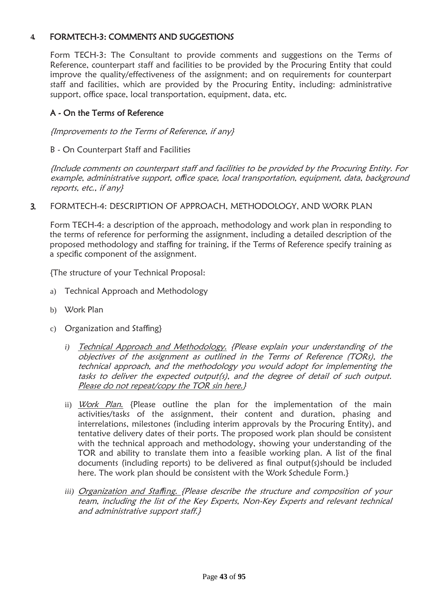### **4.** FORMTECH-3: COMMENTS AND SUGGESTIONS

Form TECH-3: The Consultant to provide comments and suggestions on the Terms of Reference, counterpart staff and facilities to be provided by the Procuring Entity that could improve the quality/effectiveness of the assignment; and on requirements for counterpart staff and facilities, which are provided by the Procuring Entity, including: administrative support, office space, local transportation, equipment, data, etc.

### A - On the Terms of Reference

{Improvements to the Terms of Reference, if any}

B - On Counterpart Staff and Facilities

{Include comments on counterpart staff and facilities to be provided by the Procuring Entity. For example, administrative support, of*fi*ce space, local transportation, equipment, data, background reports, etc., if any}

3. FORMTECH-4: DESCRIPTION OF APPROACH, METHODOLOGY, AND WORK PLAN

Form TECH-4: a description of the approach, methodology and work plan in responding to the terms of reference for performing the assignment, including a detailed description of the proposed methodology and staffing for training, if the Terms of Reference specify training as a specific component of the assignment.

{The structure of your Technical Proposal:

- a) Technical Approach and Methodology
- b) Work Plan
- c) Organization and Staffing}
	- *i)* Technical Approach and Methodology. {Please explain your understanding of the objectives of the assignment as outlined in the Terms of Reference (TORs), the technical approach, and the methodology you would adopt for implementing the tasks to deliver the expected output(s), and the degree of detail of such output. Please do not repeat/copy the TOR sin here.}
	- ii) *Work Plan*. {Please outline the plan for the implementation of the main activities/tasks of the assignment, their content and duration, phasing and interrelations, milestones (including interim approvals by the Procuring Entity), and tentative delivery dates of their ports. The proposed work plan should be consistent with the technical approach and methodology, showing your understanding of the TOR and ability to translate them into a feasible working plan. A list of the final documents (including reports) to be delivered as final output(s)should be included here. The work plan should be consistent with the Work Schedule Form.}
	- *iii)* Organization and Staf*fi*ng. {Please describe the structure and composition of your team, including the list of the Key Experts, Non-Key Experts and relevant technical and administrative support staff.}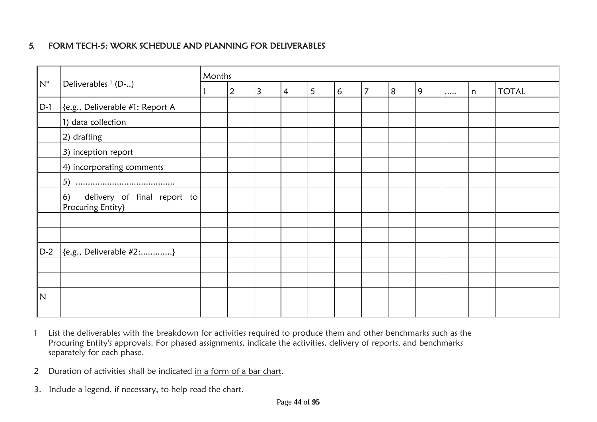## 5. FORM TECH-5: WORK SCHEDULE AND PLANNING FOR DELIVERABLES

|                    |                                                        | Months |                |                |                |   |   |                |   |   |       |              |
|--------------------|--------------------------------------------------------|--------|----------------|----------------|----------------|---|---|----------------|---|---|-------|--------------|
| $\mathsf{N}^\circ$ | Deliverables <sup>1</sup> (D-)                         |        | $\overline{2}$ | $\overline{3}$ | $\overline{4}$ | 5 | 6 | $\overline{7}$ | 8 | 9 | <br>n | <b>TOTAL</b> |
| $D-1$              | {e.g., Deliverable #1: Report A                        |        |                |                |                |   |   |                |   |   |       |              |
|                    | 1) data collection                                     |        |                |                |                |   |   |                |   |   |       |              |
|                    | 2) drafting                                            |        |                |                |                |   |   |                |   |   |       |              |
|                    | 3) inception report                                    |        |                |                |                |   |   |                |   |   |       |              |
|                    | 4) incorporating comments                              |        |                |                |                |   |   |                |   |   |       |              |
|                    |                                                        |        |                |                |                |   |   |                |   |   |       |              |
|                    | 6)<br>delivery of final report to<br>Procuring Entity} |        |                |                |                |   |   |                |   |   |       |              |
|                    |                                                        |        |                |                |                |   |   |                |   |   |       |              |
|                    |                                                        |        |                |                |                |   |   |                |   |   |       |              |
| $D-2$              | $\{e.g., Deliverable #2:\}$                            |        |                |                |                |   |   |                |   |   |       |              |
|                    |                                                        |        |                |                |                |   |   |                |   |   |       |              |
|                    |                                                        |        |                |                |                |   |   |                |   |   |       |              |
| ١N                 |                                                        |        |                |                |                |   |   |                |   |   |       |              |
|                    |                                                        |        |                |                |                |   |   |                |   |   |       |              |

- 1 List the deliverables with the breakdown for activities required to produce them and other benchmarks such as the Procuring Entity's approvals. For phased assignments, indicate the activities, delivery of reports, and benchmarks separately for each phase.
- 2 Duration of activities shall be indicated in a form of a bar chart.
- 3. Include a legend, if necessary, to help read the chart.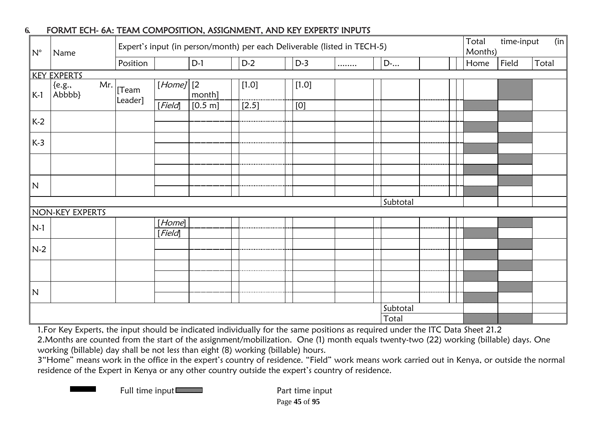| $N^{\circ}$ | Name                    | Expert's input (in person/month) per each Deliverable (listed in TECH-5) |                         |              |         |                   |   |          |      | Total<br>Months) | time-input |  |
|-------------|-------------------------|--------------------------------------------------------------------------|-------------------------|--------------|---------|-------------------|---|----------|------|------------------|------------|--|
|             |                         | Position                                                                 |                         | $D-1$        | $D-2$   | $D-3$             | . | D-       | Home | Field            | Total      |  |
|             | <b>KEY EXPERTS</b>      |                                                                          |                         |              |         |                   |   |          |      |                  |            |  |
| $K-1$       | Mr.<br>{e.g.,<br>Abbbb} | $ T$ eam<br>Leader]                                                      | $\overline{[Home]}$ [2] | month]       | $[1.0]$ | $[1.0]$           |   |          |      |                  |            |  |
|             |                         |                                                                          | [Field]                 | $[0.5 \; m]$ | $[2.5]$ | $\left[ 0\right]$ |   |          |      |                  |            |  |
| $K-2$       |                         |                                                                          |                         |              |         |                   |   |          |      |                  |            |  |
|             |                         |                                                                          |                         |              |         |                   |   |          |      |                  |            |  |
| $K-3$       |                         |                                                                          |                         |              |         |                   |   |          |      |                  |            |  |
|             |                         |                                                                          |                         |              |         |                   |   |          |      |                  |            |  |
|             |                         |                                                                          |                         |              |         |                   |   |          |      |                  |            |  |
| IN.         |                         |                                                                          |                         |              |         |                   |   |          |      |                  |            |  |
|             |                         |                                                                          |                         |              |         |                   |   | Subtotal |      |                  |            |  |
|             | NON-KEY EXPERTS         |                                                                          |                         |              |         |                   |   |          |      |                  |            |  |
| $N-1$       |                         |                                                                          | [Home]                  |              |         |                   |   |          |      |                  |            |  |
|             |                         |                                                                          | [Field]                 |              |         |                   |   |          |      |                  |            |  |
| $N-2$       |                         |                                                                          |                         |              |         |                   |   |          |      |                  |            |  |
|             |                         |                                                                          |                         |              |         |                   |   |          |      |                  |            |  |
|             |                         |                                                                          |                         |              |         |                   |   |          |      |                  |            |  |
| IN.         |                         |                                                                          |                         |              |         |                   |   |          |      |                  |            |  |
|             |                         |                                                                          |                         |              |         |                   |   | Subtotal |      |                  |            |  |
|             |                         |                                                                          |                         |              |         |                   |   | Total    |      |                  |            |  |

# **6.** FORMT ECH- 6A: TEAM COMPOSITION, ASSIGNMENT, AND KEY EXPERTS' INPUTS

1.For Key Experts, the input should be indicated individually for the same positions as required under the ITC Data Sheet 21.2 2.Months are counted from the start of the assignment/mobilization. One (1) month equals twenty-two (22) working (billable) days. One

working (billable) day shall be not less than eight (8) working (billable) hours.

3"Home" means work in the office in the expert's country of residence. "Field" work means work carried out in Kenya, or outside the normal residence of the Expert in Kenya or any other country outside the expert's country of residence.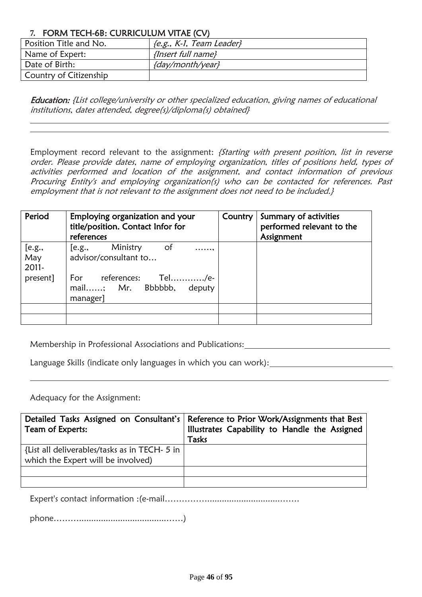### **7.** FORM TECH-6B: CURRICULUM VITAE (CV)

| Position Title and No. | {e.g., K-1, Team Leader} |
|------------------------|--------------------------|
| Name of Expert:        | {Insert full name}       |
| Date of Birth:         | {day/month/year}         |
| Country of Citizenship |                          |

Education: {List college/university or other specialized education, giving names of educational institutions, dates attended, degree(s)/diploma(s) obtained}

Employment record relevant to the assignment: {Starting with present position, list in reverse order. Please provide dates, name of employing organization, titles of positions held, types of activities performed and location of the assignment, and contact information of previous Procuring Entity's and employing organization(s) who can be contacted for references. Past employment that is not relevant to the assignment does not need to be included.}

| Period                 | Employing organization and your<br>title/position. Contact Infor for<br>references | Country | Summary of activities<br>performed relevant to the<br>Assignment |
|------------------------|------------------------------------------------------------------------------------|---------|------------------------------------------------------------------|
| [e.g.,<br>May<br>2011- | Ministry<br>of<br>[e.g.,<br>.<br>advisor/consultant to                             |         |                                                                  |
| present]               | references:         Tel/e-<br>For<br>mail; Mr. Bbbbbb,<br>deputy<br>manager]       |         |                                                                  |
|                        |                                                                                    |         |                                                                  |
|                        |                                                                                    |         |                                                                  |

Membership in Professional Associations and Publications:

Language Skills (indicate only languages in which you can work):

Adequacy for the Assignment:

|                                               | Detailed Tasks Assigned on Consultant's   Reference to Prior Work/Assignments that Best |
|-----------------------------------------------|-----------------------------------------------------------------------------------------|
| Team of Experts:                              | Illustrates Capability to Handle the Assigned                                           |
|                                               | Tasks                                                                                   |
| {List all deliverables/tasks as in TECH- 5 in |                                                                                         |
| which the Expert will be involved)            |                                                                                         |
|                                               |                                                                                         |
|                                               |                                                                                         |

Expert's contact information :(e-mail……………..............................…….

phone………....................................……)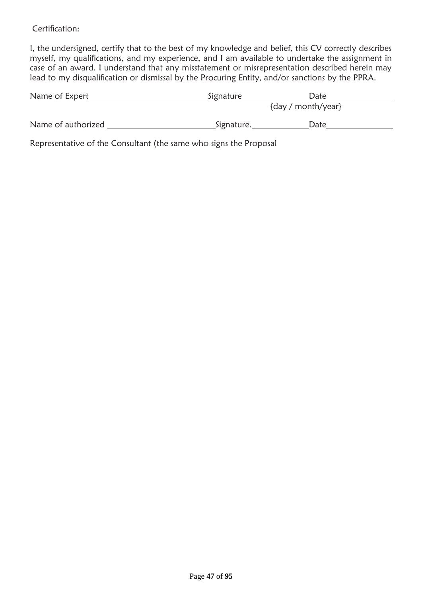Certification:

I, the undersigned, certify that to the best of my knowledge and belief, this CV correctly describes myself, my qualifications, and my experience, and I am available to undertake the assignment in case of an award. I understand that any misstatement or misrepresentation described herein may lead to my disqualification or dismissal by the Procuring Entity, and/or sanctions by the PPRA.

| Name of Expert     | Signature  | Date               |  |
|--------------------|------------|--------------------|--|
|                    |            | {day / month/year} |  |
| Name of authorized | Signature. | Date               |  |
|                    |            |                    |  |

Representative of the Consultant (the same who signs the Proposal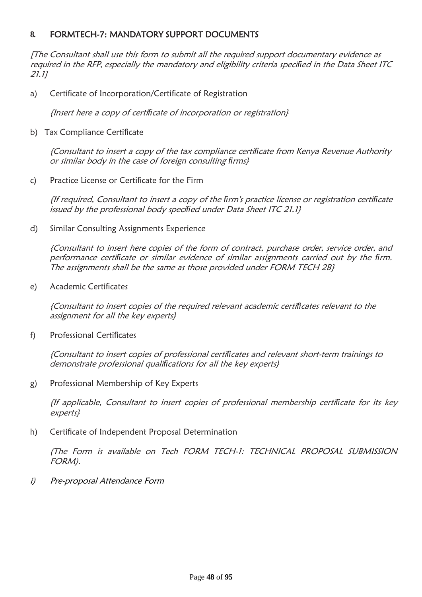## **8.** FORMTECH-7: MANDATORY SUPPORT DOCUMENTS

[The Consultant shall use this form to submit all the required support documentary evidence as required in the RFP, especially the mandatory and eligibility criteria speci*fi*ed in the Data Sheet ITC 21.1]

a) Certificate of Incorporation/Certificate of Registration

{Insert here a copy of certi*fi*cate of incorporation or registration}

b) Tax Compliance Certificate

{Consultant to insert a copy of the tax compliance certi*fi*cate from Kenya Revenue Authority or similar body in the case of foreign consulting *fi*rms}

c) Practice License or Certificate for the Firm

{If required, Consultant to insert a copy of the *fi*rm's practice license or registration certi*fi*cate issued by the professional body speci*fi*ed under Data Sheet ITC 21.1}

d) Similar Consulting Assignments Experience

{Consultant to insert here copies of the form of contract, purchase order, service order, and performance certi*fi*cate or similar evidence of similar assignments carried out by the *fi*rm. The assignments shall be the same as those provided under FORM TECH 2B}

e) Academic Certificates

{Consultant to insert copies of the required relevant academic certi*fi*cates relevant to the assignment for all the key experts}

f) Professional Certificates

{Consultant to insert copies of professional certi*fi*cates and relevant short-term trainings to demonstrate professional quali*fi*cations for all the key experts}

g) Professional Membership of Key Experts

{If applicable, Consultant to insert copies of professional membership certi*fi*cate for its key experts}

h) Certificate of Independent Proposal Determination

(The Form is available on Tech FORM TECH-1: TECHNICAL PROPOSAL SUBMISSION FORM).

i) Pre-proposal Attendance Form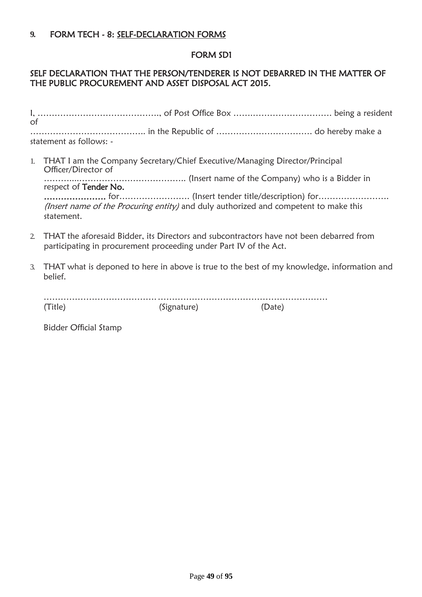### **9.** FORM TECH - 8: SELF-DECLARATION FORMS

#### FORM SD1

#### SELF DECLARATION THAT THE PERSON/TENDERER IS NOT DEBARRED IN THE MATTER OF THE PUBLIC PROCUREMENT AND ASSET DISPOSAL ACT 2015.

I, ……………………………………., of Post Office Box …….………………………. being a resident of ………………………………….. in the Republic of ……………………………. do hereby make a statement as follows: -

1. THAT I am the Company Secretary/Chief Executive/Managing Director/Principal Officer/Director of

………....……………………………….. (Insert name of the Company) who is a Bidder in respect of Tender No.

…………………. for……………………. (Insert tender title/description) for……………………. (Insert name of the Procuring entity) and duly authorized and competent to make this statement.

- 2. THAT the aforesaid Bidder, its Directors and subcontractors have not been debarred from participating in procurement proceeding under Part IV of the Act.
- 3. THAT what is deponed to here in above is true to the best of my knowledge, information and belief.

| (Title) | (Signature) |  |
|---------|-------------|--|

Bidder Official Stamp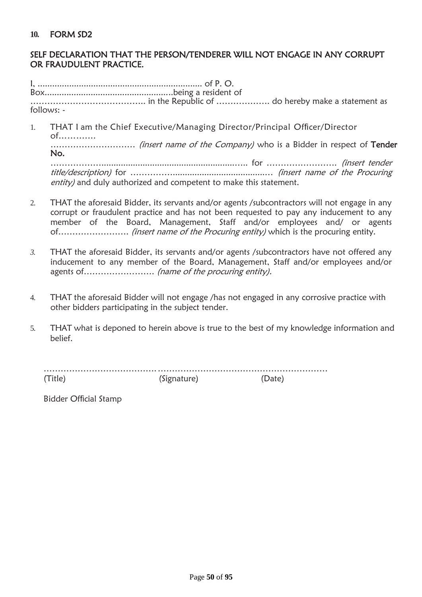#### SELF DECLARATION THAT THE PERSON/TENDERER WILL NOT ENGAGE IN ANY CORRUPT OR FRAUDULENT PRACTICE.

I, .................................................................... of P. O. Box.....................................................being a resident of ………………………………….. in the Republic of ………………. do hereby make a statement as follows: -

1. THAT I am the Chief Executive/Managing Director/Principal Officer/Director of……….... ………………………… (insert name of the Company) who is a Bidder in respect of Tender No. ……………….......................................................….. for ……………………. (insert tender

title/description) for ……………......................................… (insert name of the Procuring entity) and duly authorized and competent to make this statement.

- 2. THAT the aforesaid Bidder, its servants and/or agents /subcontractors will not engage in any corrupt or fraudulent practice and has not been requested to pay any inducement to any member of the Board, Management, Staff and/or employees and/ or agents of……………………. (insert name of the Procuring entity) which is the procuring entity.
- *3.* THAT the aforesaid Bidder, its servants and/or agents /subcontractors have not offered any inducement to any member of the Board, Management, Staff and/or employees and/or agents of……………………. (name of the procuring entity).
- 4. THAT the aforesaid Bidder will not engage /has not engaged in any corrosive practice with other bidders participating in the subject tender.
- 5. THAT what is deponed to herein above is true to the best of my knowledge information and belief.

(Title) (Signature) (Date)

Bidder Official Stamp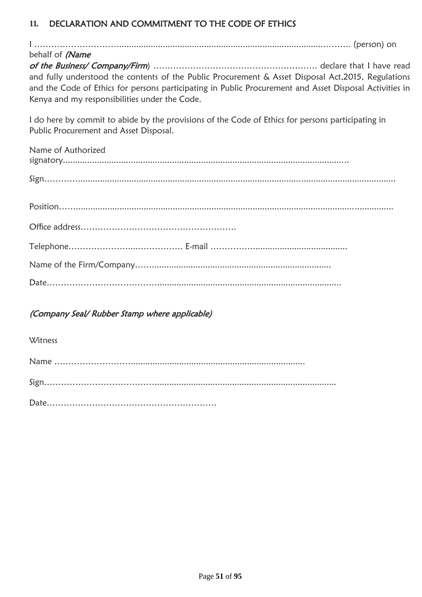## **11.** DECLARATION AND COMMITMENT TO THE CODE OF ETHICS

| and fully understood the contents of the Public Procurement & Asset Disposal Act, 2015, Regulations     |
|---------------------------------------------------------------------------------------------------------|
| and the Code of Ethics for persons participating in Public Procurement and Asset Disposal Activities in |
|                                                                                                         |
|                                                                                                         |

I do here by commit to abide by the provisions of the Code of Ethics for persons participating in Public Procurement and Asset Disposal.

| Name of Authorized |  |
|--------------------|--|
|                    |  |
|                    |  |
|                    |  |
|                    |  |
|                    |  |
|                    |  |

## (Company Seal/ Rubber Stamp where applicable)

**Witness** Name ………………………........................................................................ Sign…………………………………........................................................................... Date……………………………………………………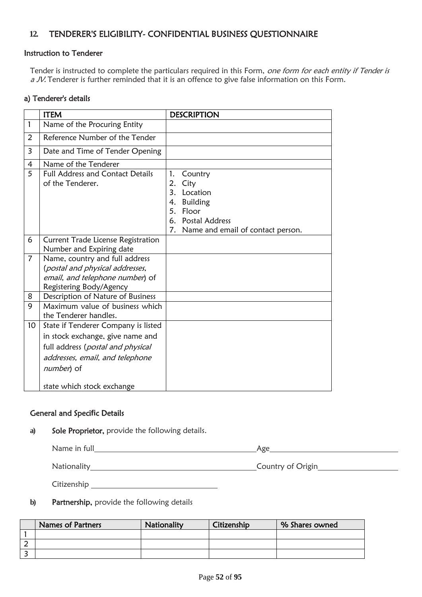## **12.** TENDERER'S ELIGIBILITY- CONFIDENTIAL BUSINESS QUESTIONNAIRE

#### Instruction to Tenderer

Tender is instructed to complete the particulars required in this Form, one form for each entity if Tender is  $a$  JV. Tenderer is further reminded that it is an offence to give false information on this Form.

#### a) Tenderer's details

|                | <b>ITEM</b>                                                                                                                     | <b>DESCRIPTION</b>                                                                                                                           |
|----------------|---------------------------------------------------------------------------------------------------------------------------------|----------------------------------------------------------------------------------------------------------------------------------------------|
| $\mathbf{1}$   | Name of the Procuring Entity                                                                                                    |                                                                                                                                              |
| 2              | Reference Number of the Tender                                                                                                  |                                                                                                                                              |
| 3              | Date and Time of Tender Opening                                                                                                 |                                                                                                                                              |
| $\overline{4}$ | Name of the Tenderer                                                                                                            |                                                                                                                                              |
| 5              | <b>Full Address and Contact Details</b><br>of the Tenderer.                                                                     | 1.<br>Country<br>2.<br>City<br>3. Location<br>4. Building<br>5. Floor<br><b>Postal Address</b><br>6.<br>7. Name and email of contact person. |
| 6              | Current Trade License Registration                                                                                              |                                                                                                                                              |
|                | Number and Expiring date                                                                                                        |                                                                                                                                              |
| 7              | Name, country and full address<br>(postal and physical addresses,<br>email, and telephone number) of<br>Registering Body/Agency |                                                                                                                                              |
| 8              | Description of Nature of Business                                                                                               |                                                                                                                                              |
| 9              | Maximum value of business which<br>the Tenderer handles.                                                                        |                                                                                                                                              |
| 10             | State if Tenderer Company is listed<br>in stock exchange, give name and                                                         |                                                                                                                                              |
|                | full address (postal and physical<br>addresses, email, and telephone<br>number) of                                              |                                                                                                                                              |
|                | state which stock exchange                                                                                                      |                                                                                                                                              |

#### General and Speci**fi**c Details

**a)** Sole Proprietor, provide the following details.

| Name in full | Age               |
|--------------|-------------------|
| Nationality  | Country of Origin |
| Citizenship  |                   |

**b)** Partnership, provide the following details

|   | Names of Partners | Nationality | Citizenship | % Shares owned |
|---|-------------------|-------------|-------------|----------------|
|   |                   |             |             |                |
| ▵ |                   |             |             |                |
|   |                   |             |             |                |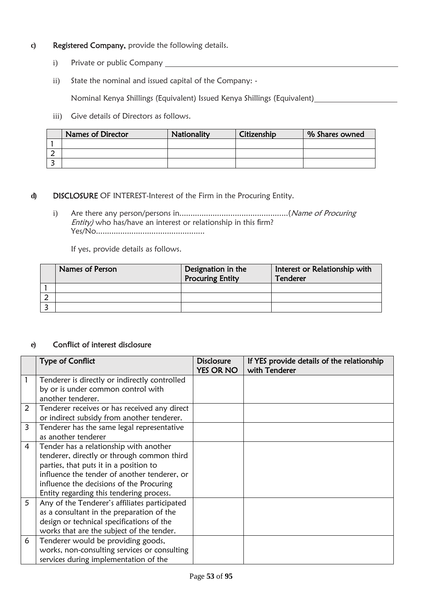- **c)** Registered Company, provide the following details.
	- i) Private or public Company
	- ii) State the nominal and issued capital of the Company: -

Nominal Kenya Shillings (Equivalent) Issued Kenya Shillings (Equivalent)

iii) Give details of Directors as follows.

|   | <b>Names of Director</b> | Nationality | Citizenship | % Shares owned |
|---|--------------------------|-------------|-------------|----------------|
|   |                          |             |             |                |
| - |                          |             |             |                |
|   |                          |             |             |                |

#### **d)** DISCLOSURE OF INTEREST-Interest of the Firm in the Procuring Entity.

i) Are there any person/persons in.................................................(Name of Procuring Entity) who has/have an interest or relationship in this firm? Yes/No.................................................

If yes, provide details as follows.

| Names of Person | Designation in the<br><b>Procuring Entity</b> | Interest or Relationship with<br>Tenderer |
|-----------------|-----------------------------------------------|-------------------------------------------|
|                 |                                               |                                           |
|                 |                                               |                                           |
|                 |                                               |                                           |

#### **e)** Con**fl**ict of interest disclosure

|                | <b>Type of Conflict</b>                       | <b>Disclosure</b><br><b>YES OR NO</b> | If YES provide details of the relationship<br>with Tenderer |
|----------------|-----------------------------------------------|---------------------------------------|-------------------------------------------------------------|
| 1              | Tenderer is directly or indirectly controlled |                                       |                                                             |
|                | by or is under common control with            |                                       |                                                             |
|                | another tenderer.                             |                                       |                                                             |
| 2              | Tenderer receives or has received any direct  |                                       |                                                             |
|                | or indirect subsidy from another tenderer.    |                                       |                                                             |
| 3              | Tenderer has the same legal representative    |                                       |                                                             |
|                | as another tenderer                           |                                       |                                                             |
| $\overline{4}$ | Tender has a relationship with another        |                                       |                                                             |
|                | tenderer, directly or through common third    |                                       |                                                             |
|                | parties, that puts it in a position to        |                                       |                                                             |
|                | influence the tender of another tenderer, or  |                                       |                                                             |
|                | influence the decisions of the Procuring      |                                       |                                                             |
|                | Entity regarding this tendering process.      |                                       |                                                             |
| 5              | Any of the Tenderer's affiliates participated |                                       |                                                             |
|                | as a consultant in the preparation of the     |                                       |                                                             |
|                | design or technical specifications of the     |                                       |                                                             |
|                | works that are the subject of the tender.     |                                       |                                                             |
| 6              | Tenderer would be providing goods,            |                                       |                                                             |
|                | works, non-consulting services or consulting  |                                       |                                                             |
|                | services during implementation of the         |                                       |                                                             |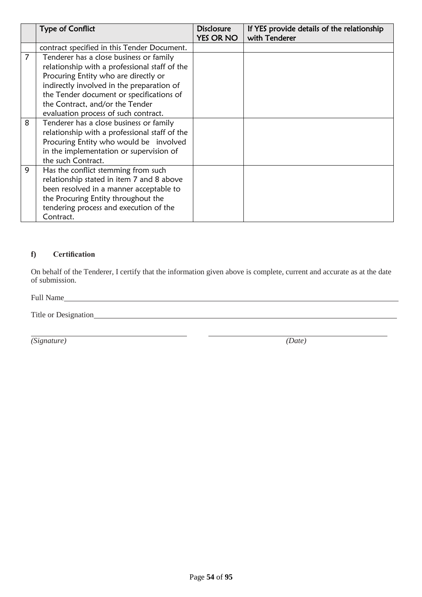|   | <b>Type of Conflict</b>                                                                                                                                                                                                                                      | <b>Disclosure</b><br><b>YES OR NO</b> | If YES provide details of the relationship<br>with Tenderer |
|---|--------------------------------------------------------------------------------------------------------------------------------------------------------------------------------------------------------------------------------------------------------------|---------------------------------------|-------------------------------------------------------------|
|   | contract specified in this Tender Document.                                                                                                                                                                                                                  |                                       |                                                             |
|   | Tenderer has a close business or family<br>relationship with a professional staff of the<br>Procuring Entity who are directly or<br>indirectly involved in the preparation of<br>the Tender document or specifications of<br>the Contract, and/or the Tender |                                       |                                                             |
|   | evaluation process of such contract.                                                                                                                                                                                                                         |                                       |                                                             |
| 8 | Tenderer has a close business or family<br>relationship with a professional staff of the<br>Procuring Entity who would be involved<br>in the implementation or supervision of<br>the such Contract.                                                          |                                       |                                                             |
| 9 | Has the conflict stemming from such<br>relationship stated in item 7 and 8 above<br>been resolved in a manner acceptable to<br>the Procuring Entity throughout the<br>tendering process and execution of the<br>Contract.                                    |                                       |                                                             |

#### **f) Certification**

On behalf of the Tenderer, I certify that the information given above is complete, current and accurate as at the date of submission.

÷.

Full Name

Title or Designation

*(Signature) (Date)*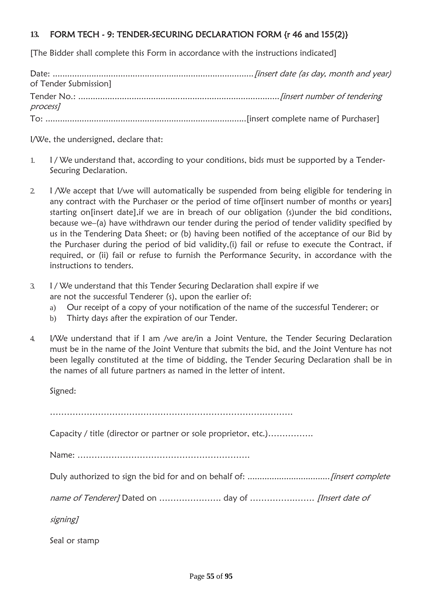## **13.** FORM TECH - 9: TENDER-SECURING DECLARATION FORM {r 46 and 155(2)}

[The Bidder shall complete this Form in accordance with the instructions indicated]

| of Tender Submission] |  |
|-----------------------|--|
| process]              |  |
|                       |  |

I/We, the undersigned, declare that:

- 1. I / We understand that, according to your conditions, bids must be supported by a Tender-Securing Declaration.
- 2. I /We accept that I/we will automatically be suspended from being eligible for tendering in any contract with the Purchaser or the period of time of insert number of months or years] starting on[insert date],if we are in breach of our obligation (s)under the bid conditions, because we–(a) have withdrawn our tender during the period of tender validity specified by us in the Tendering Data Sheet; or (b) having been notified of the acceptance of our Bid by the Purchaser during the period of bid validity,(i) fail or refuse to execute the Contract, if required, or (ii) fail or refuse to furnish the Performance Security, in accordance with the instructions to tenders.
- 3. I / We understand that this Tender Securing Declaration shall expire if we are not the successful Tenderer (s), upon the earlier of:
	- a) Our receipt of a copy of your notification of the name of the successful Tenderer; or
	- b) Thirty days after the expiration of our Tender.
- 4. I/We understand that if I am /we are/in a Joint Venture, the Tender Securing Declaration must be in the name of the Joint Venture that submits the bid, and the Joint Venture has not been legally constituted at the time of bidding, the Tender Securing Declaration shall be in the names of all future partners as named in the letter of intent.

Signed:

| Capacity / title (director or partner or sole proprietor, etc.) |
|-----------------------------------------------------------------|
|                                                                 |
|                                                                 |
|                                                                 |
| signing]                                                        |
| Seal or stamp                                                   |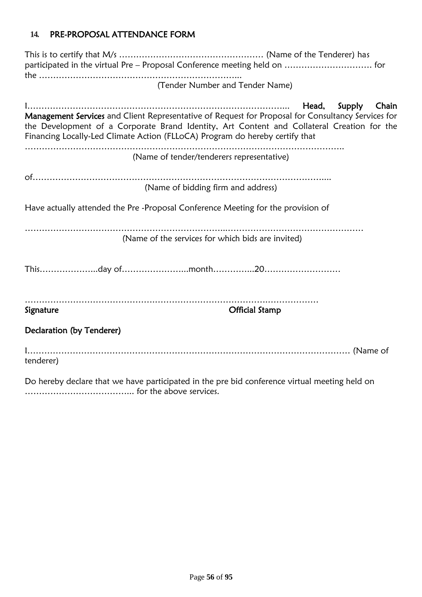## **14.** PRE-PROPOSAL ATTENDANCE FORM

| participated in the virtual Pre - Proposal Conference meeting held on  for                                                                                                                                                                                                                                   |
|--------------------------------------------------------------------------------------------------------------------------------------------------------------------------------------------------------------------------------------------------------------------------------------------------------------|
| (Tender Number and Tender Name)                                                                                                                                                                                                                                                                              |
| Head,<br>Supply<br>Chain<br>Management Services and Client Representative of Request for Proposal for Consultancy Services for<br>the Development of a Corporate Brand Identity, Art Content and Collateral Creation for the<br>Financing Locally-Led Climate Action (FLLoCA) Program do hereby certify that |
| (Name of tender/tenderers representative)                                                                                                                                                                                                                                                                    |
|                                                                                                                                                                                                                                                                                                              |
| (Name of bidding firm and address)                                                                                                                                                                                                                                                                           |
| Have actually attended the Pre -Proposal Conference Meeting for the provision of                                                                                                                                                                                                                             |
| (Name of the services for which bids are invited)                                                                                                                                                                                                                                                            |
|                                                                                                                                                                                                                                                                                                              |
| <b>Official Stamp</b><br>Signature                                                                                                                                                                                                                                                                           |
| Declaration (by Tenderer)                                                                                                                                                                                                                                                                                    |
| tenderer)                                                                                                                                                                                                                                                                                                    |
| Do hereby declare that we have participated in the pre bid conference virtual meeting held on                                                                                                                                                                                                                |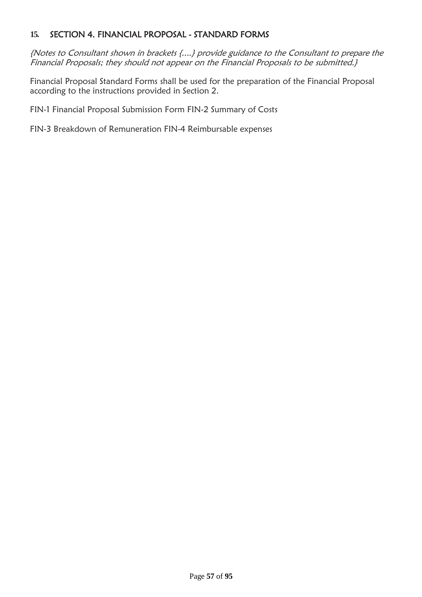## **15.** SECTION 4. FINANCIAL PROPOSAL - STANDARD FORMS

{Notes to Consultant shown in brackets {....} provide guidance to the Consultant to prepare the Financial Proposals; they should not appear on the Financial Proposals to be submitted.}

Financial Proposal Standard Forms shall be used for the preparation of the Financial Proposal according to the instructions provided in Section 2.

FIN-1 Financial Proposal Submission Form FIN-2 Summary of Costs

FIN-3 Breakdown of Remuneration FIN-4 Reimbursable expenses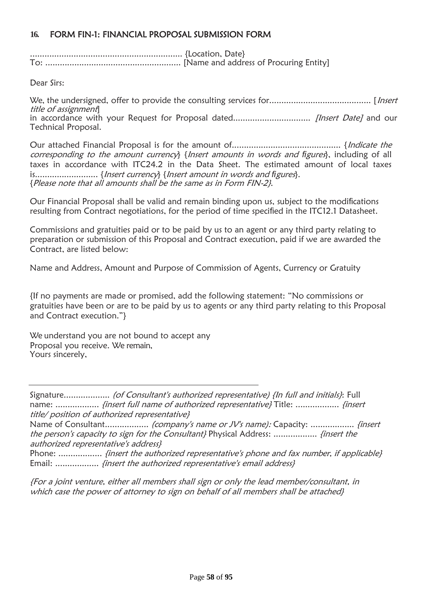### **16.** FORM FIN-1: FINANCIAL PROPOSAL SUBMISSION FORM

............................................................... {Location, Date} To: ........................................................ [Name and address of Procuring Entity]

Dear Sirs:

We, the undersigned, offer to provide the consulting services for.......................................... [Insert title of assignment] in accordance with your Request for Proposal dated................................ [Insert Date] and our Technical Proposal.

Our attached Financial Proposal is for the amount of............................................. {Indicate the corresponding to the amount currency} {Insert amounts in words and *fi*gures}, including of all taxes in accordance with ITC24.2 in the Data Sheet. The estimated amount of local taxes is.......................... {Insert currency} {Insert amount in words and *fi*gures}. {Please note that all amounts shall be the same as in Form FIN-2}.

Our Financial Proposal shall be valid and remain binding upon us, subject to the modifications resulting from Contract negotiations, for the period of time specified in the ITC12.1 Datasheet.

Commissions and gratuities paid or to be paid by us to an agent or any third party relating to preparation or submission of this Proposal and Contract execution, paid if we are awarded the Contract, are listed below:

Name and Address, Amount and Purpose of Commission of Agents, Currency or Gratuity

{If no payments are made or promised, add the following statement: "No commissions or gratuities have been or are to be paid by us to agents or any third party relating to this Proposal and Contract execution."}

We understand you are not bound to accept any Proposal you receive. We remain, Yours sincerely,

Signature......................... (of Consultant's authorized representative) {In full and initials}: Full name: ...................... *{insert full name of authorized representative}* Title: .................. *{insert* title/ position of authorized representative}

Name of Consultant.................. (company's name or JV's name): Capacity: .................. {insert the person's capacity to sign for the Consultant} Physical Address: .................. {insert the authorized representative's address}

Phone: ................... {insert the authorized representative's phone and fax number, if applicable} Email: .................... *{insert the authorized representative's email address}* 

{For a joint venture, either all members shall sign or only the lead member/consultant, in which case the power of attorney to sign on behalf of all members shall be attached}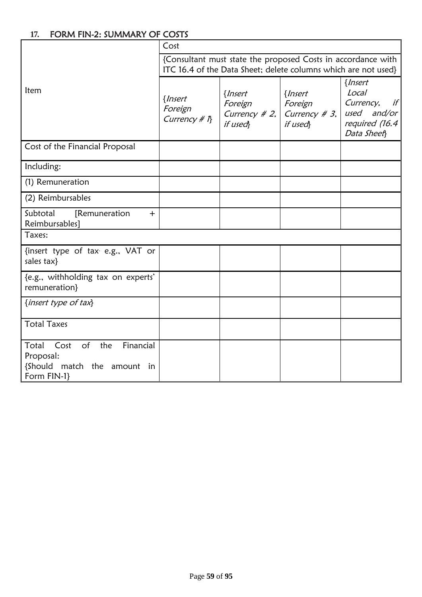## **17.** FORM FIN-2: SUMMARY OF COSTS

|                                                                                                           | Cost                                                                                                                           |                                                      |                                                           |                                                                                            |  |
|-----------------------------------------------------------------------------------------------------------|--------------------------------------------------------------------------------------------------------------------------------|------------------------------------------------------|-----------------------------------------------------------|--------------------------------------------------------------------------------------------|--|
|                                                                                                           | {Consultant must state the proposed Costs in accordance with<br>ITC 16.4 of the Data Sheet; delete columns which are not used} |                                                      |                                                           |                                                                                            |  |
| Item                                                                                                      | { <i>Insert</i><br>Foreign<br>Currency # $\eta$                                                                                | $\{Insert$<br>Foreign<br>Currency $# 2$ ,<br>if used | { <i>Insert</i><br>Foreign<br>Currency $# 3$ ,<br>if used | { <i>Insert</i><br>Local<br>if<br>Currency,<br>used and/or<br>required (16.4<br>Data Sheet |  |
| Cost of the Financial Proposal                                                                            |                                                                                                                                |                                                      |                                                           |                                                                                            |  |
| Including:                                                                                                |                                                                                                                                |                                                      |                                                           |                                                                                            |  |
| (1) Remuneration                                                                                          |                                                                                                                                |                                                      |                                                           |                                                                                            |  |
| (2) Reimbursables                                                                                         |                                                                                                                                |                                                      |                                                           |                                                                                            |  |
| Subtotal<br>[Remuneration<br>$\ddot{}$<br>Reimbursables]                                                  |                                                                                                                                |                                                      |                                                           |                                                                                            |  |
| Taxes:                                                                                                    |                                                                                                                                |                                                      |                                                           |                                                                                            |  |
| {insert type of tax e.g., VAT or<br>sales tax}                                                            |                                                                                                                                |                                                      |                                                           |                                                                                            |  |
| {e.g., withholding tax on experts'<br>remuneration}                                                       |                                                                                                                                |                                                      |                                                           |                                                                                            |  |
| {insert type of tax}                                                                                      |                                                                                                                                |                                                      |                                                           |                                                                                            |  |
| <b>Total Taxes</b>                                                                                        |                                                                                                                                |                                                      |                                                           |                                                                                            |  |
| Total<br>Cost<br>$\circ$ f<br>the<br>Financial<br>Proposal:<br>{Should match the amount in<br>Form FIN-1} |                                                                                                                                |                                                      |                                                           |                                                                                            |  |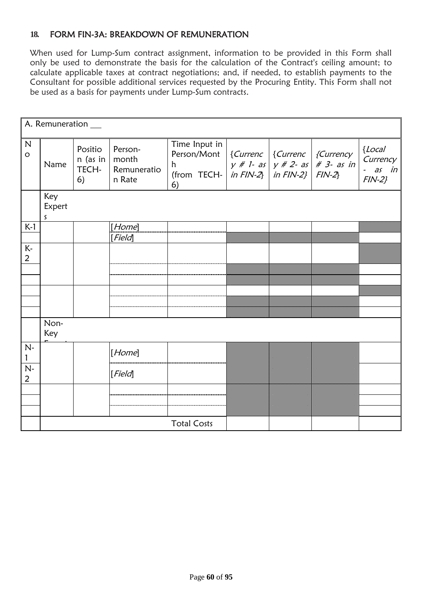## **18.** FORM FIN-3A: BREAKDOWN OF REMUNERATION

When used for Lump-Sum contract assignment, information to be provided in this Form shall only be used to demonstrate the basis for the calculation of the Contract's ceiling amount; to calculate applicable taxes at contract negotiations; and, if needed, to establish payments to the Consultant for possible additional services requested by the Procuring Entity. This Form shall not be used as a basis for payments under Lump-Sum contracts.

|                        | A. Remuneration               |                                    |                                           |                                                                                          |  |  |                                                                                                       |                                                 |
|------------------------|-------------------------------|------------------------------------|-------------------------------------------|------------------------------------------------------------------------------------------|--|--|-------------------------------------------------------------------------------------------------------|-------------------------------------------------|
| ${\sf N}$<br>$\circ$   | Name                          | Positio<br>n (as in<br>TECH-<br>6) | Person-<br>month<br>Remuneratio<br>n Rate | Time Input in<br>Person/Mont<br>h<br>(from TECH- $\int$ in FIN-2} $\int$ in FIN-2}<br>6) |  |  | ${Current  $ {Currenc   {Currenc   {Currency<br>$y \# 1$ - as $y \# 2$ - as $\# 3$ - as in<br>$FIN-2$ | ${Local}$<br>Currency<br>$-$ as in<br>$FIN-2$ } |
|                        | Key<br>Expert<br>$\mathsf{S}$ |                                    |                                           |                                                                                          |  |  |                                                                                                       |                                                 |
| $K-1$                  |                               |                                    | [Home]                                    |                                                                                          |  |  |                                                                                                       |                                                 |
|                        |                               |                                    | [Field]                                   |                                                                                          |  |  |                                                                                                       |                                                 |
| $K -$<br>2             |                               |                                    |                                           |                                                                                          |  |  |                                                                                                       |                                                 |
|                        |                               |                                    |                                           |                                                                                          |  |  |                                                                                                       |                                                 |
|                        |                               |                                    |                                           |                                                                                          |  |  |                                                                                                       |                                                 |
|                        |                               |                                    |                                           |                                                                                          |  |  |                                                                                                       |                                                 |
|                        |                               |                                    |                                           |                                                                                          |  |  |                                                                                                       |                                                 |
|                        | Non-<br>Key                   |                                    |                                           |                                                                                          |  |  |                                                                                                       |                                                 |
| $N-$                   |                               |                                    | [Home]                                    |                                                                                          |  |  |                                                                                                       |                                                 |
| $N-$<br>$\overline{2}$ |                               |                                    | [Field]                                   |                                                                                          |  |  |                                                                                                       |                                                 |
|                        |                               |                                    |                                           |                                                                                          |  |  |                                                                                                       |                                                 |
|                        |                               |                                    |                                           |                                                                                          |  |  |                                                                                                       |                                                 |
|                        |                               |                                    |                                           | <b>Total Costs</b>                                                                       |  |  |                                                                                                       |                                                 |
|                        |                               |                                    |                                           |                                                                                          |  |  |                                                                                                       |                                                 |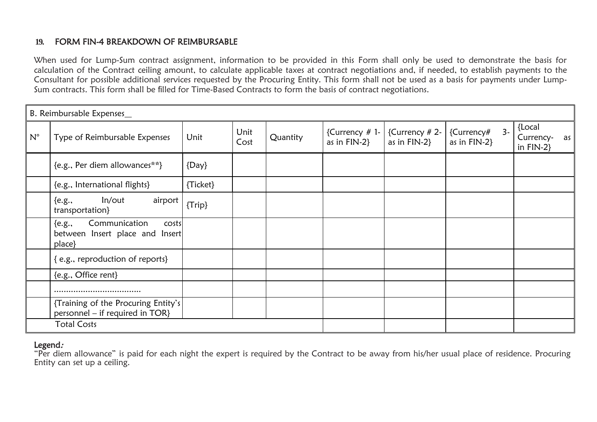### **19.** FORM FIN-4 BREAKDOWN OF REIMBURSABLE

When used for Lump-Sum contract assignment, information to be provided in this Form shall only be used to demonstrate the basis for calculation of the Contract ceiling amount, to calculate applicable taxes at contract negotiations and, if needed, to establish payments to the Consultant for possible additional services requested by the Procuring Entity. This form shall not be used as a basis for payments under Lump-Sum contracts. This form shall be filled for Time-Based Contracts to form the basis of contract negotiations.

| B. Reimbursable Expenses |                                                                                  |            |              |          |                                  |                                     |                               |      |                                           |
|--------------------------|----------------------------------------------------------------------------------|------------|--------------|----------|----------------------------------|-------------------------------------|-------------------------------|------|-------------------------------------------|
| $N^{\circ}$              | Type of Reimbursable Expenses                                                    | Unit       | Unit<br>Cost | Quantity | {Currency $# 1-$<br>as in FIN-2} | {Currency $# 2-$<br>as in $FIN-2$ } | {Currency#<br>as in $FIN-2$ } | $3-$ | {Local<br>Currency-<br>as<br>in $FIN-2$ } |
|                          | {e.g., Per diem allowances**}                                                    | $\{Day\}$  |              |          |                                  |                                     |                               |      |                                           |
|                          | {e.g., International flights}                                                    | {Ticket}   |              |          |                                  |                                     |                               |      |                                           |
|                          | ln/out<br>airport<br>${e.g.,}$<br>transportation}                                | $\{Trip\}$ |              |          |                                  |                                     |                               |      |                                           |
|                          | Communication<br>${e.g.,}$<br>costs<br>between Insert place and Insert<br>place} |            |              |          |                                  |                                     |                               |      |                                           |
|                          | {e.g., reproduction of reports}                                                  |            |              |          |                                  |                                     |                               |      |                                           |
|                          | {e.g., Office rent}                                                              |            |              |          |                                  |                                     |                               |      |                                           |
|                          |                                                                                  |            |              |          |                                  |                                     |                               |      |                                           |
|                          | {Training of the Procuring Entity's<br>personnel - if required in TOR}           |            |              |          |                                  |                                     |                               |      |                                           |
| <b>Total Costs</b>       |                                                                                  |            |              |          |                                  |                                     |                               |      |                                           |

#### Legend:

"Per diem allowance" is paid for each night the expert is required by the Contract to be away from his/her usual place of residence. Procuring Entity can set up a ceiling.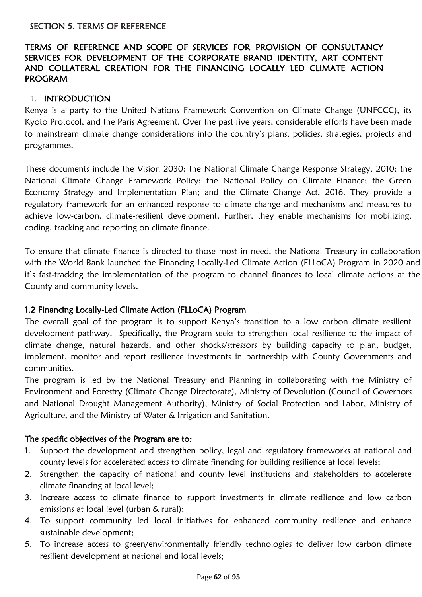### SECTION 5. TERMS OF REFERENCE

### TERMS OF REFERENCE AND SCOPE OF SERVICES FOR PROVISION OF CONSULTANCY SERVICES FOR DEVELOPMENT OF THE CORPORATE BRAND IDENTITY, ART CONTENT AND COLLATERAL CREATION FOR THE FINANCING LOCALLY LED CLIMATE ACTION PROGRAM

#### 1. INTRODUCTION

Kenya is a party to the United Nations Framework Convention on Climate Change (UNFCCC), its Kyoto Protocol, and the Paris Agreement. Over the past five years, considerable efforts have been made to mainstream climate change considerations into the country's plans, policies, strategies, projects and programmes.

These documents include the Vision 2030; the National Climate Change Response Strategy, 2010; the National Climate Change Framework Policy; the National Policy on Climate Finance; the Green Economy Strategy and Implementation Plan; and the Climate Change Act, 2016. They provide a regulatory framework for an enhanced response to climate change and mechanisms and measures to achieve low-carbon, climate-resilient development. Further, they enable mechanisms for mobilizing, coding, tracking and reporting on climate finance.

To ensure that climate finance is directed to those most in need, the National Treasury in collaboration with the World Bank launched the Financing Locally-Led Climate Action (FLLoCA) Program in 2020 and it's fast-tracking the implementation of the program to channel finances to local climate actions at the County and community levels.

#### 1.2 Financing Locally-Led Climate Action (FLLoCA) Program

The overall goal of the program is to support Kenya's transition to a low carbon climate resilient development pathway. Specifically, the Program seeks to strengthen local resilience to the impact of climate change, natural hazards, and other shocks/stressors by building capacity to plan, budget, implement, monitor and report resilience investments in partnership with County Governments and communities.

The program is led by the National Treasury and Planning in collaborating with the Ministry of Environment and Forestry (Climate Change Directorate), Ministry of Devolution (Council of Governors and National Drought Management Authority), Ministry of Social Protection and Labor, Ministry of Agriculture, and the Ministry of Water & Irrigation and Sanitation.

#### The specific objectives of the Program are to:

- 1. Support the development and strengthen policy, legal and regulatory frameworks at national and county levels for accelerated access to climate financing for building resilience at local levels;
- 2. Strengthen the capacity of national and county level institutions and stakeholders to accelerate climate financing at local level;
- 3. Increase access to climate finance to support investments in climate resilience and low carbon emissions at local level (urban & rural);
- 4. To support community led local initiatives for enhanced community resilience and enhance sustainable development;
- 5. To increase access to green/environmentally friendly technologies to deliver low carbon climate resilient development at national and local levels;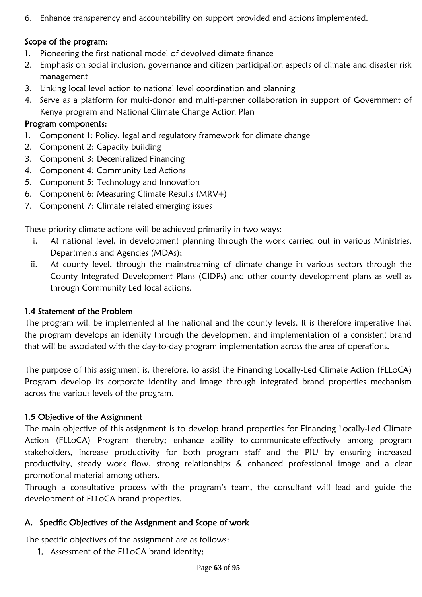6. Enhance transparency and accountability on support provided and actions implemented.

## Scope of the program;

- 1. Pioneering the first national model of devolved climate finance
- 2. Emphasis on social inclusion, governance and citizen participation aspects of climate and disaster risk management
- 3. Linking local level action to national level coordination and planning
- 4. Serve as a platform for multi-donor and multi-partner collaboration in support of Government of Kenya program and National Climate Change Action Plan

### Program components:

- 1. Component 1: Policy, legal and regulatory framework for climate change
- 2. Component 2: Capacity building
- 3. Component 3: Decentralized Financing
- 4. Component 4: Community Led Actions
- 5. Component 5: Technology and Innovation
- 6. Component 6: Measuring Climate Results (MRV+)
- 7. Component 7: Climate related emerging issues

These priority climate actions will be achieved primarily in two ways:

- i. At national level, in development planning through the work carried out in various Ministries, Departments and Agencies (MDAs);
- ii. At county level, through the mainstreaming of climate change in various sectors through the County Integrated Development Plans (CIDPs) and other county development plans as well as through Community Led local actions.

### 1.4 Statement of the Problem

The program will be implemented at the national and the county levels. It is therefore imperative that the program develops an identity through the development and implementation of a consistent brand that will be associated with the day-to-day program implementation across the area of operations.

The purpose of this assignment is, therefore, to assist the Financing Locally-Led Climate Action (FLLoCA) Program develop its corporate identity and image through integrated brand properties mechanism across the various levels of the program.

### 1.5 Objective of the Assignment

The main objective of this assignment is to develop brand properties for Financing Locally-Led Climate Action (FLLoCA) Program thereby; enhance ability to communicate effectively among program stakeholders, increase productivity for both program staff and the PIU by ensuring increased productivity, steady work flow, strong relationships & enhanced professional image and a clear promotional material among others.

Through a consultative process with the program's team, the consultant will lead and guide the development of FLLoCA brand properties.

## A. Specific Objectives of the Assignment and Scope of work

The specific objectives of the assignment are as follows:

1. Assessment of the FLLoCA brand identity;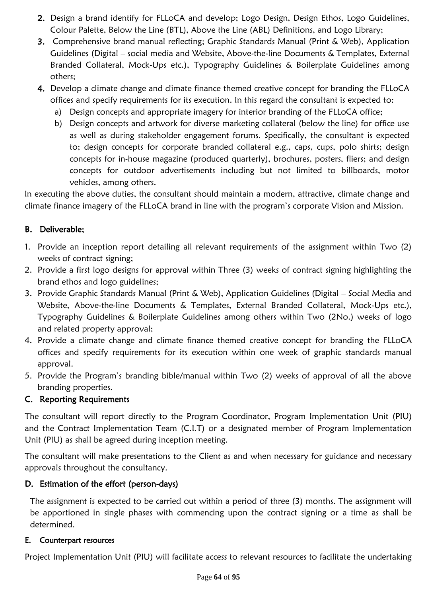- 2. Design a brand identify for FLLoCA and develop; Logo Design, Design Ethos, Logo Guidelines, Colour Palette, Below the Line (BTL), Above the Line (ABL) Definitions, and Logo Library;
- 3. Comprehensive brand manual reflecting; Graphic Standards Manual (Print & Web), Application Guidelines (Digital – social media and Website, Above-the-line Documents & Templates, External Branded Collateral, Mock-Ups etc.), Typography Guidelines & Boilerplate Guidelines among others;
- 4. Develop a climate change and climate finance themed creative concept for branding the FLLoCA offices and specify requirements for its execution. In this regard the consultant is expected to:
	- a) Design concepts and appropriate imagery for interior branding of the FLLoCA office;
	- b) Design concepts and artwork for diverse marketing collateral (below the line) for office use as well as during stakeholder engagement forums. Specifically, the consultant is expected to; design concepts for corporate branded collateral e.g., caps, cups, polo shirts; design concepts for in-house magazine (produced quarterly), brochures, posters, fliers; and design concepts for outdoor advertisements including but not limited to billboards, motor vehicles, among others.

 In executing the above duties, the consultant should maintain a modern, attractive, climate change and climate finance imagery of the FLLoCA brand in line with the program's corporate Vision and Mission.

## B. Deliverable;

- 1. Provide an inception report detailing all relevant requirements of the assignment within Two (2) weeks of contract signing;
- 2. Provide a first logo designs for approval within Three (3) weeks of contract signing highlighting the brand ethos and logo guidelines;
- 3. Provide Graphic Standards Manual (Print & Web), Application Guidelines (Digital Social Media and Website, Above-the-line Documents & Templates, External Branded Collateral, Mock-Ups etc.), Typography Guidelines & Boilerplate Guidelines among others within Two (2No.) weeks of logo and related property approval;
- 4. Provide a climate change and climate finance themed creative concept for branding the FLLoCA offices and specify requirements for its execution within one week of graphic standards manual approval.
- 5. Provide the Program's branding bible/manual within Two (2) weeks of approval of all the above branding properties.

## C. Reporting Requirements

The consultant will report directly to the Program Coordinator, Program Implementation Unit (PIU) and the Contract Implementation Team (C.I.T) or a designated member of Program Implementation Unit (PIU) as shall be agreed during inception meeting.

The consultant will make presentations to the Client as and when necessary for guidance and necessary approvals throughout the consultancy.

# D. Estimation of the effort (person-days)

The assignment is expected to be carried out within a period of three (3) months. The assignment will be apportioned in single phases with commencing upon the contract signing or a time as shall be determined.

### E. Counterpart resources

Project Implementation Unit (PIU) will facilitate access to relevant resources to facilitate the undertaking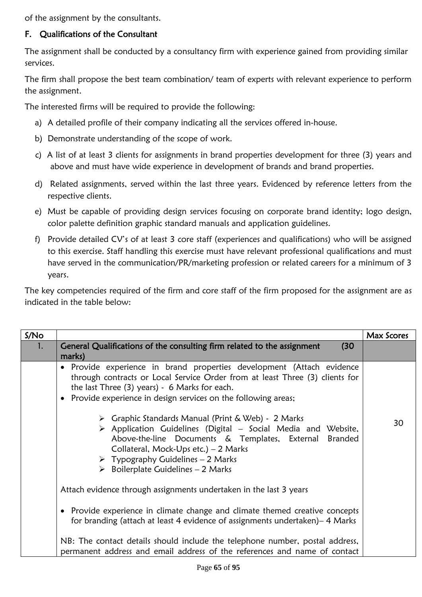of the assignment by the consultants.

## F. Qualifications of the Consultant

The assignment shall be conducted by a consultancy firm with experience gained from providing similar services.

The firm shall propose the best team combination/ team of experts with relevant experience to perform the assignment.

The interested firms will be required to provide the following:

- a) A detailed profile of their company indicating all the services offered in-house.
- b) Demonstrate understanding of the scope of work.
- c) A list of at least 3 clients for assignments in brand properties development for three (3) years and above and must have wide experience in development of brands and brand properties.
- d) Related assignments, served within the last three years. Evidenced by reference letters from the respective clients.
- e) Must be capable of providing design services focusing on corporate brand identity; logo design, color palette definition graphic standard manuals and application guidelines.
- f) Provide detailed CV's of at least 3 core staff (experiences and qualifications) who will be assigned to this exercise. Staff handling this exercise must have relevant professional qualifications and must have served in the communication/PR/marketing profession or related careers for a minimum of 3 years.

The key competencies required of the firm and core staff of the firm proposed for the assignment are as indicated in the table below:

| S/N <sub>O</sub> |                                                                                                                                                                                                                                                                                                                                                                                                                                                                                                                                                                                                                            | Max Scores |
|------------------|----------------------------------------------------------------------------------------------------------------------------------------------------------------------------------------------------------------------------------------------------------------------------------------------------------------------------------------------------------------------------------------------------------------------------------------------------------------------------------------------------------------------------------------------------------------------------------------------------------------------------|------------|
| 1.               | General Qualifications of the consulting firm related to the assignment<br>(30)<br>marks)                                                                                                                                                                                                                                                                                                                                                                                                                                                                                                                                  |            |
|                  | • Provide experience in brand properties development (Attach evidence<br>through contracts or Local Service Order from at least Three (3) clients for<br>the last Three (3) years) - 6 Marks for each.<br>• Provide experience in design services on the following areas;<br>> Graphic Standards Manual (Print & Web) - 2 Marks<br>$\triangleright$ Application Guidelines (Digital – Social Media and Website,<br>Above-the-line Documents & Templates, External Branded<br>Collateral, Mock-Ups etc.) - 2 Marks<br>$\triangleright$ Typography Guidelines - 2 Marks<br>$\triangleright$ Boilerplate Guidelines - 2 Marks | 30         |
|                  | Attach evidence through assignments undertaken in the last 3 years<br>• Provide experience in climate change and climate themed creative concepts<br>for branding (attach at least 4 evidence of assignments undertaken) – 4 Marks                                                                                                                                                                                                                                                                                                                                                                                         |            |
|                  | NB: The contact details should include the telephone number, postal address,<br>permanent address and email address of the references and name of contact                                                                                                                                                                                                                                                                                                                                                                                                                                                                  |            |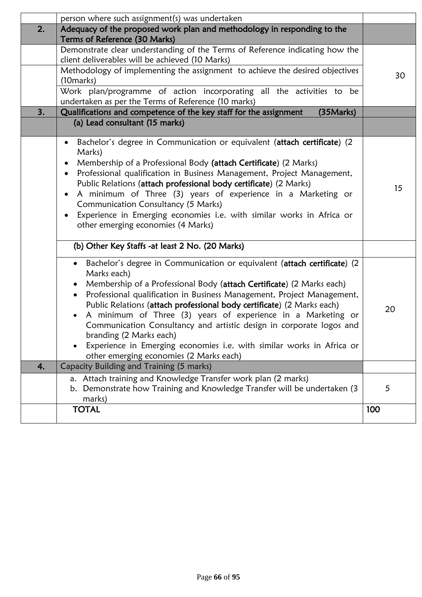|    | person where such assignment(s) was undertaken                                                                                                                                                                                                                                                                                                                                                                                                                                                                                                                                                                                                                  |     |  |  |  |  |  |
|----|-----------------------------------------------------------------------------------------------------------------------------------------------------------------------------------------------------------------------------------------------------------------------------------------------------------------------------------------------------------------------------------------------------------------------------------------------------------------------------------------------------------------------------------------------------------------------------------------------------------------------------------------------------------------|-----|--|--|--|--|--|
| 2. | Adequacy of the proposed work plan and methodology in responding to the<br>Terms of Reference (30 Marks)                                                                                                                                                                                                                                                                                                                                                                                                                                                                                                                                                        |     |  |  |  |  |  |
|    | Demonstrate clear understanding of the Terms of Reference indicating how the<br>client deliverables will be achieved (10 Marks)                                                                                                                                                                                                                                                                                                                                                                                                                                                                                                                                 |     |  |  |  |  |  |
|    | Methodology of implementing the assignment to achieve the desired objectives<br>(10marks)                                                                                                                                                                                                                                                                                                                                                                                                                                                                                                                                                                       |     |  |  |  |  |  |
|    | Work plan/programme of action incorporating all the activities to be<br>undertaken as per the Terms of Reference (10 marks)                                                                                                                                                                                                                                                                                                                                                                                                                                                                                                                                     |     |  |  |  |  |  |
| 3. | Qualifications and competence of the key staff for the assignment<br>(35Marks)                                                                                                                                                                                                                                                                                                                                                                                                                                                                                                                                                                                  |     |  |  |  |  |  |
|    | (a) Lead consultant (15 marks)                                                                                                                                                                                                                                                                                                                                                                                                                                                                                                                                                                                                                                  |     |  |  |  |  |  |
|    | Bachelor's degree in Communication or equivalent (attach certificate) (2<br>$\bullet$<br>Marks)<br>Membership of a Professional Body (attach Certificate) (2 Marks)<br>$\bullet$<br>Professional qualification in Business Management, Project Management,<br>$\bullet$<br>Public Relations (attach professional body certificate) (2 Marks)<br>A minimum of Three (3) years of experience in a Marketing or<br>$\bullet$<br>Communication Consultancy (5 Marks)<br>Experience in Emerging economies i.e. with similar works in Africa or<br>$\bullet$<br>other emerging economies (4 Marks)                                                                    | 15  |  |  |  |  |  |
|    | (b) Other Key Staffs -at least 2 No. (20 Marks)                                                                                                                                                                                                                                                                                                                                                                                                                                                                                                                                                                                                                 |     |  |  |  |  |  |
|    | Bachelor's degree in Communication or equivalent (attach certificate) (2<br>$\bullet$<br>Marks each)<br>Membership of a Professional Body (attach Certificate) (2 Marks each)<br>$\bullet$<br>Professional qualification in Business Management, Project Management,<br>$\bullet$<br>Public Relations (attach professional body certificate) (2 Marks each)<br>A minimum of Three (3) years of experience in a Marketing or<br>Communication Consultancy and artistic design in corporate logos and<br>branding (2 Marks each)<br>Experience in Emerging economies i.e. with similar works in Africa or<br>$\bullet$<br>other emerging economies (2 Marks each) | 20  |  |  |  |  |  |
| 4. | Capacity Building and Training (5 marks)                                                                                                                                                                                                                                                                                                                                                                                                                                                                                                                                                                                                                        |     |  |  |  |  |  |
|    | a. Attach training and Knowledge Transfer work plan (2 marks)<br>Demonstrate how Training and Knowledge Transfer will be undertaken (3<br>b.<br>marks)                                                                                                                                                                                                                                                                                                                                                                                                                                                                                                          | 5   |  |  |  |  |  |
|    | <b>TOTAL</b>                                                                                                                                                                                                                                                                                                                                                                                                                                                                                                                                                                                                                                                    | 100 |  |  |  |  |  |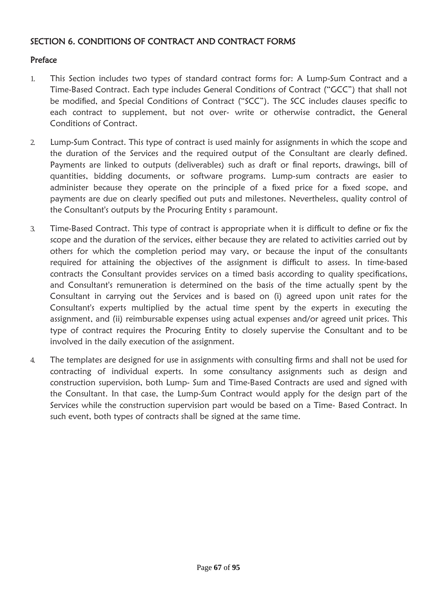## SECTION 6. CONDITIONS OF CONTRACT AND CONTRACT FORMS

## Preface

- 1. This Section includes two types of standard contract forms for: A Lump-Sum Contract and a Time-Based Contract. Each type includes General Conditions of Contract ("GCC") that shall not be modified, and Special Conditions of Contract ("SCC"). The SCC includes clauses specific to each contract to supplement, but not over- write or otherwise contradict, the General Conditions of Contract.
- 2. Lump-Sum Contract. This type of contract is used mainly for assignments in which the scope and the duration of the Services and the required output of the Consultant are clearly defined. Payments are linked to outputs (deliverables) such as draft or final reports, drawings, bill of quantities, bidding documents, or software programs. Lump-sum contracts are easier to administer because they operate on the principle of a fixed price for a fixed scope, and payments are due on clearly specified out puts and milestones. Nevertheless, quality control of the Consultant's outputs by the Procuring Entity s paramount.
- 3. Time-Based Contract. This type of contract is appropriate when it is difficult to define or fix the scope and the duration of the services, either because they are related to activities carried out by others for which the completion period may vary, or because the input of the consultants required for attaining the objectives of the assignment is difficult to assess. In time-based contracts the Consultant provides services on a timed basis according to quality specifications, and Consultant's remuneration is determined on the basis of the time actually spent by the Consultant in carrying out the Services and is based on (i) agreed upon unit rates for the Consultant's experts multiplied by the actual time spent by the experts in executing the assignment, and (ii) reimbursable expenses using actual expenses and/or agreed unit prices. This type of contract requires the Procuring Entity to closely supervise the Consultant and to be involved in the daily execution of the assignment.
- 4. The templates are designed for use in assignments with consulting firms and shall not be used for contracting of individual experts. In some consultancy assignments such as design and construction supervision, both Lump- Sum and Time-Based Contracts are used and signed with the Consultant. In that case, the Lump-Sum Contract would apply for the design part of the Services while the construction supervision part would be based on a Time- Based Contract. In such event, both types of contracts shall be signed at the same time.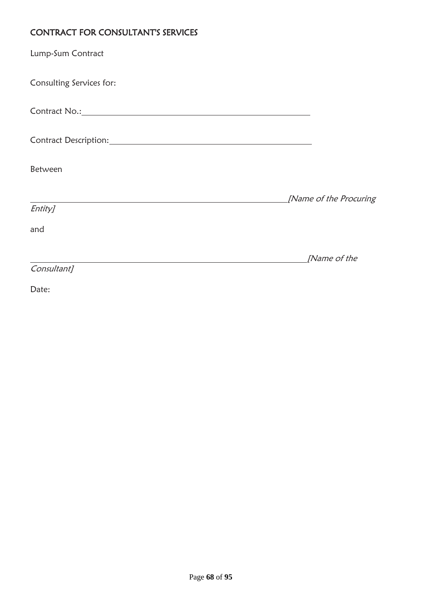# CONTRACT FOR CONSULTANT'S SERVICES

| Lump-Sum Contract                |                               |
|----------------------------------|-------------------------------|
| Consulting Services for:         |                               |
| Contract No.: 1988 Contract No.: |                               |
|                                  |                               |
| Between                          |                               |
| Entity]                          | <i>[Name of the Procuring</i> |
| and                              |                               |
| Consultant]                      | [Name of the                  |
| Date:                            |                               |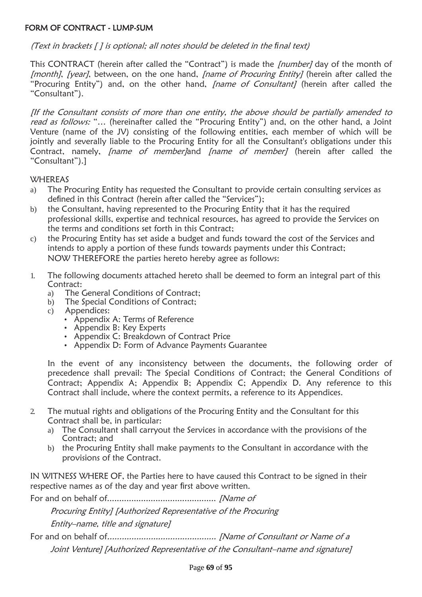#### FORM OF CONTRACT - LUMP-SUM

(Text in brackets [ ] is optional; all notes should be deleted in the *fi*nal text)

This CONTRACT (herein after called the "Contract") is made the *[number]* day of the month of [month], [year], between, on the one hand, [name of Procuring Entity] (herein after called the "Procuring Entity") and, on the other hand, *[name of Consultant]* (herein after called the "Consultant").

[If the Consultant consists of more than one entity, the above should be partially amended to read as follows: "... (hereinafter called the "Procuring Entity") and, on the other hand, a Joint Venture (name of the JV) consisting of the following entities, each member of which will be jointly and severally liable to the Procuring Entity for all the Consultant's obligations under this Contract, namely, *[name of member]*and *[name of member]* (herein after called the "Consultant").]

#### **WHEREAS**

- a) The Procuring Entity has requested the Consultant to provide certain consulting services as defined in this Contract (herein after called the "Services");
- b) the Consultant, having represented to the Procuring Entity that it has the required professional skills, expertise and technical resources, has agreed to provide the Services on the terms and conditions set forth in this Contract;
- c) the Procuring Entity has set aside a budget and funds toward the cost of the Services and intends to apply a portion of these funds towards payments under this Contract; NOW THEREFORE the parties hereto hereby agree as follows:
- 1. The following documents attached hereto shall be deemed to form an integral part of this Contract:
	- a) The General Conditions of Contract;
	- b) The Special Conditions of Contract;
	- c) Appendices:
		- Appendix A: Terms of Reference
		- Appendix B: Key Experts
		- Appendix C: Breakdown of Contract Price
		- Appendix D: Form of Advance Payments Guarantee

In the event of any inconsistency between the documents, the following order of precedence shall prevail: The Special Conditions of Contract; the General Conditions of Contract; Appendix A; Appendix B; Appendix C; Appendix D. Any reference to this Contract shall include, where the context permits, a reference to its Appendices.

- 2. The mutual rights and obligations of the Procuring Entity and the Consultant for this Contract shall be, in particular:
	- a) The Consultant shall carryout the Services in accordance with the provisions of the Contract; and
	- b) the Procuring Entity shall make payments to the Consultant in accordance with the provisions of the Contract.

IN WITNESS WHERE OF, the Parties here to have caused this Contract to be signed in their respective names as of the day and year first above written.

For and on behalf of............................................. [Name of

Procuring Entity] [Authorized Representative of the Procuring

Entity–name, title and signature]

For and on behalf of............................................. [Name of Consultant or Name of a

Joint Venture] [Authorized Representative of the Consultant–name and signature]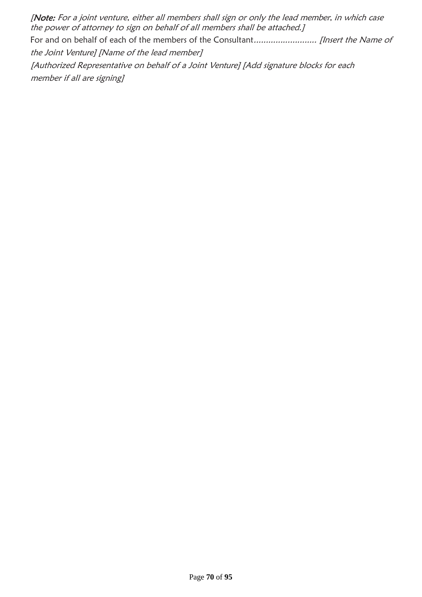[Note: For a joint venture, either all members shall sign or only the lead member, in which case the power of attorney to sign on behalf of all members shall be attached.] For and on behalf of each of the members of the Consultant.......................... [Insert the Name of the Joint Venture] [Name of the lead member] [Authorized Representative on behalf of a Joint Venture] [Add signature blocks for each member if all are signing]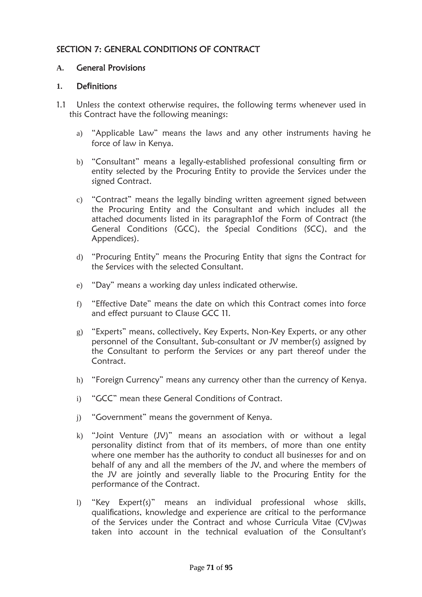### SECTION 7: GENERAL CONDITIONS OF CONTRACT

#### **A.** General Provisions

#### **1.** De**fi**nitions

- 1.1 Unless the context otherwise requires, the following terms whenever used in this Contract have the following meanings:
	- a) "Applicable Law" means the laws and any other instruments having he force of law in Kenya.
	- b) "Consultant" means a legally-established professional consulting firm or entity selected by the Procuring Entity to provide the Services under the signed Contract.
	- c) "Contract" means the legally binding written agreement signed between the Procuring Entity and the Consultant and which includes all the attached documents listed in its paragraph1of the Form of Contract (the General Conditions (GCC), the Special Conditions (SCC), and the Appendices).
	- d) "Procuring Entity" means the Procuring Entity that signs the Contract for the Services with the selected Consultant.
	- e) "Day" means a working day unless indicated otherwise.
	- f) "Effective Date" means the date on which this Contract comes into force and effect pursuant to Clause GCC 11.
	- g) "Experts" means, collectively, Key Experts, Non-Key Experts, or any other personnel of the Consultant, Sub-consultant or JV member(s) assigned by the Consultant to perform the Services or any part thereof under the Contract.
	- h) "Foreign Currency" means any currency other than the currency of Kenya.
	- i) "GCC" mean these General Conditions of Contract.
	- j) "Government" means the government of Kenya.
	- k) "Joint Venture (JV)" means an association with or without a legal personality distinct from that of its members, of more than one entity where one member has the authority to conduct all businesses for and on behalf of any and all the members of the JV, and where the members of the JV are jointly and severally liable to the Procuring Entity for the performance of the Contract.
	- l) "Key Expert(s)" means an individual professional whose skills, qualifications, knowledge and experience are critical to the performance of the Services under the Contract and whose Curricula Vitae (CV)was taken into account in the technical evaluation of the Consultant's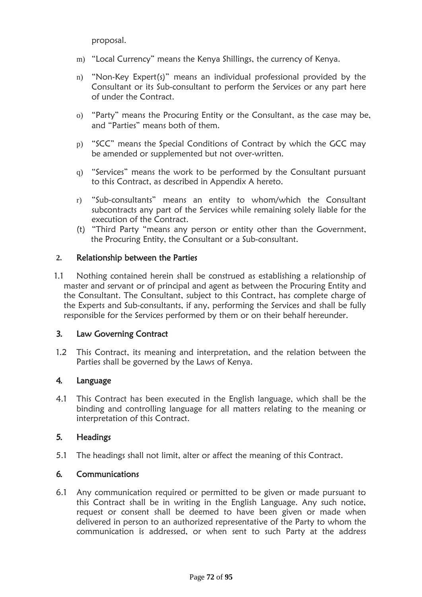proposal.

- m) "Local Currency" means the Kenya Shillings, the currency of Kenya.
- n) "Non-Key Expert(s)" means an individual professional provided by the Consultant or its Sub-consultant to perform the Services or any part here of under the Contract.
- o) "Party" means the Procuring Entity or the Consultant, as the case may be, and "Parties" means both of them.
- p) "SCC" means the Special Conditions of Contract by which the GCC may be amended or supplemented but not over-written.
- q) "Services" means the work to be performed by the Consultant pursuant to this Contract, as described in Appendix A hereto.
- r) "Sub-consultants" means an entity to whom/which the Consultant subcontracts any part of the Services while remaining solely liable for the execution of the Contract.
- (t) "Third Party "means any person or entity other than the Government, the Procuring Entity, the Consultant or a Sub-consultant.

#### **2.** Relationship between the Parties

1.1 Nothing contained herein shall be construed as establishing a relationship of master and servant or of principal and agent as between the Procuring Entity and the Consultant. The Consultant, subject to this Contract, has complete charge of the Experts and Sub-consultants, if any, performing the Services and shall be fully responsible for the Services performed by them or on their behalf hereunder.

### 3. Law Governing Contract

1.2 This Contract, its meaning and interpretation, and the relation between the Parties shall be governed by the Laws of Kenya.

#### 4. Language

4.1 This Contract has been executed in the English language, which shall be the binding and controlling language for all matters relating to the meaning or interpretation of this Contract.

### 5. Headings

5.1 The headings shall not limit, alter or affect the meaning of this Contract.

#### 6. Communications

6.1 Any communication required or permitted to be given or made pursuant to this Contract shall be in writing in the English Language. Any such notice, request or consent shall be deemed to have been given or made when delivered in person to an authorized representative of the Party to whom the communication is addressed, or when sent to such Party at the address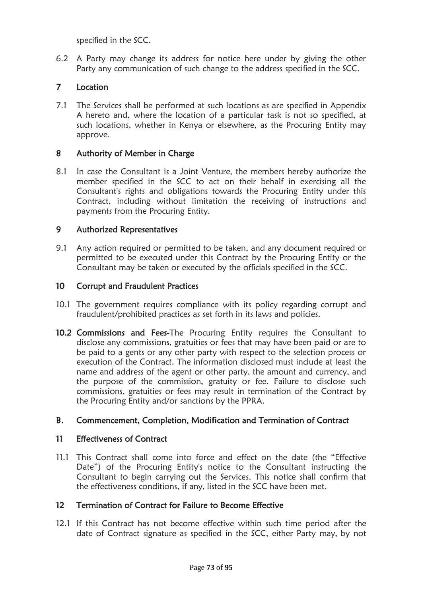specified in the SCC.

6.2 A Party may change its address for notice here under by giving the other Party any communication of such change to the address specified in the SCC.

# 7 Location

7.1 The Services shall be performed at such locations as are specified in Appendix A hereto and, where the location of a particular task is not so specified, at such locations, whether in Kenya or elsewhere, as the Procuring Entity may approve.

### 8 Authority of Member in Charge

8.1 In case the Consultant is a Joint Venture, the members hereby authorize the member specified in the SCC to act on their behalf in exercising all the Consultant's rights and obligations towards the Procuring Entity under this Contract, including without limitation the receiving of instructions and payments from the Procuring Entity.

### 9 Authorized Representatives

9.1 Any action required or permitted to be taken, and any document required or permitted to be executed under this Contract by the Procuring Entity or the Consultant may be taken or executed by the officials specified in the SCC.

### 10 Corrupt and Fraudulent Practices

- 10.1 The government requires compliance with its policy regarding corrupt and fraudulent/prohibited practices as set forth in its laws and policies.
- 10.2 Commissions and Fees-The Procuring Entity requires the Consultant to disclose any commissions, gratuities or fees that may have been paid or are to be paid to a gents or any other party with respect to the selection process or execution of the Contract. The information disclosed must include at least the name and address of the agent or other party, the amount and currency, and the purpose of the commission, gratuity or fee. Failure to disclose such commissions, gratuities or fees may result in termination of the Contract by the Procuring Entity and/or sanctions by the PPRA.

### B. Commencement, Completion, Modi**fi**cation and Termination of Contract

#### 11 Effectiveness of Contract

11.1 This Contract shall come into force and effect on the date (the "Effective Date") of the Procuring Entity's notice to the Consultant instructing the Consultant to begin carrying out the Services. This notice shall confirm that the effectiveness conditions, if any, listed in the SCC have been met.

### 12 Termination of Contract for Failure to Become Effective

12.1 If this Contract has not become effective within such time period after the date of Contract signature as specified in the SCC, either Party may, by not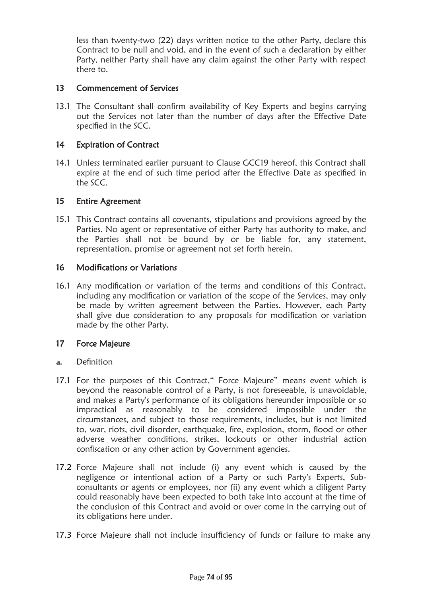less than twenty-two (22) days written notice to the other Party, declare this Contract to be null and void, and in the event of such a declaration by either Party, neither Party shall have any claim against the other Party with respect there to.

#### 13 Commencement of Services

13.1 The Consultant shall confirm availability of Key Experts and begins carrying out the Services not later than the number of days after the Effective Date specified in the SCC.

#### 14 Expiration of Contract

14.1 Unless terminated earlier pursuant to Clause GCC19 hereof, this Contract shall expire at the end of such time period after the Effective Date as specified in the SCC.

#### 15 Entire Agreement

15.1 This Contract contains all covenants, stipulations and provisions agreed by the Parties. No agent or representative of either Party has authority to make, and the Parties shall not be bound by or be liable for, any statement, representation, promise or agreement not set forth herein.

#### 16 Modi**fi**cations or Variations

16.1 Any modification or variation of the terms and conditions of this Contract, including any modification or variation of the scope of the Services, may only be made by written agreement between the Parties. However, each Party shall give due consideration to any proposals for modification or variation made by the other Party.

#### 17 Force Majeure

- **a.** Definition
- 17.1 For the purposes of this Contract," Force Majeure" means event which is beyond the reasonable control of a Party, is not foreseeable, is unavoidable, and makes a Party's performance of its obligations hereunder impossible or so impractical as reasonably to be considered impossible under the circumstances, and subject to those requirements, includes, but is not limited to, war, riots, civil disorder, earthquake, fire, explosion, storm, flood or other adverse weather conditions, strikes, lockouts or other industrial action confiscation or any other action by Government agencies.
- 17.2 Force Majeure shall not include (i) any event which is caused by the negligence or intentional action of a Party or such Party's Experts, Subconsultants or agents or employees, nor (ii) any event which a diligent Party could reasonably have been expected to both take into account at the time of the conclusion of this Contract and avoid or over come in the carrying out of its obligations here under.
- 17.3 Force Majeure shall not include insufficiency of funds or failure to make any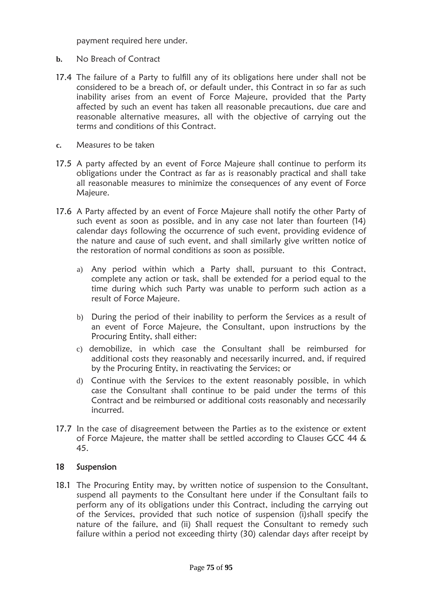payment required here under.

- **b.** No Breach of Contract
- 17.4 The failure of a Party to fulfill any of its obligations here under shall not be considered to be a breach of, or default under, this Contract in so far as such inability arises from an event of Force Majeure, provided that the Party affected by such an event has taken all reasonable precautions, due care and reasonable alternative measures, all with the objective of carrying out the terms and conditions of this Contract.
- **c.** Measures to be taken
- 17.5 A party affected by an event of Force Majeure shall continue to perform its obligations under the Contract as far as is reasonably practical and shall take all reasonable measures to minimize the consequences of any event of Force Majeure.
- 17.6 A Party affected by an event of Force Majeure shall notify the other Party of such event as soon as possible, and in any case not later than fourteen (14) calendar days following the occurrence of such event, providing evidence of the nature and cause of such event, and shall similarly give written notice of the restoration of normal conditions as soon as possible.
	- a) Any period within which a Party shall, pursuant to this Contract, complete any action or task, shall be extended for a period equal to the time during which such Party was unable to perform such action as a result of Force Majeure.
	- b) During the period of their inability to perform the Services as a result of an event of Force Majeure, the Consultant, upon instructions by the Procuring Entity, shall either:
	- c) demobilize, in which case the Consultant shall be reimbursed for additional costs they reasonably and necessarily incurred, and, if required by the Procuring Entity, in reactivating the Services; or
	- d) Continue with the Services to the extent reasonably possible, in which case the Consultant shall continue to be paid under the terms of this Contract and be reimbursed or additional costs reasonably and necessarily incurred.
- 17.7 In the case of disagreement between the Parties as to the existence or extent of Force Majeure, the matter shall be settled according to Clauses GCC 44 & 45.

#### 18 Suspension

18.1 The Procuring Entity may, by written notice of suspension to the Consultant, suspend all payments to the Consultant here under if the Consultant fails to perform any of its obligations under this Contract, including the carrying out of the Services, provided that such notice of suspension (i)shall specify the nature of the failure, and (ii) Shall request the Consultant to remedy such failure within a period not exceeding thirty (30) calendar days after receipt by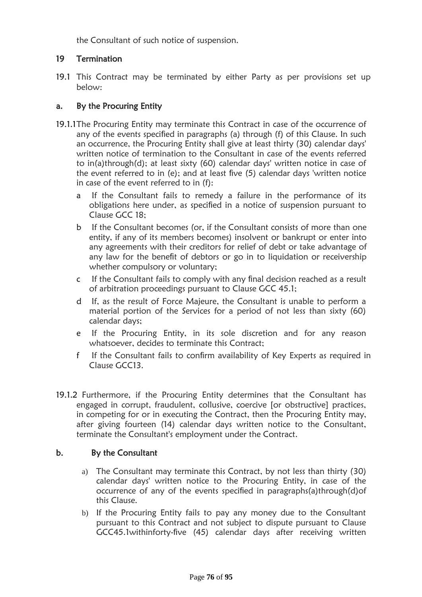the Consultant of such notice of suspension.

## 19 Termination

19.1 This Contract may be terminated by either Party as per provisions set up below:

### a. By the Procuring Entity

- 19.1.1The Procuring Entity may terminate this Contract in case of the occurrence of any of the events specified in paragraphs (a) through (f) of this Clause. In such an occurrence, the Procuring Entity shall give at least thirty (30) calendar days' written notice of termination to the Consultant in case of the events referred to in(a)through(d); at least sixty (60) calendar days' written notice in case of the event referred to in (e); and at least five (5) calendar days 'written notice in case of the event referred to in (f):
	- a If the Consultant fails to remedy a failure in the performance of its obligations here under, as specified in a notice of suspension pursuant to Clause GCC 18;
	- b If the Consultant becomes (or, if the Consultant consists of more than one entity, if any of its members becomes) insolvent or bankrupt or enter into any agreements with their creditors for relief of debt or take advantage of any law for the benefit of debtors or go in to liquidation or receivership whether compulsory or voluntary;
	- c If the Consultant fails to comply with any final decision reached as a result of arbitration proceedings pursuant to Clause GCC 45.1;
	- d If, as the result of Force Majeure, the Consultant is unable to perform a material portion of the Services for a period of not less than sixty (60) calendar days;
	- e If the Procuring Entity, in its sole discretion and for any reason whatsoever, decides to terminate this Contract;
	- f If the Consultant fails to confirm availability of Key Experts as required in Clause GCC13.
- 19.1.2 Furthermore, if the Procuring Entity determines that the Consultant has engaged in corrupt, fraudulent, collusive, coercive [or obstructive] practices, in competing for or in executing the Contract, then the Procuring Entity may, after giving fourteen (14) calendar days written notice to the Consultant, terminate the Consultant's employment under the Contract.

### b. By the Consultant

- a) The Consultant may terminate this Contract, by not less than thirty (30) calendar days' written notice to the Procuring Entity, in case of the occurrence of any of the events specified in paragraphs(a)through(d)of this Clause.
- b) If the Procuring Entity fails to pay any money due to the Consultant pursuant to this Contract and not subject to dispute pursuant to Clause GCC45.1withinforty-five (45) calendar days after receiving written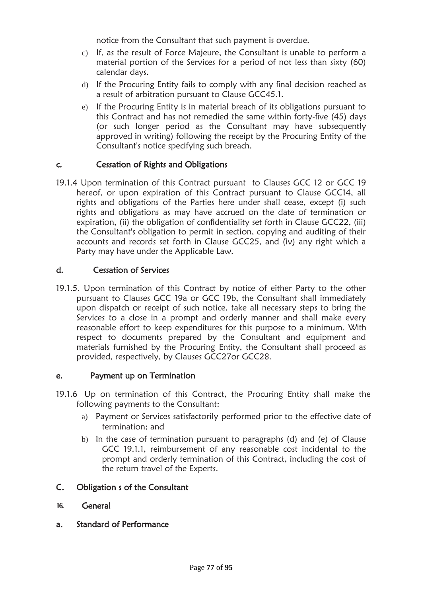notice from the Consultant that such payment is overdue.

- c) If, as the result of Force Majeure, the Consultant is unable to perform a material portion of the Services for a period of not less than sixty (60) calendar days.
- d) If the Procuring Entity fails to comply with any final decision reached as a result of arbitration pursuant to Clause GCC45.1.
- e) If the Procuring Entity is in material breach of its obligations pursuant to this Contract and has not remedied the same within forty-five (45) days (or such longer period as the Consultant may have subsequently approved in writing) following the receipt by the Procuring Entity of the Consultant's notice specifying such breach.

### c. Cessation of Rights and Obligations

19.1.4 Upon termination of this Contract pursuant to Clauses GCC 12 or GCC 19 hereof, or upon expiration of this Contract pursuant to Clause GCC14, all rights and obligations of the Parties here under shall cease, except (i) such rights and obligations as may have accrued on the date of termination or expiration, (ii) the obligation of confidentiality set forth in Clause GCC22, (iii) the Consultant's obligation to permit in section, copying and auditing of their accounts and records set forth in Clause GCC25, and (iv) any right which a Party may have under the Applicable Law.

### d. Cessation of Services

19.1.5. Upon termination of this Contract by notice of either Party to the other pursuant to Clauses GCC 19a or GCC 19b, the Consultant shall immediately upon dispatch or receipt of such notice, take all necessary steps to bring the Services to a close in a prompt and orderly manner and shall make every reasonable effort to keep expenditures for this purpose to a minimum. With respect to documents prepared by the Consultant and equipment and materials furnished by the Procuring Entity, the Consultant shall proceed as provided, respectively, by Clauses GCC27or GCC28.

#### e. Payment up on Termination

- 19.1.6 Up on termination of this Contract, the Procuring Entity shall make the following payments to the Consultant:
	- a) Payment or Services satisfactorily performed prior to the effective date of termination; and
	- b) In the case of termination pursuant to paragraphs (d) and (e) of Clause GCC 19.1.1, reimbursement of any reasonable cost incidental to the prompt and orderly termination of this Contract, including the cost of the return travel of the Experts.

### C. Obligation s of the Consultant

#### **16.** General

a. Standard of Performance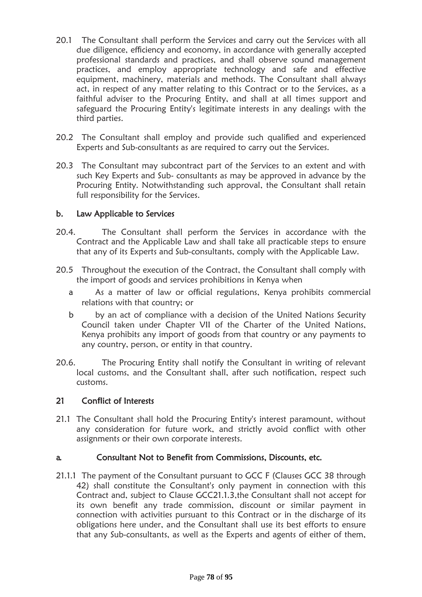- 20.1 The Consultant shall perform the Services and carry out the Services with all due diligence, efficiency and economy, in accordance with generally accepted professional standards and practices, and shall observe sound management practices, and employ appropriate technology and safe and effective equipment, machinery, materials and methods. The Consultant shall always act, in respect of any matter relating to this Contract or to the Services, as a faithful adviser to the Procuring Entity, and shall at all times support and safeguard the Procuring Entity's legitimate interests in any dealings with the third parties.
- 20.2 The Consultant shall employ and provide such qualified and experienced Experts and Sub-consultants as are required to carry out the Services.
- 20.3 The Consultant may subcontract part of the Services to an extent and with such Key Experts and Sub- consultants as may be approved in advance by the Procuring Entity. Notwithstanding such approval, the Consultant shall retain full responsibility for the Services.

### b. Law Applicable to Services

- 20.4. The Consultant shall perform the Services in accordance with the Contract and the Applicable Law and shall take all practicable steps to ensure that any of its Experts and Sub-consultants, comply with the Applicable Law.
- 20.5 Throughout the execution of the Contract, the Consultant shall comply with the import of goods and services prohibitions in Kenya when
	- a As a matter of law or official regulations, Kenya prohibits commercial relations with that country; or
	- b by an act of compliance with a decision of the United Nations Security Council taken under Chapter VII of the Charter of the United Nations, Kenya prohibits any import of goods from that country or any payments to any country, person, or entity in that country.
- 20.6. The Procuring Entity shall notify the Consultant in writing of relevant local customs, and the Consultant shall, after such notification, respect such customs.

#### 21 Con**fl**ict of Interests

21.1 The Consultant shall hold the Procuring Entity's interest paramount, without any consideration for future work, and strictly avoid conflict with other assignments or their own corporate interests.

#### a. Consultant Not to Bene**fi**t from Commissions, Discounts, etc.

21.1.1 The payment of the Consultant pursuant to GCC F (Clauses GCC 38 through 42) shall constitute the Consultant's only payment in connection with this Contract and, subject to Clause GCC21.1.3,the Consultant shall not accept for its own benefit any trade commission, discount or similar payment in connection with activities pursuant to this Contract or in the discharge of its obligations here under, and the Consultant shall use its best efforts to ensure that any Sub-consultants, as well as the Experts and agents of either of them,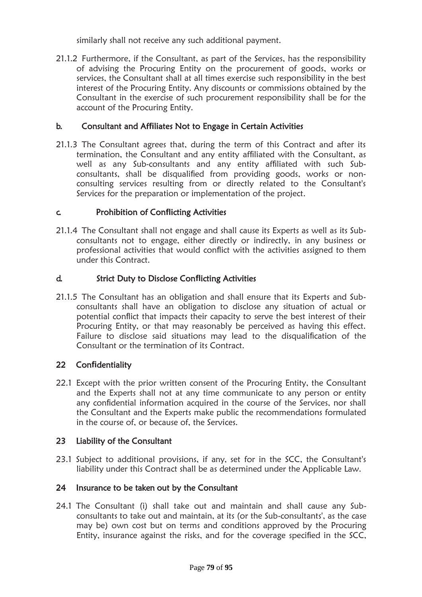similarly shall not receive any such additional payment.

21.1.2 Furthermore, if the Consultant, as part of the Services, has the responsibility of advising the Procuring Entity on the procurement of goods, works or services, the Consultant shall at all times exercise such responsibility in the best interest of the Procuring Entity. Any discounts or commissions obtained by the Consultant in the exercise of such procurement responsibility shall be for the account of the Procuring Entity.

## b. Consultant and Af**fi**liates Not to Engage in Certain Activities

21.1.3 The Consultant agrees that, during the term of this Contract and after its termination, the Consultant and any entity affiliated with the Consultant, as well as any Sub-consultants and any entity affiliated with such Subconsultants, shall be disqualified from providing goods, works or nonconsulting services resulting from or directly related to the Consultant's Services for the preparation or implementation of the project.

### c. Prohibition of Con**fl**icting Activities

21.1.4 The Consultant shall not engage and shall cause its Experts as well as its Subconsultants not to engage, either directly or indirectly, in any business or professional activities that would conflict with the activities assigned to them under this Contract.

## d. Strict Duty to Disclose Con**fl**icting Activities

21.1.5 The Consultant has an obligation and shall ensure that its Experts and Subconsultants shall have an obligation to disclose any situation of actual or potential conflict that impacts their capacity to serve the best interest of their Procuring Entity, or that may reasonably be perceived as having this effect. Failure to disclose said situations may lead to the disqualification of the Consultant or the termination of its Contract.

### 22 Con**fi**dentiality

22.1 Except with the prior written consent of the Procuring Entity, the Consultant and the Experts shall not at any time communicate to any person or entity any confidential information acquired in the course of the Services, nor shall the Consultant and the Experts make public the recommendations formulated in the course of, or because of, the Services.

### 23 Liability of the Consultant

23.1 Subject to additional provisions, if any, set for in the SCC, the Consultant's liability under this Contract shall be as determined under the Applicable Law.

### 24 Insurance to be taken out by the Consultant

24.1 The Consultant (i) shall take out and maintain and shall cause any Subconsultants to take out and maintain, at its (or the Sub-consultants', as the case may be) own cost but on terms and conditions approved by the Procuring Entity, insurance against the risks, and for the coverage specified in the SCC,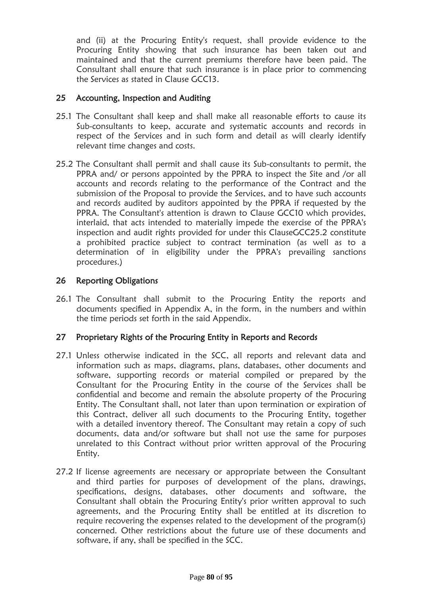and (ii) at the Procuring Entity's request, shall provide evidence to the Procuring Entity showing that such insurance has been taken out and maintained and that the current premiums therefore have been paid. The Consultant shall ensure that such insurance is in place prior to commencing the Services as stated in Clause GCC13.

### 25 Accounting, Inspection and Auditing

- 25.1 The Consultant shall keep and shall make all reasonable efforts to cause its Sub-consultants to keep, accurate and systematic accounts and records in respect of the Services and in such form and detail as will clearly identify relevant time changes and costs.
- 25.2 The Consultant shall permit and shall cause its Sub-consultants to permit, the PPRA and/ or persons appointed by the PPRA to inspect the Site and /or all accounts and records relating to the performance of the Contract and the submission of the Proposal to provide the Services, and to have such accounts and records audited by auditors appointed by the PPRA if requested by the PPRA. The Consultant's attention is drawn to Clause GCC10 which provides, interlaid, that acts intended to materially impede the exercise of the PPRA's inspection and audit rights provided for under this ClauseGCC25.2 constitute a prohibited practice subject to contract termination (as well as to a determination of in eligibility under the PPRA's prevailing sanctions procedures.)

### 26 Reporting Obligations

26.1 The Consultant shall submit to the Procuring Entity the reports and documents specified in Appendix A, in the form, in the numbers and within the time periods set forth in the said Appendix.

### 27 Proprietary Rights of the Procuring Entity in Reports and Records

- 27.1 Unless otherwise indicated in the SCC, all reports and relevant data and information such as maps, diagrams, plans, databases, other documents and software, supporting records or material compiled or prepared by the Consultant for the Procuring Entity in the course of the Services shall be confidential and become and remain the absolute property of the Procuring Entity. The Consultant shall, not later than upon termination or expiration of this Contract, deliver all such documents to the Procuring Entity, together with a detailed inventory thereof. The Consultant may retain a copy of such documents, data and/or software but shall not use the same for purposes unrelated to this Contract without prior written approval of the Procuring Entity.
- 27.2 If license agreements are necessary or appropriate between the Consultant and third parties for purposes of development of the plans, drawings, specifications, designs, databases, other documents and software, the Consultant shall obtain the Procuring Entity's prior written approval to such agreements, and the Procuring Entity shall be entitled at its discretion to require recovering the expenses related to the development of the program(s) concerned. Other restrictions about the future use of these documents and software, if any, shall be specified in the SCC.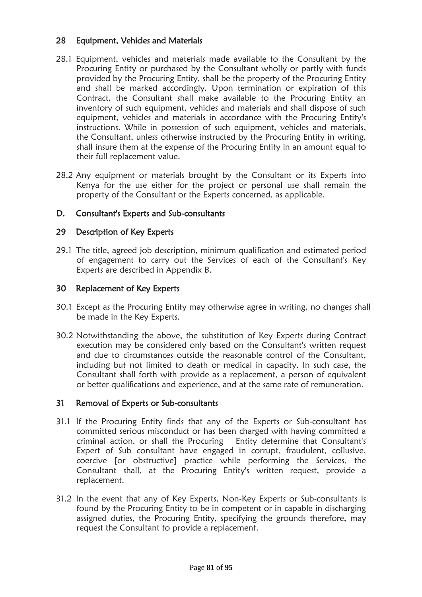### 28 Equipment, Vehicles and Materials

- 28.1 Equipment, vehicles and materials made available to the Consultant by the Procuring Entity or purchased by the Consultant wholly or partly with funds provided by the Procuring Entity, shall be the property of the Procuring Entity and shall be marked accordingly. Upon termination or expiration of this Contract, the Consultant shall make available to the Procuring Entity an inventory of such equipment, vehicles and materials and shall dispose of such equipment, vehicles and materials in accordance with the Procuring Entity's instructions. While in possession of such equipment, vehicles and materials, the Consultant, unless otherwise instructed by the Procuring Entity in writing, shall insure them at the expense of the Procuring Entity in an amount equal to their full replacement value.
- 28.2 Any equipment or materials brought by the Consultant or its Experts into Kenya for the use either for the project or personal use shall remain the property of the Consultant or the Experts concerned, as applicable.

### D. Consultant's Experts and Sub-consultants

### 29 Description of Key Experts

29.1 The title, agreed job description, minimum qualification and estimated period of engagement to carry out the Services of each of the Consultant's Key Experts are described in Appendix B.

### 30 Replacement of Key Experts

- 30.1 Except as the Procuring Entity may otherwise agree in writing, no changes shall be made in the Key Experts.
- 30.2 Notwithstanding the above, the substitution of Key Experts during Contract execution may be considered only based on the Consultant's written request and due to circumstances outside the reasonable control of the Consultant, including but not limited to death or medical in capacity. In such case, the Consultant shall forth with provide as a replacement, a person of equivalent or better qualifications and experience, and at the same rate of remuneration.

#### 31 Removal of Experts or Sub-consultants

- 31.1 If the Procuring Entity finds that any of the Experts or Sub-consultant has committed serious misconduct or has been charged with having committed a criminal action, or shall the Procuring Entity determine that Consultant's Expert of Sub consultant have engaged in corrupt, fraudulent, collusive, coercive [or obstructive] practice while performing the Services, the Consultant shall, at the Procuring Entity's written request, provide a replacement.
- 31.2 In the event that any of Key Experts, Non-Key Experts or Sub-consultants is found by the Procuring Entity to be in competent or in capable in discharging assigned duties, the Procuring Entity, specifying the grounds therefore, may request the Consultant to provide a replacement.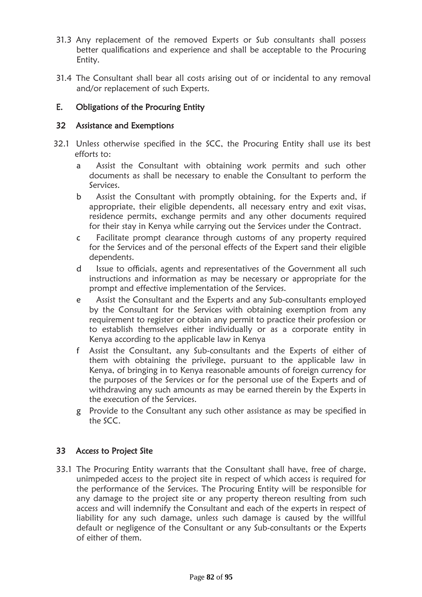- 31.3 Any replacement of the removed Experts or Sub consultants shall possess better qualifications and experience and shall be acceptable to the Procuring Entity.
- 31.4 The Consultant shall bear all costs arising out of or incidental to any removal and/or replacement of such Experts.

### E. Obligations of the Procuring Entity

### 32 Assistance and Exemptions

- 32.1 Unless otherwise specified in the SCC, the Procuring Entity shall use its best efforts to:
	- a Assist the Consultant with obtaining work permits and such other documents as shall be necessary to enable the Consultant to perform the Services.
	- b Assist the Consultant with promptly obtaining, for the Experts and, if appropriate, their eligible dependents, all necessary entry and exit visas, residence permits, exchange permits and any other documents required for their stay in Kenya while carrying out the Services under the Contract.
	- c Facilitate prompt clearance through customs of any property required for the Services and of the personal effects of the Expert sand their eligible dependents.
	- d Issue to officials, agents and representatives of the Government all such instructions and information as may be necessary or appropriate for the prompt and effective implementation of the Services.
	- e Assist the Consultant and the Experts and any Sub-consultants employed by the Consultant for the Services with obtaining exemption from any requirement to register or obtain any permit to practice their profession or to establish themselves either individually or as a corporate entity in Kenya according to the applicable law in Kenya
	- f Assist the Consultant, any Sub-consultants and the Experts of either of them with obtaining the privilege, pursuant to the applicable law in Kenya, of bringing in to Kenya reasonable amounts of foreign currency for the purposes of the Services or for the personal use of the Experts and of withdrawing any such amounts as may be earned therein by the Experts in the execution of the Services.
	- g Provide to the Consultant any such other assistance as may be specified in the SCC.

#### 33 Access to Project Site

33.1 The Procuring Entity warrants that the Consultant shall have, free of charge, unimpeded access to the project site in respect of which access is required for the performance of the Services. The Procuring Entity will be responsible for any damage to the project site or any property thereon resulting from such access and will indemnify the Consultant and each of the experts in respect of liability for any such damage, unless such damage is caused by the willful default or negligence of the Consultant or any Sub-consultants or the Experts of either of them.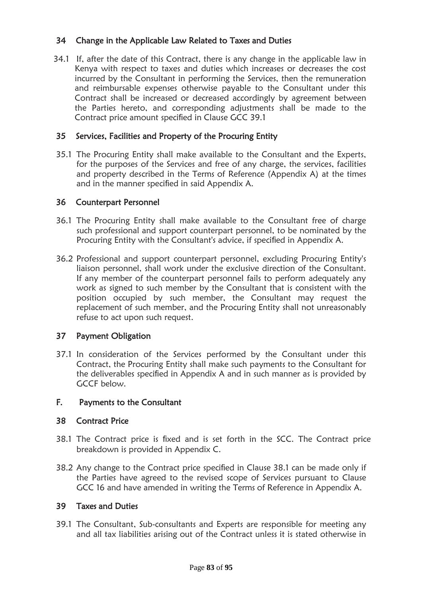### 34 Change in the Applicable Law Related to Taxes and Duties

34.1 If, after the date of this Contract, there is any change in the applicable law in Kenya with respect to taxes and duties which increases or decreases the cost incurred by the Consultant in performing the Services, then the remuneration and reimbursable expenses otherwise payable to the Consultant under this Contract shall be increased or decreased accordingly by agreement between the Parties hereto, and corresponding adjustments shall be made to the Contract price amount specified in Clause GCC 39.1

### 35 Services, Facilities and Property of the Procuring Entity

35.1 The Procuring Entity shall make available to the Consultant and the Experts, for the purposes of the Services and free of any charge, the services, facilities and property described in the Terms of Reference (Appendix A) at the times and in the manner specified in said Appendix A.

#### 36 Counterpart Personnel

- 36.1 The Procuring Entity shall make available to the Consultant free of charge such professional and support counterpart personnel, to be nominated by the Procuring Entity with the Consultant's advice, if specified in Appendix A.
- 36.2 Professional and support counterpart personnel, excluding Procuring Entity's liaison personnel, shall work under the exclusive direction of the Consultant. If any member of the counterpart personnel fails to perform adequately any work as signed to such member by the Consultant that is consistent with the position occupied by such member, the Consultant may request the replacement of such member, and the Procuring Entity shall not unreasonably refuse to act upon such request.

### 37 Payment Obligation

37.1 In consideration of the Services performed by the Consultant under this Contract, the Procuring Entity shall make such payments to the Consultant for the deliverables specified in Appendix A and in such manner as is provided by GCCF below.

### F. Payments to the Consultant

#### 38 Contract Price

- 38.1 The Contract price is fixed and is set forth in the SCC. The Contract price breakdown is provided in Appendix C.
- 38.2 Any change to the Contract price specified in Clause 38.1 can be made only if the Parties have agreed to the revised scope of Services pursuant to Clause GCC 16 and have amended in writing the Terms of Reference in Appendix A.

#### 39 Taxes and Duties

39.1 The Consultant, Sub-consultants and Experts are responsible for meeting any and all tax liabilities arising out of the Contract unless it is stated otherwise in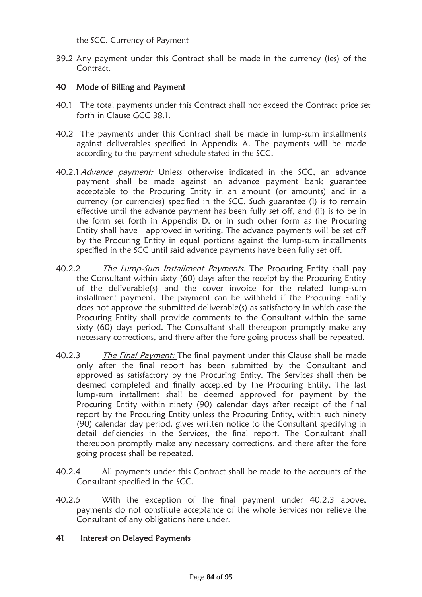the SCC. Currency of Payment

39.2 Any payment under this Contract shall be made in the currency (ies) of the Contract.

### 40 Mode of Billing and Payment

- 40.1 The total payments under this Contract shall not exceed the Contract price set forth in Clause GCC 38.1.
- 40.2 The payments under this Contract shall be made in lump-sum installments against deliverables specified in Appendix A. The payments will be made according to the payment schedule stated in the SCC.
- 40.2.1 *Advance payment:* Unless otherwise indicated in the SCC, an advance payment shall be made against an advance payment bank guarantee acceptable to the Procuring Entity in an amount (or amounts) and in a currency (or currencies) specified in the SCC. Such guarantee (I) is to remain effective until the advance payment has been fully set off, and (ii) is to be in the form set forth in Appendix D, or in such other form as the Procuring Entity shall have approved in writing. The advance payments will be set off by the Procuring Entity in equal portions against the lump-sum installments specified in the SCC until said advance payments have been fully set off.
- 40.2.2 The Lump-Sum Installment Payments. The Procuring Entity shall pay the Consultant within sixty (60) days after the receipt by the Procuring Entity of the deliverable(s) and the cover invoice for the related lump-sum installment payment. The payment can be withheld if the Procuring Entity does not approve the submitted deliverable(s) as satisfactory in which case the Procuring Entity shall provide comments to the Consultant within the same sixty (60) days period. The Consultant shall thereupon promptly make any necessary corrections, and there after the fore going process shall be repeated.
- 40.2.3 The Final Payment: The final payment under this Clause shall be made only after the final report has been submitted by the Consultant and approved as satisfactory by the Procuring Entity. The Services shall then be deemed completed and finally accepted by the Procuring Entity. The last lump-sum installment shall be deemed approved for payment by the Procuring Entity within ninety (90) calendar days after receipt of the final report by the Procuring Entity unless the Procuring Entity, within such ninety (90) calendar day period, gives written notice to the Consultant specifying in detail deficiencies in the Services, the final report. The Consultant shall thereupon promptly make any necessary corrections, and there after the fore going process shall be repeated.
- 40.2.4 All payments under this Contract shall be made to the accounts of the Consultant specified in the SCC.
- 40.2.5 With the exception of the final payment under 40.2.3 above, payments do not constitute acceptance of the whole Services nor relieve the Consultant of any obligations here under.

### 41 Interest on Delayed Payments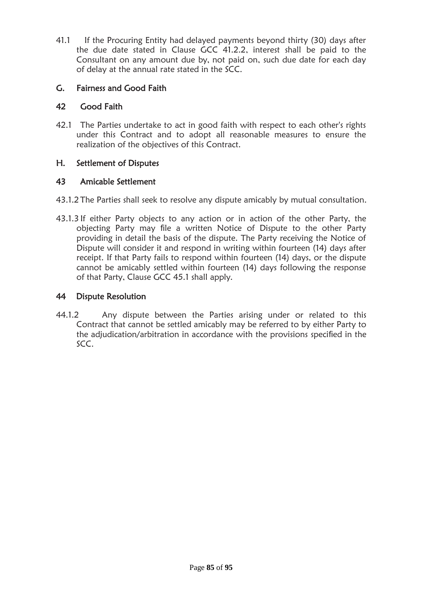41.1 If the Procuring Entity had delayed payments beyond thirty (30) days after the due date stated in Clause GCC 41.2.2, interest shall be paid to the Consultant on any amount due by, not paid on, such due date for each day of delay at the annual rate stated in the SCC.

### G. Fairness and Good Faith

### 42 Good Faith

42.1 The Parties undertake to act in good faith with respect to each other's rights under this Contract and to adopt all reasonable measures to ensure the realization of the objectives of this Contract.

## H. Settlement of Disputes

## 43 Amicable Settlement

- 43.1.2 The Parties shall seek to resolve any dispute amicably by mutual consultation.
- 43.1.3 If either Party objects to any action or in action of the other Party, the objecting Party may file a written Notice of Dispute to the other Party providing in detail the basis of the dispute. The Party receiving the Notice of Dispute will consider it and respond in writing within fourteen (14) days after receipt. If that Party fails to respond within fourteen (14) days, or the dispute cannot be amicably settled within fourteen (14) days following the response of that Party, Clause GCC 45.1 shall apply.

### 44 Dispute Resolution

44.1.2 Any dispute between the Parties arising under or related to this Contract that cannot be settled amicably may be referred to by either Party to the adjudication/arbitration in accordance with the provisions specified in the SCC.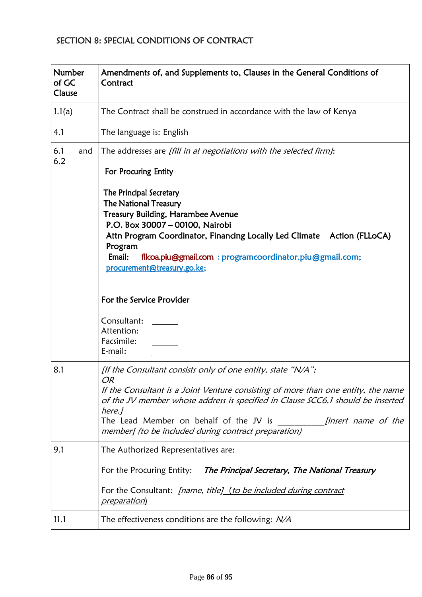# SECTION 8: SPECIAL CONDITIONS OF CONTRACT

| <b>Number</b><br>of GC<br>Clause |     | Amendments of, and Supplements to, Clauses in the General Conditions of<br>Contract                                                                                                                                                                                                                                                                                                  |
|----------------------------------|-----|--------------------------------------------------------------------------------------------------------------------------------------------------------------------------------------------------------------------------------------------------------------------------------------------------------------------------------------------------------------------------------------|
| 1.1(a)                           |     | The Contract shall be construed in accordance with the law of Kenya                                                                                                                                                                                                                                                                                                                  |
| 4.1                              |     | The language is: English                                                                                                                                                                                                                                                                                                                                                             |
| 6.1<br>6.2                       | and | The addresses are [fill in at negotiations with the selected firm]:                                                                                                                                                                                                                                                                                                                  |
|                                  |     | For Procuring Entity                                                                                                                                                                                                                                                                                                                                                                 |
|                                  |     | The Principal Secretary<br><b>The National Treasury</b><br><b>Treasury Building, Harambee Avenue</b><br>P.O. Box 30007 - 00100, Nairobi<br>Attn Program Coordinator, Financing Locally Led Climate Action (FLLoCA)<br>Program<br>Email:<br>filcoa.piu@gmail.com ; programcoordinator.piu@gmail.com;<br>procurement@treasury.go.ke;                                                   |
|                                  |     | For the Service Provider                                                                                                                                                                                                                                                                                                                                                             |
|                                  |     | Consultant:<br>Attention:<br>Facsimile:<br>E-mail:                                                                                                                                                                                                                                                                                                                                   |
| 8.1                              |     | [If the Consultant consists only of one entity, state "N/A";<br>OR<br>If the Consultant is a Joint Venture consisting of more than one entity, the name<br>of the JV member whose address is specified in Clause SCC6.1 should be inserted<br>here.]<br>The Lead Member on behalf of the JV is<br><i>finsert name of the</i><br>member] (to be included during contract preparation) |
| 9.1                              |     | The Authorized Representatives are:                                                                                                                                                                                                                                                                                                                                                  |
|                                  |     | For the Procuring Entity:<br>The Principal Secretary, The National Treasury                                                                                                                                                                                                                                                                                                          |
|                                  |     | For the Consultant: [name, title] (to be included during contract<br>preparation)                                                                                                                                                                                                                                                                                                    |
| 11.1                             |     | The effectiveness conditions are the following: $N/A$                                                                                                                                                                                                                                                                                                                                |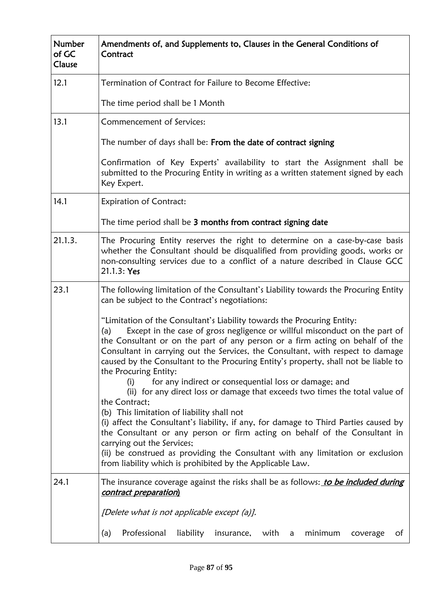| Number<br>of GC<br>Clause | Amendments of, and Supplements to, Clauses in the General Conditions of<br>Contract                                                                                                                                                                                                                                                                                                                                                                                                                                                                                                                                                                                                                                                                                                                                                    |
|---------------------------|----------------------------------------------------------------------------------------------------------------------------------------------------------------------------------------------------------------------------------------------------------------------------------------------------------------------------------------------------------------------------------------------------------------------------------------------------------------------------------------------------------------------------------------------------------------------------------------------------------------------------------------------------------------------------------------------------------------------------------------------------------------------------------------------------------------------------------------|
| 12.1                      | Termination of Contract for Failure to Become Effective:                                                                                                                                                                                                                                                                                                                                                                                                                                                                                                                                                                                                                                                                                                                                                                               |
|                           | The time period shall be 1 Month                                                                                                                                                                                                                                                                                                                                                                                                                                                                                                                                                                                                                                                                                                                                                                                                       |
| 13.1                      | Commencement of Services:                                                                                                                                                                                                                                                                                                                                                                                                                                                                                                                                                                                                                                                                                                                                                                                                              |
|                           | The number of days shall be: From the date of contract signing                                                                                                                                                                                                                                                                                                                                                                                                                                                                                                                                                                                                                                                                                                                                                                         |
|                           | Confirmation of Key Experts' availability to start the Assignment shall be<br>submitted to the Procuring Entity in writing as a written statement signed by each<br>Key Expert.                                                                                                                                                                                                                                                                                                                                                                                                                                                                                                                                                                                                                                                        |
| 14.1                      | <b>Expiration of Contract:</b>                                                                                                                                                                                                                                                                                                                                                                                                                                                                                                                                                                                                                                                                                                                                                                                                         |
|                           | The time period shall be 3 months from contract signing date                                                                                                                                                                                                                                                                                                                                                                                                                                                                                                                                                                                                                                                                                                                                                                           |
| 21.1.3.                   | The Procuring Entity reserves the right to determine on a case-by-case basis<br>whether the Consultant should be disqualified from providing goods, works or<br>non-consulting services due to a conflict of a nature described in Clause GCC<br>21.1.3: Yes                                                                                                                                                                                                                                                                                                                                                                                                                                                                                                                                                                           |
| 23.1                      | The following limitation of the Consultant's Liability towards the Procuring Entity<br>can be subject to the Contract's negotiations:                                                                                                                                                                                                                                                                                                                                                                                                                                                                                                                                                                                                                                                                                                  |
|                           | "Limitation of the Consultant's Liability towards the Procuring Entity:<br>Except in the case of gross negligence or willful misconduct on the part of<br>(a)<br>the Consultant or on the part of any person or a firm acting on behalf of the<br>Consultant in carrying out the Services, the Consultant, with respect to damage<br>caused by the Consultant to the Procuring Entity's property, shall not be liable to<br>the Procuring Entity:<br>for any indirect or consequential loss or damage; and<br>(i)<br>(ii) for any direct loss or damage that exceeds two times the total value of<br>the Contract;<br>(b) This limitation of liability shall not<br>(i) affect the Consultant's liability, if any, for damage to Third Parties caused by<br>the Consultant or any person or firm acting on behalf of the Consultant in |
|                           | carrying out the Services;<br>(ii) be construed as providing the Consultant with any limitation or exclusion<br>from liability which is prohibited by the Applicable Law.                                                                                                                                                                                                                                                                                                                                                                                                                                                                                                                                                                                                                                                              |
| 24.1                      | The insurance coverage against the risks shall be as follows: to be included during<br>contract preparation)                                                                                                                                                                                                                                                                                                                                                                                                                                                                                                                                                                                                                                                                                                                           |
|                           | [Delete what is not applicable except (a)].                                                                                                                                                                                                                                                                                                                                                                                                                                                                                                                                                                                                                                                                                                                                                                                            |
|                           | Professional<br>liability<br>(a)<br>insurance,<br>with a<br>minimum<br>coverage<br>Οf                                                                                                                                                                                                                                                                                                                                                                                                                                                                                                                                                                                                                                                                                                                                                  |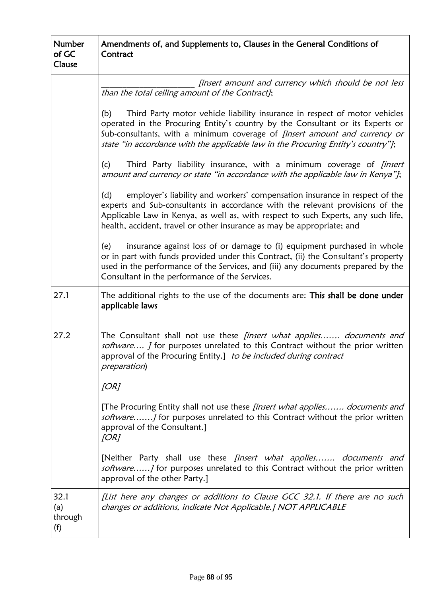| <b>Number</b><br>of GC<br>Clause | Amendments of, and Supplements to, Clauses in the General Conditions of<br>Contract                                                                                                                                                                                                                                                           |
|----------------------------------|-----------------------------------------------------------------------------------------------------------------------------------------------------------------------------------------------------------------------------------------------------------------------------------------------------------------------------------------------|
|                                  | <i>finsert amount and currency which should be not less</i><br>than the total ceiling amount of the Contract];                                                                                                                                                                                                                                |
|                                  | Third Party motor vehicle liability insurance in respect of motor vehicles<br>(b)<br>operated in the Procuring Entity's country by the Consultant or its Experts or<br>Sub-consultants, with a minimum coverage of <i>[insert amount and currency or</i><br>state "in accordance with the applicable law in the Procuring Entity's country"]; |
|                                  | Third Party liability insurance, with a minimum coverage of <i>[insert</i><br>(c)<br>amount and currency or state "in accordance with the applicable law in Kenya"];                                                                                                                                                                          |
|                                  | employer's liability and workers' compensation insurance in respect of the<br>(d)<br>experts and Sub-consultants in accordance with the relevant provisions of the<br>Applicable Law in Kenya, as well as, with respect to such Experts, any such life,<br>health, accident, travel or other insurance as may be appropriate; and             |
|                                  | insurance against loss of or damage to (i) equipment purchased in whole<br>(e)<br>or in part with funds provided under this Contract, (ii) the Consultant's property<br>used in the performance of the Services, and (iii) any documents prepared by the<br>Consultant in the performance of the Services.                                    |
| 27.1                             | The additional rights to the use of the documents are: This shall be done under<br>applicable laws                                                                                                                                                                                                                                            |
| 27.2                             | The Consultant shall not use these <i>[insert what applies documents and</i><br>software <i>J</i> for purposes unrelated to this Contract without the prior written<br>approval of the Procuring Entity.] to be included during contract<br><u>preparation)</u><br>[OR]                                                                       |
|                                  | [The Procuring Entity shall not use these <i>[insert what applies documents and</i><br>software] for purposes unrelated to this Contract without the prior written<br>approval of the Consultant.]<br>[OR]                                                                                                                                    |
|                                  | [Neither Party shall use these <i>[insert what applies documents and</i><br>software] for purposes unrelated to this Contract without the prior written<br>approval of the other Party.]                                                                                                                                                      |
| 32.1<br>(a)<br>through<br>(f)    | [List here any changes or additions to Clause GCC 32.1. If there are no such<br>changes or additions, indicate Not Applicable.] NOT APPLICABLE                                                                                                                                                                                                |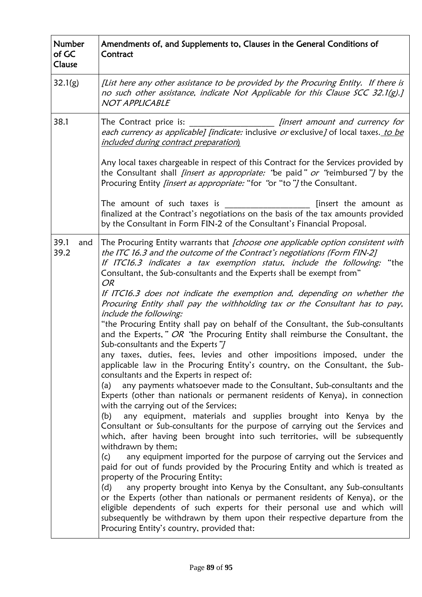| Number<br>of GC<br>Clause | Amendments of, and Supplements to, Clauses in the General Conditions of<br>Contract                                                                                                                                                                                                                                                                                                                                                                                                                                                                                                                                                                                                                                                                                                                                                                                                                                                                                                                                                                                                                                                                                                                                                                                                                                                                                                                                                                                                                                                                                                                                                                                                                                                                                                                                                                                                                                                                                                                           |
|---------------------------|---------------------------------------------------------------------------------------------------------------------------------------------------------------------------------------------------------------------------------------------------------------------------------------------------------------------------------------------------------------------------------------------------------------------------------------------------------------------------------------------------------------------------------------------------------------------------------------------------------------------------------------------------------------------------------------------------------------------------------------------------------------------------------------------------------------------------------------------------------------------------------------------------------------------------------------------------------------------------------------------------------------------------------------------------------------------------------------------------------------------------------------------------------------------------------------------------------------------------------------------------------------------------------------------------------------------------------------------------------------------------------------------------------------------------------------------------------------------------------------------------------------------------------------------------------------------------------------------------------------------------------------------------------------------------------------------------------------------------------------------------------------------------------------------------------------------------------------------------------------------------------------------------------------------------------------------------------------------------------------------------------------|
| 32.1(g)                   | [List here any other assistance to be provided by the Procuring Entity. If there is<br>no such other assistance, indicate Not Applicable for this Clause SCC 32.1(g).]<br><b>NOT APPLICABLE</b>                                                                                                                                                                                                                                                                                                                                                                                                                                                                                                                                                                                                                                                                                                                                                                                                                                                                                                                                                                                                                                                                                                                                                                                                                                                                                                                                                                                                                                                                                                                                                                                                                                                                                                                                                                                                               |
| 38.1                      | <i>linsert amount and currency for</i><br>The Contract price is:<br>each currency as applicable] [indicate: inclusive or exclusive] of local taxes. to be<br>included during contract preparation)                                                                                                                                                                                                                                                                                                                                                                                                                                                                                                                                                                                                                                                                                                                                                                                                                                                                                                                                                                                                                                                                                                                                                                                                                                                                                                                                                                                                                                                                                                                                                                                                                                                                                                                                                                                                            |
|                           | Any local taxes chargeable in respect of this Contract for the Services provided by<br>the Consultant shall <i>[insert as appropriate:</i> "be paid" or "reimbursed"] by the<br>Procuring Entity <i>[insert as appropriate:</i> "for "or "to"/the Consultant.                                                                                                                                                                                                                                                                                                                                                                                                                                                                                                                                                                                                                                                                                                                                                                                                                                                                                                                                                                                                                                                                                                                                                                                                                                                                                                                                                                                                                                                                                                                                                                                                                                                                                                                                                 |
|                           | The amount of such taxes is<br>[insert the amount as<br>finalized at the Contract's negotiations on the basis of the tax amounts provided<br>by the Consultant in Form FIN-2 of the Consultant's Financial Proposal.                                                                                                                                                                                                                                                                                                                                                                                                                                                                                                                                                                                                                                                                                                                                                                                                                                                                                                                                                                                                                                                                                                                                                                                                                                                                                                                                                                                                                                                                                                                                                                                                                                                                                                                                                                                          |
| 39.1<br>and<br>39.2       | The Procuring Entity warrants that [choose one applicable option consistent with<br>the ITC 16.3 and the outcome of the Contract's negotiations (Form FIN-2]<br>If ITC16.3 indicates a tax exemption status, include the following: "the<br>Consultant, the Sub-consultants and the Experts shall be exempt from"<br><b>OR</b><br>If ITC16.3 does not indicate the exemption and, depending on whether the<br>Procuring Entity shall pay the withholding tax or the Consultant has to pay,<br>include the following:<br>"the Procuring Entity shall pay on behalf of the Consultant, the Sub-consultants<br>and the Experts," OR 'the Procuring Entity shall reimburse the Consultant, the<br>Sub-consultants and the Experts"]<br>any taxes, duties, fees, levies and other impositions imposed, under the<br>applicable law in the Procuring Entity's country, on the Consultant, the Sub-<br>consultants and the Experts in respect of:<br>any payments whatsoever made to the Consultant, Sub-consultants and the<br>(a)<br>Experts (other than nationals or permanent residents of Kenya), in connection<br>with the carrying out of the Services;<br>any equipment, materials and supplies brought into Kenya by the<br>(b)<br>Consultant or Sub-consultants for the purpose of carrying out the Services and<br>which, after having been brought into such territories, will be subsequently<br>withdrawn by them;<br>any equipment imported for the purpose of carrying out the Services and<br>(c)<br>paid for out of funds provided by the Procuring Entity and which is treated as<br>property of the Procuring Entity;<br>any property brought into Kenya by the Consultant, any Sub-consultants<br>(d)<br>or the Experts (other than nationals or permanent residents of Kenya), or the<br>eligible dependents of such experts for their personal use and which will<br>subsequently be withdrawn by them upon their respective departure from the<br>Procuring Entity's country, provided that: |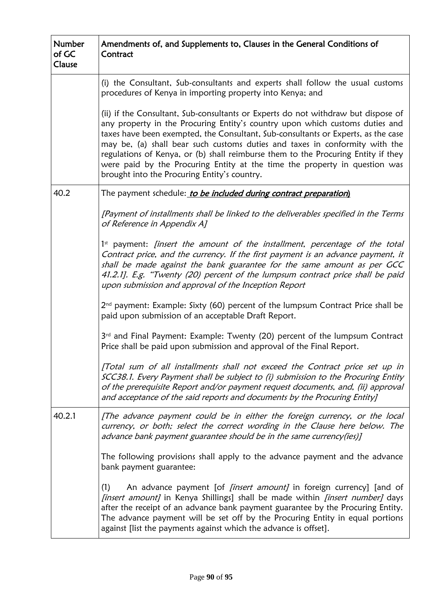| <b>Number</b><br>of GC<br>Clause | Amendments of, and Supplements to, Clauses in the General Conditions of<br>Contract                                                                                                                                                                                                                                                                                                                                                                                                                                                                      |
|----------------------------------|----------------------------------------------------------------------------------------------------------------------------------------------------------------------------------------------------------------------------------------------------------------------------------------------------------------------------------------------------------------------------------------------------------------------------------------------------------------------------------------------------------------------------------------------------------|
|                                  | (i) the Consultant, Sub-consultants and experts shall follow the usual customs<br>procedures of Kenya in importing property into Kenya; and                                                                                                                                                                                                                                                                                                                                                                                                              |
|                                  | (ii) if the Consultant, Sub-consultants or Experts do not withdraw but dispose of<br>any property in the Procuring Entity's country upon which customs duties and<br>taxes have been exempted, the Consultant, Sub-consultants or Experts, as the case<br>may be, (a) shall bear such customs duties and taxes in conformity with the<br>regulations of Kenya, or (b) shall reimburse them to the Procuring Entity if they<br>were paid by the Procuring Entity at the time the property in question was<br>brought into the Procuring Entity's country. |
| 40.2                             | The payment schedule: to be included during contract preparation)                                                                                                                                                                                                                                                                                                                                                                                                                                                                                        |
|                                  | [Payment of installments shall be linked to the deliverables specified in the Terms<br>of Reference in Appendix A]                                                                                                                                                                                                                                                                                                                                                                                                                                       |
|                                  | 1 <sup>st</sup> payment: <i>[insert the amount of the installment</i> , <i>percentage of the total</i><br>Contract price, and the currency. If the first payment is an advance payment, it<br>shall be made against the bank guarantee for the same amount as per GCC<br>41.2.1]. E.g. "Twenty (20) percent of the lumpsum contract price shall be paid<br>upon submission and approval of the Inception Report                                                                                                                                          |
|                                  | 2 <sup>nd</sup> payment: Example: Sixty (60) percent of the lumpsum Contract Price shall be<br>paid upon submission of an acceptable Draft Report.                                                                                                                                                                                                                                                                                                                                                                                                       |
|                                  | 3 <sup>rd</sup> and Final Payment: Example: Twenty (20) percent of the lumpsum Contract<br>Price shall be paid upon submission and approval of the Final Report.                                                                                                                                                                                                                                                                                                                                                                                         |
|                                  | [Total sum of all installments shall not exceed the Contract price set up in<br>SCC38.1. Every Payment shall be subject to (i) submission to the Procuring Entity<br>of the prerequisite Report and/or payment request documents, and, (ii) approval<br>and acceptance of the said reports and documents by the Procuring Entity]                                                                                                                                                                                                                        |
| 40.2.1                           | [The advance payment could be in either the foreign currency, or the local<br>currency, or both; select the correct wording in the Clause here below. The<br>advance bank payment guarantee should be in the same currency(ies)]                                                                                                                                                                                                                                                                                                                         |
|                                  | The following provisions shall apply to the advance payment and the advance<br>bank payment guarantee:                                                                                                                                                                                                                                                                                                                                                                                                                                                   |
|                                  | An advance payment [of <i>[insert amount]</i> in foreign currency] [and of<br>(1)<br><i>[insert amount]</i> in Kenya Shillings] shall be made within <i>[insert number]</i> days<br>after the receipt of an advance bank payment guarantee by the Procuring Entity.<br>The advance payment will be set off by the Procuring Entity in equal portions<br>against [list the payments against which the advance is offset].                                                                                                                                 |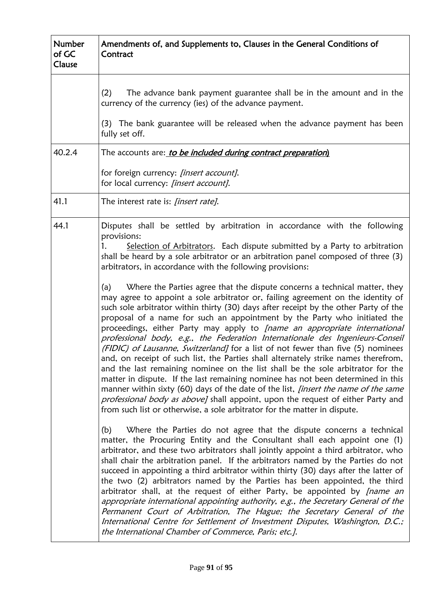| <b>Number</b><br>of GC<br>Clause | Amendments of, and Supplements to, Clauses in the General Conditions of<br>Contract                                                                                                                                                                                                                                                                                                                                                                                                                                                                                                                                                                                                                                                                                                                                                                                                                        |
|----------------------------------|------------------------------------------------------------------------------------------------------------------------------------------------------------------------------------------------------------------------------------------------------------------------------------------------------------------------------------------------------------------------------------------------------------------------------------------------------------------------------------------------------------------------------------------------------------------------------------------------------------------------------------------------------------------------------------------------------------------------------------------------------------------------------------------------------------------------------------------------------------------------------------------------------------|
|                                  | (2)<br>The advance bank payment guarantee shall be in the amount and in the<br>currency of the currency (ies) of the advance payment.<br>(3) The bank guarantee will be released when the advance payment has been<br>fully set off.                                                                                                                                                                                                                                                                                                                                                                                                                                                                                                                                                                                                                                                                       |
| 40.2.4                           | The accounts are: to be included during contract preparation)                                                                                                                                                                                                                                                                                                                                                                                                                                                                                                                                                                                                                                                                                                                                                                                                                                              |
|                                  | for foreign currency: [insert account].<br>for local currency: [insert account].                                                                                                                                                                                                                                                                                                                                                                                                                                                                                                                                                                                                                                                                                                                                                                                                                           |
| 41.1                             | The interest rate is: [insert rate].                                                                                                                                                                                                                                                                                                                                                                                                                                                                                                                                                                                                                                                                                                                                                                                                                                                                       |
| 44.1                             | Disputes shall be settled by arbitration in accordance with the following<br>provisions:<br>Selection of Arbitrators. Each dispute submitted by a Party to arbitration<br>shall be heard by a sole arbitrator or an arbitration panel composed of three (3)<br>arbitrators, in accordance with the following provisions:<br>Where the Parties agree that the dispute concerns a technical matter, they<br>(a)<br>may agree to appoint a sole arbitrator or, failing agreement on the identity of<br>such sole arbitrator within thirty (30) days after receipt by the other Party of the<br>proposal of a name for such an appointment by the Party who initiated the                                                                                                                                                                                                                                      |
|                                  | proceedings, either Party may apply to [name an appropriate international<br>professional body, e.g., the Federation Internationale des Ingenieurs-Conseil<br>(FIDIC) of Lausanne, Switzerland] for a list of not fewer than five (5) nominees<br>and, on receipt of such list, the Parties shall alternately strike names therefrom,<br>and the last remaining nominee on the list shall be the sole arbitrator for the<br>matter in dispute. If the last remaining nominee has not been determined in this<br>manner within sixty (60) days of the date of the list, <i>[insert the name of the same</i><br>professional body as above] shall appoint, upon the request of either Party and<br>from such list or otherwise, a sole arbitrator for the matter in dispute.                                                                                                                                 |
|                                  | Where the Parties do not agree that the dispute concerns a technical<br>(b)<br>matter, the Procuring Entity and the Consultant shall each appoint one (1)<br>arbitrator, and these two arbitrators shall jointly appoint a third arbitrator, who<br>shall chair the arbitration panel. If the arbitrators named by the Parties do not<br>succeed in appointing a third arbitrator within thirty (30) days after the latter of<br>the two (2) arbitrators named by the Parties has been appointed, the third<br>arbitrator shall, at the request of either Party, be appointed by <i>[name an</i><br>appropriate international appointing authority, e.g., the Secretary General of the<br>Permanent Court of Arbitration, The Hague; the Secretary General of the<br>International Centre for Settlement of Investment Disputes, Washington, D.C.;<br>the International Chamber of Commerce, Paris; etc.]. |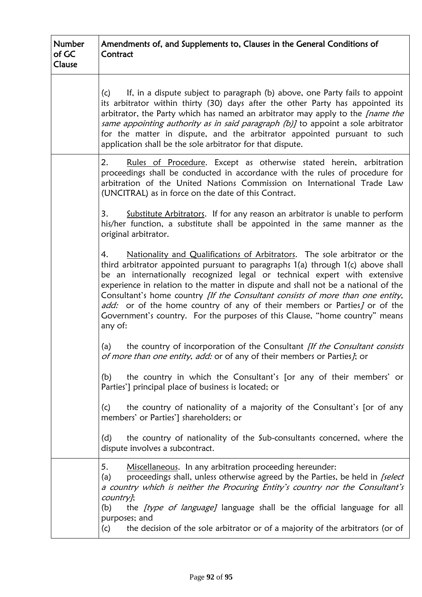| <b>Number</b><br>of GC<br>Clause | Amendments of, and Supplements to, Clauses in the General Conditions of<br>Contract                                                                                                                                                                                                                                                                                                                                                                                                                                                                                                            |
|----------------------------------|------------------------------------------------------------------------------------------------------------------------------------------------------------------------------------------------------------------------------------------------------------------------------------------------------------------------------------------------------------------------------------------------------------------------------------------------------------------------------------------------------------------------------------------------------------------------------------------------|
|                                  | If, in a dispute subject to paragraph (b) above, one Party fails to appoint<br>(c)<br>its arbitrator within thirty (30) days after the other Party has appointed its<br>arbitrator, the Party which has named an arbitrator may apply to the <i>[name the</i><br>same appointing authority as in said paragraph (b)] to appoint a sole arbitrator<br>for the matter in dispute, and the arbitrator appointed pursuant to such<br>application shall be the sole arbitrator for that dispute.                                                                                                    |
|                                  | Rules of Procedure. Except as otherwise stated herein, arbitration<br>2.<br>proceedings shall be conducted in accordance with the rules of procedure for<br>arbitration of the United Nations Commission on International Trade Law<br>(UNCITRAL) as in force on the date of this Contract.                                                                                                                                                                                                                                                                                                    |
|                                  | Substitute Arbitrators. If for any reason an arbitrator is unable to perform<br>3.<br>his/her function, a substitute shall be appointed in the same manner as the<br>original arbitrator.                                                                                                                                                                                                                                                                                                                                                                                                      |
|                                  | Nationality and Qualifications of Arbitrators. The sole arbitrator or the<br>4.<br>third arbitrator appointed pursuant to paragraphs 1(a) through 1(c) above shall<br>be an internationally recognized legal or technical expert with extensive<br>experience in relation to the matter in dispute and shall not be a national of the<br>Consultant's home country [If the Consultant consists of more than one entity,<br>add: or of the home country of any of their members or Parties] or of the<br>Government's country. For the purposes of this Clause, "home country" means<br>any of: |
|                                  | the country of incorporation of the Consultant [If the Consultant consists<br>(a)<br>of more than one entity, add: or of any of their members or Parties]; or                                                                                                                                                                                                                                                                                                                                                                                                                                  |
|                                  | the country in which the Consultant's [or any of their members' or<br>(b)<br>Parties'] principal place of business is located; or                                                                                                                                                                                                                                                                                                                                                                                                                                                              |
|                                  | the country of nationality of a majority of the Consultant's [or of any<br>(c)<br>members' or Parties'] shareholders; or                                                                                                                                                                                                                                                                                                                                                                                                                                                                       |
|                                  | the country of nationality of the Sub-consultants concerned, where the<br>(d)<br>dispute involves a subcontract.                                                                                                                                                                                                                                                                                                                                                                                                                                                                               |
|                                  | 5.<br>Miscellaneous. In any arbitration proceeding hereunder:<br>proceedings shall, unless otherwise agreed by the Parties, be held in [select<br>(a)<br>a country which is neither the Procuring Entity's country nor the Consultant's<br>country];                                                                                                                                                                                                                                                                                                                                           |
|                                  | the <i>[type of language]</i> language shall be the official language for all<br>(b)<br>purposes; and<br>the decision of the sole arbitrator or of a majority of the arbitrators (or of<br>(c)                                                                                                                                                                                                                                                                                                                                                                                                 |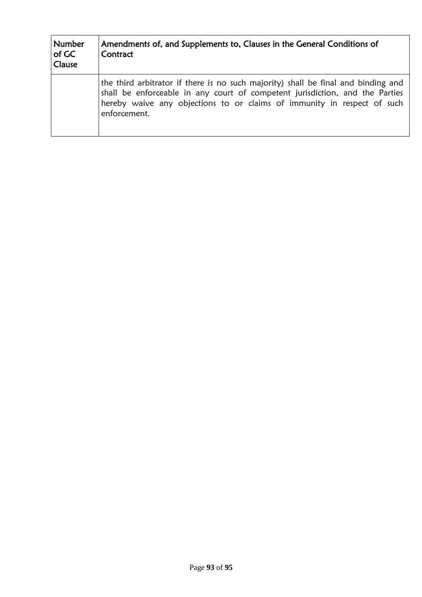| <b>Number</b><br>of GC<br>Clause | Amendments of, and Supplements to, Clauses in the General Conditions of<br>Contract                                                                                                                                                                          |
|----------------------------------|--------------------------------------------------------------------------------------------------------------------------------------------------------------------------------------------------------------------------------------------------------------|
|                                  | the third arbitrator if there is no such majority) shall be final and binding and<br>shall be enforceable in any court of competent jurisdiction, and the Parties<br>hereby waive any objections to or claims of immunity in respect of such<br>enforcement. |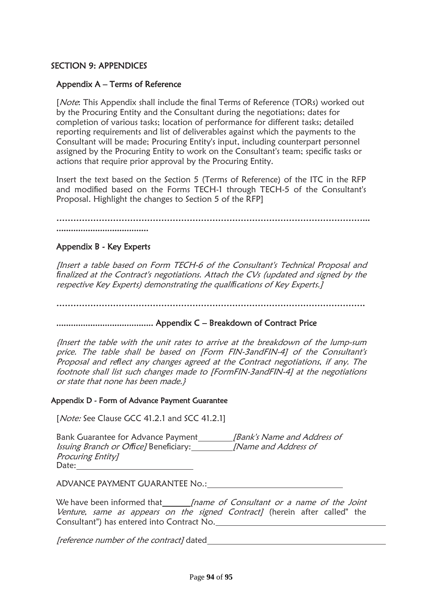#### SECTION 9: APPENDICES

#### Appendix A – Terms of Reference

[Note: This Appendix shall include the final Terms of Reference (TORs) worked out by the Procuring Entity and the Consultant during the negotiations; dates for completion of various tasks; location of performance for different tasks; detailed reporting requirements and list of deliverables against which the payments to the Consultant will be made; Procuring Entity's input, including counterpart personnel assigned by the Procuring Entity to work on the Consultant's team; specific tasks or actions that require prior approval by the Procuring Entity.

Insert the text based on the Section 5 (Terms of Reference) of the ITC in the RFP and modified based on the Forms TECH-1 through TECH-5 of the Consultant's Proposal. Highlight the changes to Section 5 of the RFP]

………………………………………………………………………………………………... ......................................

#### Appendix B - Key Experts

[Insert a table based on Form TECH-6 of the Consultant's Technical Proposal and *fi*nalized at the Contract's negotiations. Attach the CVs (updated and signed by the respective Key Experts) demonstrating the quali*fi*cations of Key Experts.]

……………………………………………………………………………………………….

........................................ Appendix C – Breakdown of Contract Price

{Insert the table with the unit rates to arrive at the breakdown of the lump-sum price. The table shall be based on [Form FIN-3andFIN-4] of the Consultant's Proposal and re*fl*ect any changes agreed at the Contract negotiations, if any. The footnote shall list such changes made to [FormFIN-3andFIN-4] at the negotiations or state that none has been made.}

#### Appendix D - Form of Advance Payment Guarantee

[*Note:* See Clause GCC 41.2.1 and SCC 41.2.1]

Bank Guarantee for Advance Payment [Bank's Name and Address of Issuing Branch or Of*fi*ce] Beneficiary: [Name and Address of Procuring Entity] Date:

ADVANCE PAYMENT GUARANTEE No.:

We have been informed that [name of Consultant or a name of the Joint Venture, same as appears on the signed Contract] (herein after called" the Consultant") has entered into Contract No.

[reference number of the contract] dated